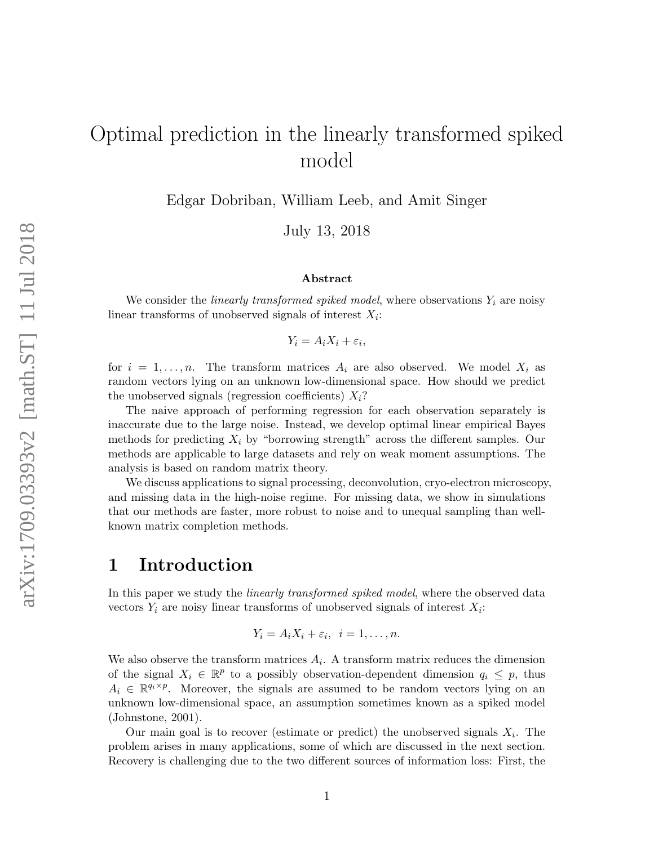# Optimal prediction in the linearly transformed spiked model

Edgar Dobriban, William Leeb, and Amit Singer

July 13, 2018

#### Abstract

We consider the *linearly transformed spiked model*, where observations  $Y_i$  are noisy linear transforms of unobserved signals of interest  $X_i$ :

$$
Y_i = A_i X_i + \varepsilon_i,
$$

for  $i = 1, \ldots, n$ . The transform matrices  $A_i$  are also observed. We model  $X_i$  as random vectors lying on an unknown low-dimensional space. How should we predict the unobserved signals (regression coefficients)  $X_i$ ?

The naive approach of performing regression for each observation separately is inaccurate due to the large noise. Instead, we develop optimal linear empirical Bayes methods for predicting  $X_i$  by "borrowing strength" across the different samples. Our methods are applicable to large datasets and rely on weak moment assumptions. The analysis is based on random matrix theory.

We discuss applications to signal processing, deconvolution, cryo-electron microscopy, and missing data in the high-noise regime. For missing data, we show in simulations that our methods are faster, more robust to noise and to unequal sampling than wellknown matrix completion methods.

## 1 Introduction

In this paper we study the *linearly transformed spiked model*, where the observed data vectors  $Y_i$  are noisy linear transforms of unobserved signals of interest  $X_i$ :

$$
Y_i = A_i X_i + \varepsilon_i, \ \ i = 1, \ldots, n.
$$

We also observe the transform matrices  $A_i$ . A transform matrix reduces the dimension of the signal  $X_i \in \mathbb{R}^p$  to a possibly observation-dependent dimension  $q_i \leq p$ , thus  $A_i \in \mathbb{R}^{q_i \times p}$ . Moreover, the signals are assumed to be random vectors lying on an unknown low-dimensional space, an assumption sometimes known as a spiked model [\(Johnstone,](#page-36-0) [2001\)](#page-36-0).

Our main goal is to recover (estimate or predict) the unobserved signals  $X_i$ . The problem arises in many applications, some of which are discussed in the next section. Recovery is challenging due to the two different sources of information loss: First, the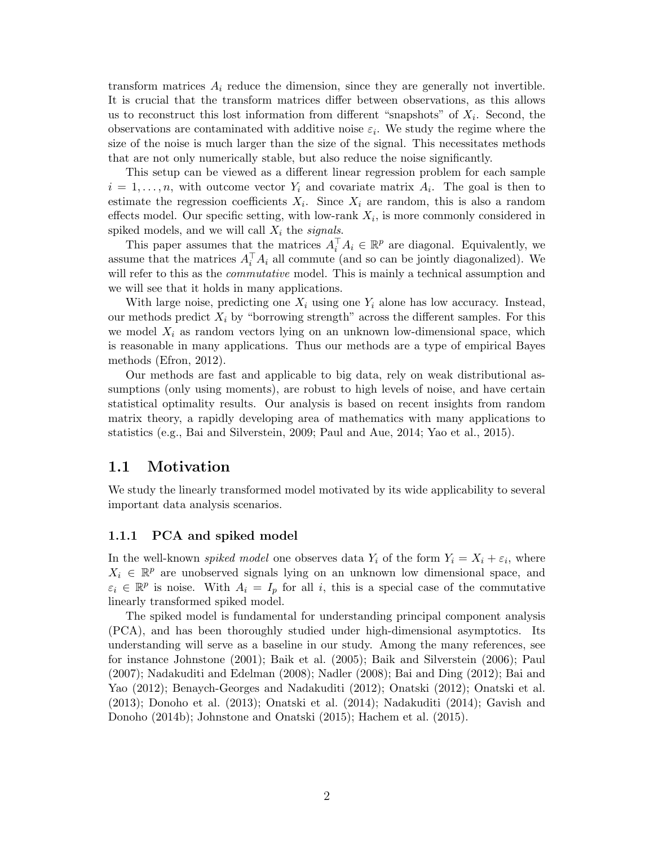transform matrices  $A_i$  reduce the dimension, since they are generally not invertible. It is crucial that the transform matrices differ between observations, as this allows us to reconstruct this lost information from different "snapshots" of  $X_i$ . Second, the observations are contaminated with additive noise  $\varepsilon_i$ . We study the regime where the size of the noise is much larger than the size of the signal. This necessitates methods that are not only numerically stable, but also reduce the noise significantly.

This setup can be viewed as a different linear regression problem for each sample  $i = 1, \ldots, n$ , with outcome vector  $Y_i$  and covariate matrix  $A_i$ . The goal is then to estimate the regression coefficients  $X_i$ . Since  $X_i$  are random, this is also a random effects model. Our specific setting, with low-rank  $X_i$ , is more commonly considered in spiked models, and we will call  $X_i$  the signals.

This paper assumes that the matrices  $A_i^{\top} A_i \in \mathbb{R}^p$  are diagonal. Equivalently, we assume that the matrices  $A_i^{\top} A_i$  all commute (and so can be jointly diagonalized). We will refer to this as the *commutative* model. This is mainly a technical assumption and we will see that it holds in many applications.

With large noise, predicting one  $X_i$  using one  $Y_i$  alone has low accuracy. Instead, our methods predict  $X_i$  by "borrowing strength" across the different samples. For this we model  $X_i$  as random vectors lying on an unknown low-dimensional space, which is reasonable in many applications. Thus our methods are a type of empirical Bayes methods [\(Efron,](#page-36-1) [2012\)](#page-36-1).

Our methods are fast and applicable to big data, rely on weak distributional assumptions (only using moments), are robust to high levels of noise, and have certain statistical optimality results. Our analysis is based on recent insights from random matrix theory, a rapidly developing area of mathematics with many applications to statistics (e.g., [Bai and Silverstein,](#page-35-0) [2009;](#page-35-0) [Paul and Aue,](#page-38-0) [2014;](#page-38-0) [Yao et al.,](#page-38-1) [2015\)](#page-38-1).

#### <span id="page-1-0"></span>1.1 Motivation

We study the linearly transformed model motivated by its wide applicability to several important data analysis scenarios.

#### 1.1.1 PCA and spiked model

In the well-known *spiked model* one observes data  $Y_i$  of the form  $Y_i = X_i + \varepsilon_i$ , where  $X_i \in \mathbb{R}^p$  are unobserved signals lying on an unknown low dimensional space, and  $\varepsilon_i \in \mathbb{R}^p$  is noise. With  $A_i = I_p$  for all i, this is a special case of the commutative linearly transformed spiked model.

The spiked model is fundamental for understanding principal component analysis (PCA), and has been thoroughly studied under high-dimensional asymptotics. Its understanding will serve as a baseline in our study. Among the many references, see for instance [Johnstone](#page-36-0) [\(2001\)](#page-36-0); [Baik et al.](#page-35-1) [\(2005\)](#page-35-1); [Baik and Silverstein](#page-35-2) [\(2006\)](#page-35-2); [Paul](#page-37-0) [\(2007\)](#page-37-0); [Nadakuditi and Edelman](#page-37-1) [\(2008\)](#page-37-1); [Nadler](#page-37-2) [\(2008\)](#page-37-2); [Bai and Ding](#page-35-3) [\(2012\)](#page-35-3); [Bai and](#page-35-4) [Yao](#page-35-4) [\(2012\)](#page-35-4); [Benaych-Georges and Nadakuditi](#page-35-5) [\(2012\)](#page-35-5); [Onatski](#page-37-3) [\(2012\)](#page-37-3); [Onatski et al.](#page-37-4) [\(2013\)](#page-37-4); [Donoho et al.](#page-36-2) [\(2013\)](#page-36-2); [Onatski et al.](#page-37-5) [\(2014\)](#page-37-5); [Nadakuditi](#page-37-6) [\(2014\)](#page-37-6); [Gavish and](#page-36-3) [Donoho](#page-36-3) [\(2014b\)](#page-36-3); [Johnstone and Onatski](#page-36-4) [\(2015\)](#page-36-4); [Hachem et al.](#page-36-5) [\(2015\)](#page-36-5).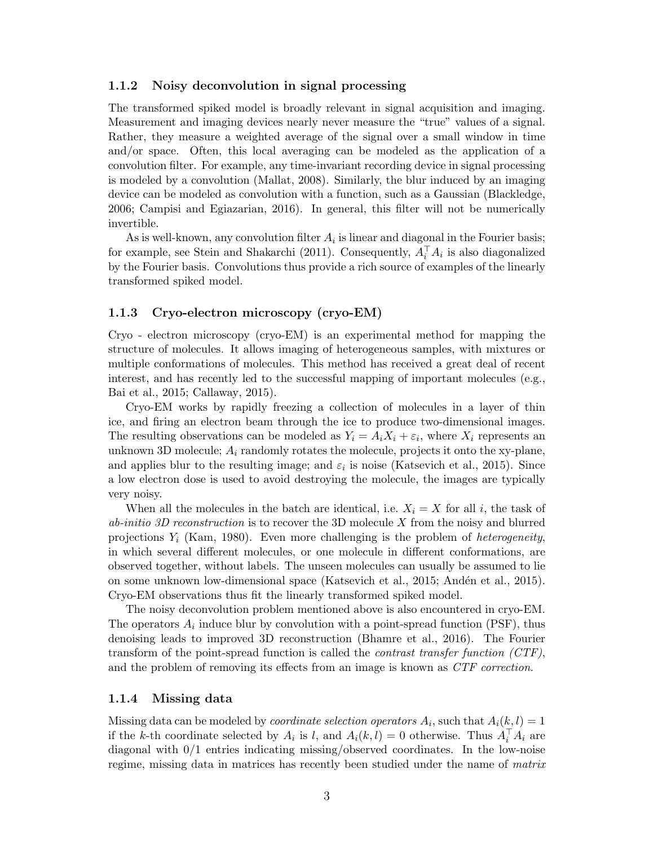#### 1.1.2 Noisy deconvolution in signal processing

The transformed spiked model is broadly relevant in signal acquisition and imaging. Measurement and imaging devices nearly never measure the "true" values of a signal. Rather, they measure a weighted average of the signal over a small window in time and/or space. Often, this local averaging can be modeled as the application of a convolution filter. For example, any time-invariant recording device in signal processing is modeled by a convolution [\(Mallat,](#page-37-7) [2008\)](#page-37-7). Similarly, the blur induced by an imaging device can be modeled as convolution with a function, such as a Gaussian [\(Blackledge,](#page-35-6) [2006;](#page-35-6) [Campisi and Egiazarian,](#page-36-6) [2016\)](#page-36-6). In general, this filter will not be numerically invertible.

As is well-known, any convolution filter  $A_i$  is linear and diagonal in the Fourier basis; for example, see [Stein and Shakarchi](#page-38-2) [\(2011\)](#page-38-2). Consequently,  $A_i^{\top} A_i$  is also diagonalized by the Fourier basis. Convolutions thus provide a rich source of examples of the linearly transformed spiked model.

#### 1.1.3 Cryo-electron microscopy (cryo-EM)

Cryo - electron microscopy (cryo-EM) is an experimental method for mapping the structure of molecules. It allows imaging of heterogeneous samples, with mixtures or multiple conformations of molecules. This method has received a great deal of recent interest, and has recently led to the successful mapping of important molecules (e.g., [Bai et al.,](#page-35-7) [2015;](#page-35-7) [Callaway,](#page-36-7) [2015\)](#page-36-7).

Cryo-EM works by rapidly freezing a collection of molecules in a layer of thin ice, and firing an electron beam through the ice to produce two-dimensional images. The resulting observations can be modeled as  $Y_i = A_i X_i + \varepsilon_i$ , where  $X_i$  represents an unknown 3D molecule;  $A_i$  randomly rotates the molecule, projects it onto the xy-plane, and applies blur to the resulting image; and  $\varepsilon_i$  is noise [\(Katsevich et al.,](#page-37-8) [2015\)](#page-37-8). Since a low electron dose is used to avoid destroying the molecule, the images are typically very noisy.

When all the molecules in the batch are identical, i.e.  $X_i = X$  for all i, the task of  $ab\text{-}initio$  3D reconstruction is to recover the 3D molecule X from the noisy and blurred projections  $Y_i$  [\(Kam,](#page-37-9) [1980\)](#page-37-9). Even more challenging is the problem of *heterogeneity*, in which several different molecules, or one molecule in different conformations, are observed together, without labels. The unseen molecules can usually be assumed to lie on some unknown low-dimensional space [\(Katsevich et al.,](#page-37-8) [2015;](#page-37-8) Andén et al., [2015\)](#page-35-8). Cryo-EM observations thus fit the linearly transformed spiked model.

The noisy deconvolution problem mentioned above is also encountered in cryo-EM. The operators  $A_i$  induce blur by convolution with a point-spread function (PSF), thus denoising leads to improved 3D reconstruction [\(Bhamre et al.,](#page-35-9) [2016\)](#page-35-9). The Fourier transform of the point-spread function is called the *contrast transfer function*  $(TF)$ , and the problem of removing its effects from an image is known as CTF correction.

#### 1.1.4 Missing data

Missing data can be modeled by *coordinate selection operators*  $A_i$ , such that  $A_i(k, l) = 1$ if the k-th coordinate selected by  $A_i$  is l, and  $A_i(k, l) = 0$  otherwise. Thus  $A_i^{\top} A_i$  are diagonal with 0/1 entries indicating missing/observed coordinates. In the low-noise regime, missing data in matrices has recently been studied under the name of matrix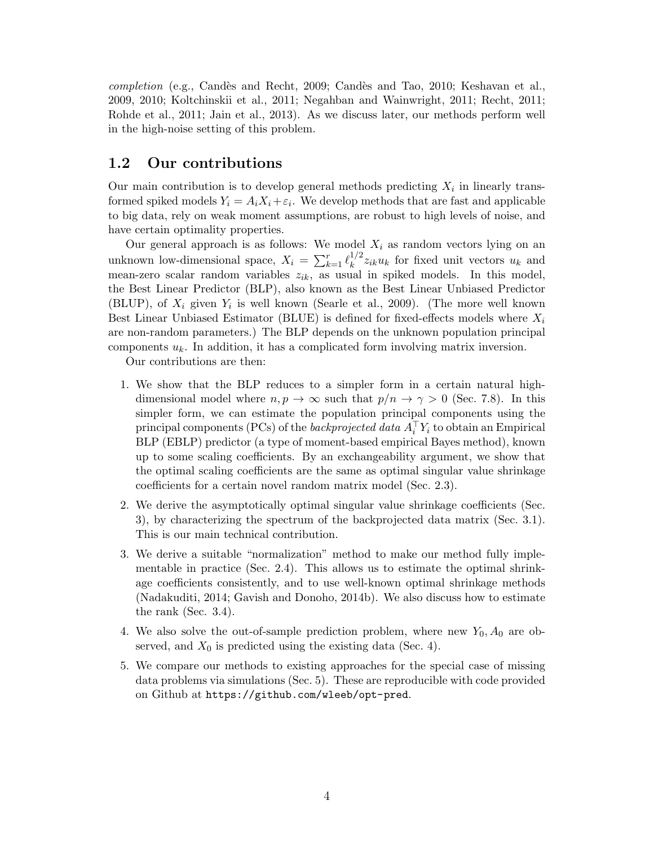completion (e.g., Candès and Recht, [2009;](#page-36-8) Candès and Tao, [2010;](#page-36-9) [Keshavan et al.,](#page-37-10) [2009,](#page-37-10) [2010;](#page-37-11) [Koltchinskii et al.,](#page-37-12) [2011;](#page-37-12) [Negahban and Wainwright,](#page-37-13) [2011;](#page-37-13) [Recht,](#page-38-3) [2011;](#page-38-3) [Rohde et al.,](#page-38-4) [2011;](#page-38-4) [Jain et al.,](#page-36-10) [2013\)](#page-36-10). As we discuss later, our methods perform well in the high-noise setting of this problem.

### 1.2 Our contributions

Our main contribution is to develop general methods predicting  $X_i$  in linearly transformed spiked models  $Y_i = A_i X_i + \varepsilon_i$ . We develop methods that are fast and applicable to big data, rely on weak moment assumptions, are robust to high levels of noise, and have certain optimality properties.

Our general approach is as follows: We model  $X_i$  as random vectors lying on an unknown low-dimensional space,  $X_i = \sum_{k=1}^r \ell_k^{1/2}$  $\int_k^{1/2} z_{ik} u_k$  for fixed unit vectors  $u_k$  and mean-zero scalar random variables  $z_{ik}$ , as usual in spiked models. In this model, the Best Linear Predictor (BLP), also known as the Best Linear Unbiased Predictor (BLUP), of  $X_i$  given  $Y_i$  is well known [\(Searle et al.,](#page-38-5) [2009\)](#page-38-5). (The more well known Best Linear Unbiased Estimator (BLUE) is defined for fixed-effects models where  $X_i$ are non-random parameters.) The BLP depends on the unknown population principal components  $u_k$ . In addition, it has a complicated form involving matrix inversion.

Our contributions are then:

- 1. We show that the BLP reduces to a simpler form in a certain natural highdimensional model where  $n, p \to \infty$  such that  $p/n \to \gamma > 0$  (Sec. [7.8\)](#page-32-0). In this simpler form, we can estimate the population principal components using the principal components (PCs) of the *backprojected data*  $A_i^{\top} Y_i$  to obtain an Empirical BLP (EBLP) predictor (a type of moment-based empirical Bayes method), known up to some scaling coefficients. By an exchangeability argument, we show that the optimal scaling coefficients are the same as optimal singular value shrinkage coefficients for a certain novel random matrix model (Sec. [2.3\)](#page-5-0).
- 2. We derive the asymptotically optimal singular value shrinkage coefficients (Sec. [3\)](#page-7-0), by characterizing the spectrum of the backprojected data matrix (Sec. [3.1\)](#page-7-1). This is our main technical contribution.
- 3. We derive a suitable "normalization" method to make our method fully implementable in practice (Sec. [2.4\)](#page-6-0). This allows us to estimate the optimal shrinkage coefficients consistently, and to use well-known optimal shrinkage methods [\(Nadakuditi,](#page-37-6) [2014;](#page-37-6) [Gavish and Donoho,](#page-36-3) [2014b\)](#page-36-3). We also discuss how to estimate the rank (Sec. [3.4\)](#page-13-0).
- 4. We also solve the out-of-sample prediction problem, where new  $Y_0$ ,  $A_0$  are observed, and  $X_0$  is predicted using the existing data (Sec. [4\)](#page-13-1).
- 5. We compare our methods to existing approaches for the special case of missing data problems via simulations (Sec. [5\)](#page-17-0). These are reproducible with code provided on Github at <https://github.com/wleeb/opt-pred>.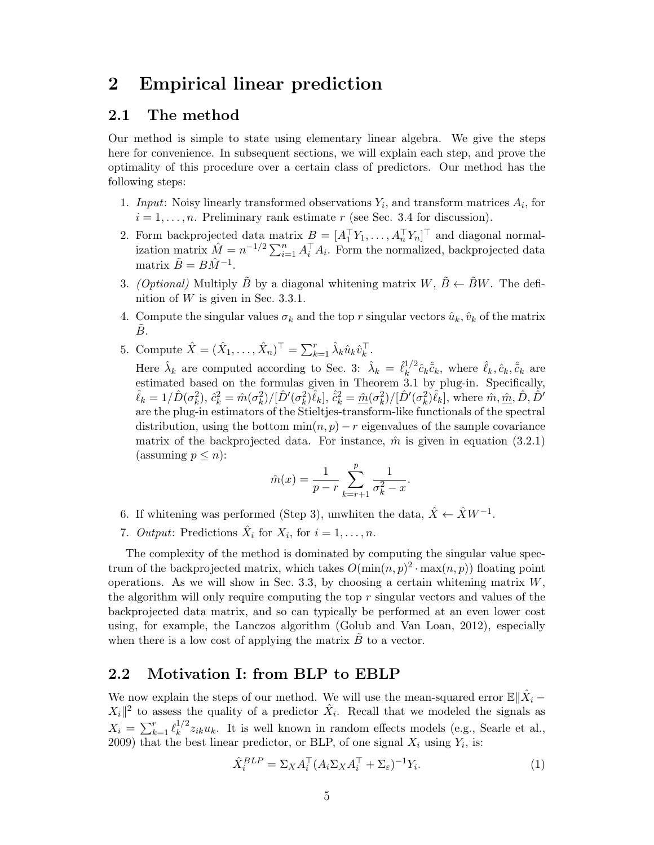## <span id="page-4-1"></span>2 Empirical linear prediction

### <span id="page-4-2"></span>2.1 The method

Our method is simple to state using elementary linear algebra. We give the steps here for convenience. In subsequent sections, we will explain each step, and prove the optimality of this procedure over a certain class of predictors. Our method has the following steps:

- 1. Input: Noisy linearly transformed observations  $Y_i$ , and transform matrices  $A_i$ , for  $i = 1, \ldots, n$ . Preliminary rank estimate r (see Sec. [3.4](#page-13-0) for discussion).
- 2. Form backprojected data matrix  $B = [A_1^\top Y_1, \dots, A_n^\top Y_n]^\top$  and diagonal normalization matrix  $\hat{M} = n^{-1/2} \sum_{i=1}^{n} A_i^{\top} A_i$ . Form the normalized, backprojected data matrix  $\tilde{B} = B\hat{M}^{-1}$ .
- <span id="page-4-0"></span>3. (Optional) Multiply  $\tilde{B}$  by a diagonal whitening matrix  $W, \tilde{B} \leftarrow \tilde{B}W$ . The definition of  $W$  is given in Sec. [3.3.1.](#page-13-2)
- 4. Compute the singular values  $\sigma_k$  and the top r singular vectors  $\hat{u}_k, \hat{v}_k$  of the matrix  $B.$
- 5. Compute  $\hat{X} = (\hat{X}_1, ..., \hat{X}_n)^{\top} = \sum_{k=1}^r \hat{\lambda}_k \hat{u}_k \hat{v}_k^{\top}$ .

Here  $\hat{\lambda}_k$  are computed according to Sec. [3:](#page-7-0)  $\hat{\lambda}_k = \hat{\ell}_k^{1/2}$  $\hat{k}_k^{1/2} \hat{c}_k \hat{\tilde{c}}_k$ , where  $\hat{\ell}_k, \hat{c}_k, \hat{\tilde{c}}_k$  are estimated based on the formulas given in Theorem [3.1](#page-10-0) by plug-in. Specifically,  $\hat{\ell}_k = 1/\hat{D}(\sigma_k^2), \, \hat{c}_k^2 = \hat{m}(\sigma_k^2)/[\hat{D}'(\sigma_k^2)\hat{\ell}_k], \, \hat{\tilde{c}}_k^2 = \hat{m}(\sigma_k^2)/[\hat{D}'(\sigma_k^2)\hat{\ell}_k], \, \text{where } \hat{m}, \hat{m}, \hat{D}, \hat{D}'$ are the plug-in estimators of the Stieltjes-transform-like functionals of the spectral distribution, using the bottom  $\min(n, p) - r$  eigenvalues of the sample covariance matrix of the backprojected data. For instance,  $\hat{m}$  is given in equation [\(3.2.1\)](#page-11-0) (assuming  $p \leq n$ ):

$$
\hat{m}(x) = \frac{1}{p-r} \sum_{k=r+1}^{p} \frac{1}{\sigma_k^2 - x}.
$$

- 6. If whitening was performed (Step [3\)](#page-4-0), unwhiten the data,  $\hat{X} \leftarrow \hat{X}W^{-1}$ .
- 7. *Output*: Predictions  $\hat{X}_i$  for  $X_i$ , for  $i = 1, ..., n$ .

The complexity of the method is dominated by computing the singular value spectrum of the backprojected matrix, which takes  $O(\min(n, p)^2 \cdot \max(n, p))$  floating point operations. As we will show in Sec. [3.3,](#page-12-0) by choosing a certain whitening matrix  $W$ , the algorithm will only require computing the top  $r$  singular vectors and values of the backprojected data matrix, and so can typically be performed at an even lower cost using, for example, the Lanczos algorithm [\(Golub and Van Loan,](#page-36-11) [2012\)](#page-36-11), especially when there is a low cost of applying the matrix  $\tilde{B}$  to a vector.

### 2.2 Motivation I: from BLP to EBLP

We now explain the steps of our method. We will use the mean-squared error  $\mathbb{E} \| \hat{X}_i X_i$ <sup>2</sup> to assess the quality of a predictor  $\hat{X}_i$ . Recall that we modeled the signals as  $X_i = \sum_{k=1}^r \ell_k^{1/2}$  $\int_k^{1/2} z_{ik} u_k$ . It is well known in random effects models (e.g., [Searle et al.,](#page-38-5) [2009\)](#page-38-5) that the best linear predictor, or BLP, of one signal  $X_i$  using  $Y_i$ , is:

<span id="page-4-3"></span>
$$
\hat{X}_i^{BLP} = \Sigma_X A_i^\top (A_i \Sigma_X A_i^\top + \Sigma_\varepsilon)^{-1} Y_i.
$$
\n(1)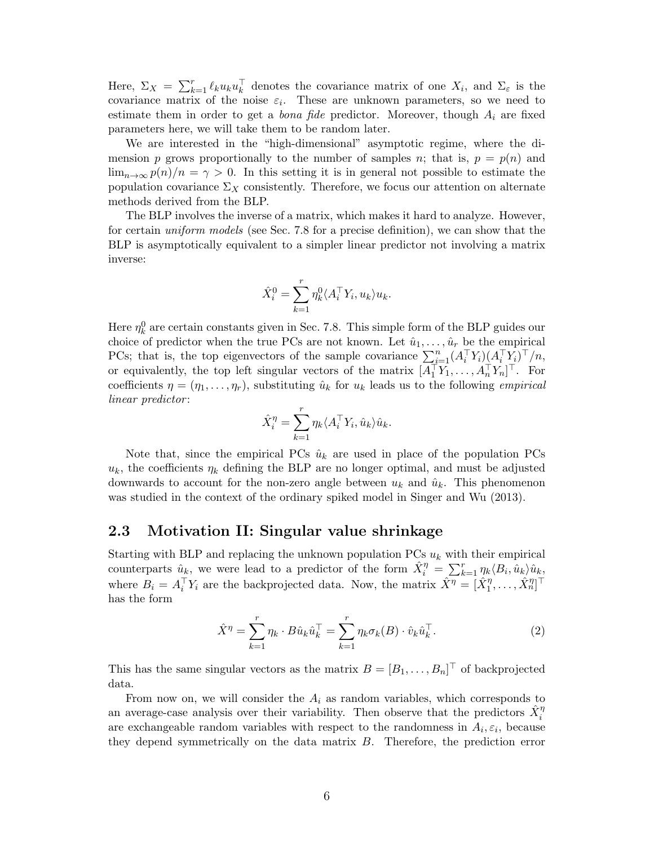Here,  $\Sigma_X = \sum_{k=1}^r \ell_k u_k u_k^{\top}$  denotes the covariance matrix of one  $X_i$ , and  $\Sigma_{\varepsilon}$  is the covariance matrix of the noise  $\varepsilon_i$ . These are unknown parameters, so we need to estimate them in order to get a *bona fide* predictor. Moreover, though  $A_i$  are fixed parameters here, we will take them to be random later.

We are interested in the "high-dimensional" asymptotic regime, where the dimension p grows proportionally to the number of samples n; that is,  $p = p(n)$  and  $\lim_{n\to\infty} p(n)/n = \gamma > 0$ . In this setting it is in general not possible to estimate the population covariance  $\Sigma_X$  consistently. Therefore, we focus our attention on alternate methods derived from the BLP.

The BLP involves the inverse of a matrix, which makes it hard to analyze. However, for certain uniform models (see Sec. [7.8](#page-32-0) for a precise definition), we can show that the BLP is asymptotically equivalent to a simpler linear predictor not involving a matrix inverse:

$$
\hat{X}_i^0 = \sum_{k=1}^r \eta_k^0 \langle A_i^\top Y_i, u_k \rangle u_k.
$$

Here  $\eta_k^0$  are certain constants given in Sec. [7.8.](#page-32-0) This simple form of the BLP guides our choice of predictor when the true PCs are not known. Let  $\hat{u}_1, \ldots, \hat{u}_r$  be the empirical PCs; that is, the top eigenvectors of the sample covariance  $\sum_{i=1}^{n} (A_i^\top Y_i)(A_i^\top Y_i)^\top/n$ , or equivalently, the top left singular vectors of the matrix  $[A_1^\top Y_1, \ldots, A_n^\top Y_n]^\top$ . For coefficients  $\eta = (\eta_1, \dots, \eta_r)$ , substituting  $\hat{u}_k$  for  $u_k$  leads us to the following *empirical* linear predictor:

$$
\hat{X}_i^{\eta} = \sum_{k=1}^r \eta_k \langle A_i^{\top} Y_i, \hat{u}_k \rangle \hat{u}_k.
$$

Note that, since the empirical PCs  $\hat{u}_k$  are used in place of the population PCs  $u_k$ , the coefficients  $\eta_k$  defining the BLP are no longer optimal, and must be adjusted downwards to account for the non-zero angle between  $u_k$  and  $\hat{u}_k$ . This phenomenon was studied in the context of the ordinary spiked model in [Singer and Wu](#page-38-6) [\(2013\)](#page-38-6).

### <span id="page-5-0"></span>2.3 Motivation II: Singular value shrinkage

Starting with BLP and replacing the unknown population PCs  $u_k$  with their empirical counterparts  $\hat{u}_k$ , we were lead to a predictor of the form  $\hat{X}_i^{\eta} = \sum_{k=1}^r \eta_k \langle B_i, \hat{u}_k \rangle \hat{u}_k$ , where  $B_i = A_i^{\top} Y_i$  are the backprojected data. Now, the matrix  $\hat{X}^{\eta} = [\hat{X}_1^{\eta}, \dots, \hat{X}_n^{\eta}]^{\top}$ has the form

$$
\hat{X}^{\eta} = \sum_{k=1}^{r} \eta_k \cdot B \hat{u}_k \hat{u}_k^{\top} = \sum_{k=1}^{r} \eta_k \sigma_k(B) \cdot \hat{v}_k \hat{u}_k^{\top}.
$$
 (2)

This has the same singular vectors as the matrix  $B = [B_1, \ldots, B_n]^\top$  of backprojected data.

From now on, we will consider the  $A_i$  as random variables, which corresponds to an average-case analysis over their variability. Then observe that the predictors  $\hat{X}_i^{\eta}$ are exchangeable random variables with respect to the randomness in  $A_i, \varepsilon_i$ , because they depend symmetrically on the data matrix B. Therefore, the prediction error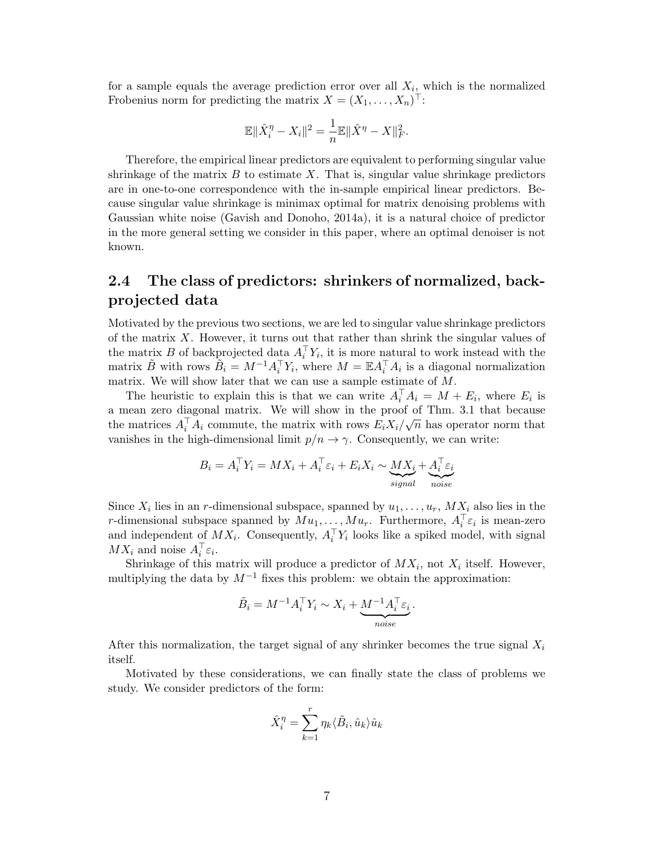for a sample equals the average prediction error over all  $X_i$ , which is the normalized Frobenius norm for predicting the matrix  $X = (X_1, \ldots, X_n)^\top$ :

$$
\mathbb{E} \|\hat{X}_i^{\eta} - X_i\|^2 = \frac{1}{n} \mathbb{E} \|\hat{X}^{\eta} - X\|_F^2.
$$

Therefore, the empirical linear predictors are equivalent to performing singular value shrinkage of the matrix  $B$  to estimate  $X$ . That is, singular value shrinkage predictors are in one-to-one correspondence with the in-sample empirical linear predictors. Because singular value shrinkage is minimax optimal for matrix denoising problems with Gaussian white noise [\(Gavish and Donoho,](#page-36-12) [2014a\)](#page-36-12), it is a natural choice of predictor in the more general setting we consider in this paper, where an optimal denoiser is not known.

## <span id="page-6-0"></span>2.4 The class of predictors: shrinkers of normalized, backprojected data

Motivated by the previous two sections, we are led to singular value shrinkage predictors of the matrix  $X$ . However, it turns out that rather than shrink the singular values of the matrix B of backprojected data  $A_i^{\top} Y_i$ , it is more natural to work instead with the matrix  $\tilde{B}$  with rows  $\tilde{B}_i = M^{-1} A_i^{\top} Y_i$ , where  $M = \mathbb{E} A_i^{\top} A_i$  is a diagonal normalization matrix. We will show later that we can use a sample estimate of  $M$ .

The heuristic to explain this is that we can write  $A_i^{\top} A_i = M + E_i$ , where  $E_i$  is a mean zero diagonal matrix. We will show in the proof of Thm. [3.1](#page-10-0) that because the matrices  $A_i^{\top} A_i$  commute, the matrix with rows  $E_i X_i / \sqrt{n}$  has operator norm that vanishes in the high-dimensional limit  $p/n \to \gamma$ . Consequently, we can write:

$$
B_i = A_i^{\top} Y_i = M X_i + A_i^{\top} \varepsilon_i + E_i X_i \sim \underbrace{M X_i}_{signal} + \underbrace{A_i^{\top} \varepsilon_i}_{noise}
$$

Since  $X_i$  lies in an r-dimensional subspace, spanned by  $u_1, \ldots, u_r$ ,  $MX_i$  also lies in the r-dimensional subspace spanned by  $Mu_1, \ldots, Mu_r$ . Furthermore,  $A_i^{\top} \varepsilon_i$  is mean-zero and independent of  $MX_i$ . Consequently,  $A_i^{\top}Y_i$  looks like a spiked model, with signal  $MX_i$  and noise  $A_i^{\top} \varepsilon_i$ .

Shrinkage of this matrix will produce a predictor of  $MX_i$ , not  $X_i$  itself. However, multiplying the data by  $M^{-1}$  fixes this problem: we obtain the approximation:

$$
\tilde{B}_i = M^{-1} A_i^{\top} Y_i \sim X_i + \underbrace{M^{-1} A_i^{\top} \varepsilon_i}_{noise}.
$$

After this normalization, the target signal of any shrinker becomes the true signal  $X_i$ itself.

Motivated by these considerations, we can finally state the class of problems we study. We consider predictors of the form:

$$
\hat{X}_i^{\eta} = \sum_{k=1}^r \eta_k \langle \tilde{B}_i, \hat{u}_k \rangle \hat{u}_k
$$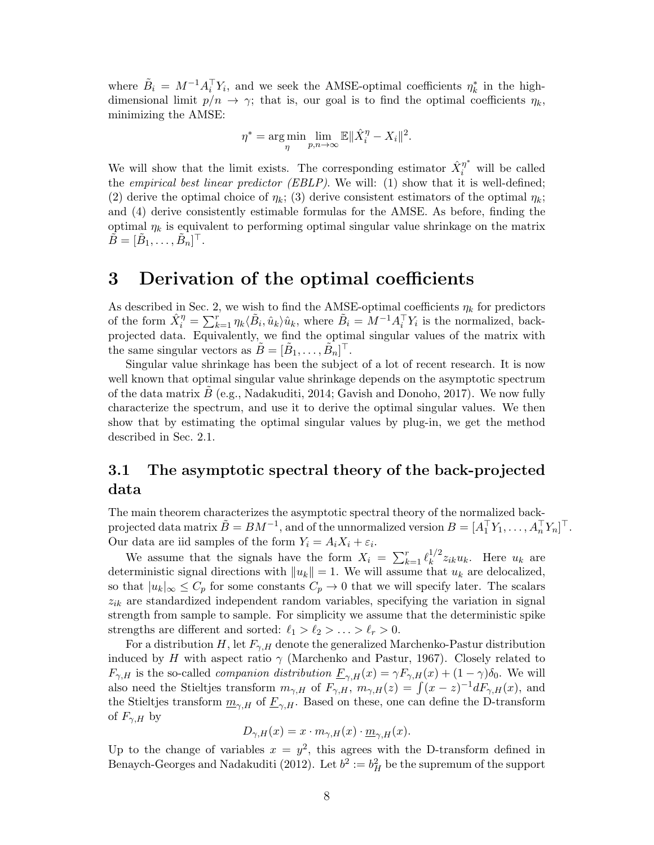where  $\tilde{B}_i = M^{-1} A_i^{\top} Y_i$ , and we seek the AMSE-optimal coefficients  $\eta_k^*$  in the highdimensional limit  $p/n \to \gamma$ ; that is, our goal is to find the optimal coefficients  $\eta_k$ , minimizing the AMSE:

$$
\eta^* = \arg\min_{\eta} \lim_{p,n \to \infty} \mathbb{E} \|\hat{X}_i^{\eta} - X_i\|^2.
$$

We will show that the limit exists. The corresponding estimator  $\hat{X}_i^{\eta^*}$  will be called the empirical best linear predictor (EBLP). We will: (1) show that it is well-defined; (2) derive the optimal choice of  $\eta_k$ ; (3) derive consistent estimators of the optimal  $\eta_k$ ; and (4) derive consistently estimable formulas for the AMSE. As before, finding the optimal  $\eta_k$  is equivalent to performing optimal singular value shrinkage on the matrix  $\tilde{B} = [\tilde{B}_1, \ldots, \tilde{B}_n]^\top.$ 

## <span id="page-7-0"></span>3 Derivation of the optimal coefficients

As described in Sec. [2,](#page-4-1) we wish to find the AMSE-optimal coefficients  $\eta_k$  for predictors of the form  $\hat{X}_i^{\eta} = \sum_{k=1}^r \eta_k \langle \tilde{B}_i, \hat{u}_k \rangle \hat{u}_k$ , where  $\tilde{B}_i = M^{-1} A_i^{\top} Y_i$  is the normalized, backprojected data. Equivalently, we find the optimal singular values of the matrix with the same singular vectors as  $\tilde{B} = [\tilde{B}_1, \ldots, \tilde{B}_n]^\top$ .

Singular value shrinkage has been the subject of a lot of recent research. It is now well known that optimal singular value shrinkage depends on the asymptotic spectrum of the data matrix  $B$  (e.g., [Nadakuditi,](#page-37-6) [2014;](#page-37-6) [Gavish and Donoho,](#page-36-13) [2017\)](#page-36-13). We now fully characterize the spectrum, and use it to derive the optimal singular values. We then show that by estimating the optimal singular values by plug-in, we get the method described in Sec. [2.1.](#page-4-2)

## <span id="page-7-1"></span>3.1 The asymptotic spectral theory of the back-projected data

The main theorem characterizes the asymptotic spectral theory of the normalized backprojected data matrix  $\tilde{B} = BM^{-1}$ , and of the unnormalized version  $B = [A_1^\top Y_1, \ldots, A_n^\top Y_n]^\top$ . Our data are iid samples of the form  $Y_i = A_i X_i + \varepsilon_i$ .

We assume that the signals have the form  $X_i = \sum_{k=1}^r \ell_k^{1/2}$  $\int_k^{1/2} z_{ik} u_k$ . Here  $u_k$  are deterministic signal directions with  $||u_k|| = 1$ . We will assume that  $u_k$  are delocalized, so that  $|u_k|_{\infty} \leq C_p$  for some constants  $C_p \to 0$  that we will specify later. The scalars  $z_{ik}$  are standardized independent random variables, specifying the variation in signal strength from sample to sample. For simplicity we assume that the deterministic spike strengths are different and sorted:  $\ell_1 > \ell_2 > \ldots > \ell_r > 0$ .

For a distribution H, let  $F_{\gamma,H}$  denote the generalized Marchenko-Pastur distribution induced by H with aspect ratio  $\gamma$  [\(Marchenko and Pastur,](#page-37-14) [1967\)](#page-37-14). Closely related to  $F_{\gamma,H}$  is the so-called *companion distribution*  $\underline{F}_{\gamma,H}(x) = \gamma F_{\gamma,H}(x) + (1 - \gamma)\delta_0$ . We will also need the Stieltjes transform  $m_{\gamma,H}$  of  $F_{\gamma,H}$ ,  $m_{\gamma,H}(z) = \int (x-z)^{-1} dF_{\gamma,H}(x)$ , and the Stieltjes transform  $\underline{m}_{\gamma,H}$  of  $\underline{F}_{\gamma,H}$ . Based on these, one can define the D-transform of  $F_{\gamma,H}$  by

$$
D_{\gamma,H}(x) = x \cdot m_{\gamma,H}(x) \cdot \underline{m}_{\gamma,H}(x).
$$

Up to the change of variables  $x = y^2$ , this agrees with the D-transform defined in [Benaych-Georges and Nadakuditi](#page-35-5) [\(2012\)](#page-35-5). Let  $b^2 := b_H^2$  be the supremum of the support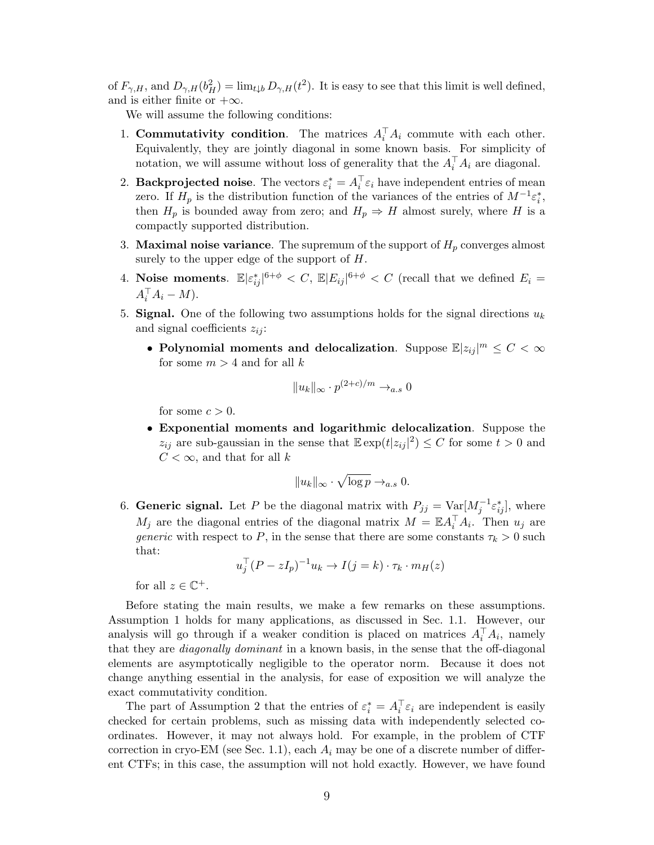of  $F_{\gamma,H}$ , and  $D_{\gamma,H}(b_H^2) = \lim_{t \downarrow b} D_{\gamma,H}(t^2)$ . It is easy to see that this limit is well defined, and is either finite or  $+\infty$ .

We will assume the following conditions:

- <span id="page-8-0"></span>1. Commutativity condition. The matrices  $A_i^{\top} A_i$  commute with each other. Equivalently, they are jointly diagonal in some known basis. For simplicity of notation, we will assume without loss of generality that the  $A_i^{\top} A_i$  are diagonal.
- <span id="page-8-1"></span>2. **Backprojected noise**. The vectors  $\varepsilon_i^* = A_i^{\top} \varepsilon_i$  have independent entries of mean zero. If  $H_p$  is the distribution function of the variances of the entries of  $M^{-1} \varepsilon_i^*$ , then  $H_p$  is bounded away from zero; and  $H_p \Rightarrow H$  almost surely, where H is a compactly supported distribution.
- 3. **Maximal noise variance**. The supremum of the support of  $H_p$  converges almost surely to the upper edge of the support of  $H$ .
- 4. Noise moments.  $\mathbb{E}|\varepsilon_{ij}^*|^{6+\phi} < C$ ,  $\mathbb{E}|E_{ij}|^{6+\phi} < C$  (recall that we defined  $E_i =$  $A_i^\top A_i - M$ ).
- <span id="page-8-2"></span>5. Signal. One of the following two assumptions holds for the signal directions  $u_k$ and signal coefficients  $z_{ij}$ :
	- Polynomial moments and delocalization. Suppose  $\mathbb{E} |z_{ij}|^m \leq C < \infty$ for some  $m > 4$  and for all k

$$
||u_k||_{\infty} \cdot p^{(2+c)/m} \to_{a.s} 0
$$

for some  $c > 0$ .

• Exponential moments and logarithmic delocalization. Suppose the  $z_{ij}$  are sub-gaussian in the sense that  $\mathbb{E} \exp(t|z_{ij}|^2) \leq C$  for some  $t > 0$  and  $C < \infty$ , and that for all k

$$
||u_k||_{\infty} \cdot \sqrt{\log p} \to_{a.s} 0.
$$

<span id="page-8-3"></span>6. Generic signal. Let P be the diagonal matrix with  $P_{jj} = \text{Var}[M_j^{-1} \varepsilon_{ij}^*],$  where  $M_j$  are the diagonal entries of the diagonal matrix  $M = \mathbb{E} A_i^{\top} A_i$ . Then  $u_j$  are *generic* with respect to P, in the sense that there are some constants  $\tau_k > 0$  such that:

$$
u_j^\top (P - zI_p)^{-1} u_k \to I(j = k) \cdot \tau_k \cdot m_H(z)
$$

for all  $z \in \mathbb{C}^+$ .

Before stating the main results, we make a few remarks on these assumptions. Assumption [1](#page-8-0) holds for many applications, as discussed in Sec. [1.1.](#page-1-0) However, our analysis will go through if a weaker condition is placed on matrices  $A_i^{\top} A_i$ , namely that they are *diagonally dominant* in a known basis, in the sense that the off-diagonal elements are asymptotically negligible to the operator norm. Because it does not change anything essential in the analysis, for ease of exposition we will analyze the exact commutativity condition.

The part of Assumption [2](#page-8-1) that the entries of  $\varepsilon_i^* = A_i^{\top} \varepsilon_i$  are independent is easily checked for certain problems, such as missing data with independently selected coordinates. However, it may not always hold. For example, in the problem of CTF correction in cryo-EM (see Sec. [1.1\)](#page-1-0), each  $A_i$  may be one of a discrete number of different CTFs; in this case, the assumption will not hold exactly. However, we have found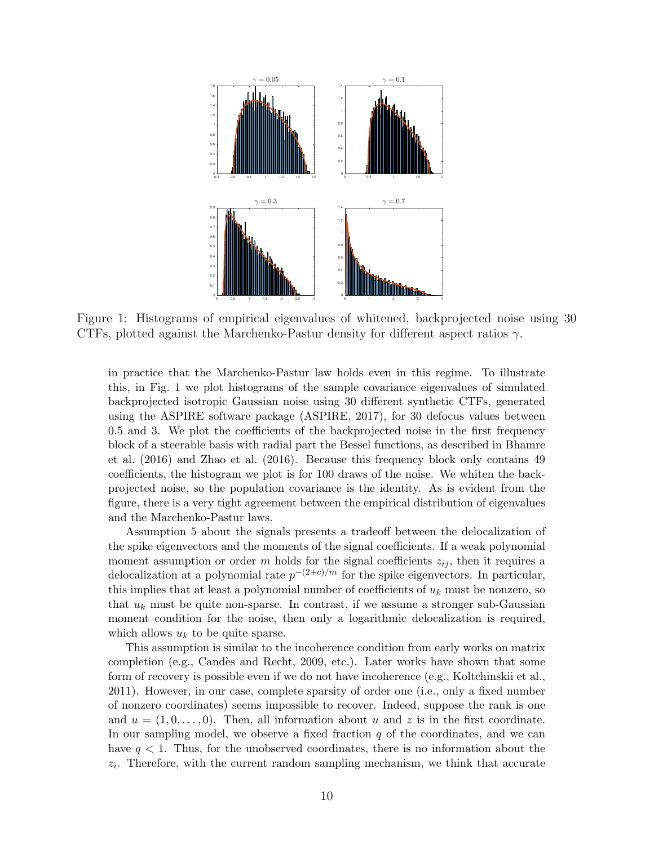<span id="page-9-0"></span>

Figure 1: Histograms of empirical eigenvalues of whitened, backprojected noise using 30 CTFs, plotted against the Marchenko-Pastur density for different aspect ratios  $\gamma$ .

in practice that the Marchenko-Pastur law holds even in this regime. To illustrate this, in Fig. [1](#page-9-0) we plot histograms of the sample covariance eigenvalues of simulated backprojected isotropic Gaussian noise using 30 different synthetic CTFs, generated using the ASPIRE software package [\(ASPIRE,](#page-35-10) [2017\)](#page-35-10), for 30 defocus values between 0.5 and 3. We plot the coefficients of the backprojected noise in the first frequency block of a steerable basis with radial part the Bessel functions, as described in [Bhamre](#page-35-9) [et al.](#page-35-9) [\(2016\)](#page-35-9) and [Zhao et al.](#page-38-7) [\(2016\)](#page-38-7). Because this frequency block only contains 49 coefficients, the histogram we plot is for 100 draws of the noise. We whiten the backprojected noise, so the population covariance is the identity. As is evident from the figure, there is a very tight agreement between the empirical distribution of eigenvalues and the Marchenko-Pastur laws.

Assumption [5](#page-8-2) about the signals presents a tradeoff between the delocalization of the spike eigenvectors and the moments of the signal coefficients. If a weak polynomial moment assumption or order m holds for the signal coefficients  $z_{ij}$ , then it requires a delocalization at a polynomial rate  $p^{-(2+c)/m}$  for the spike eigenvectors. In particular, this implies that at least a polynomial number of coefficients of  $u_k$  must be nonzero, so that  $u_k$  must be quite non-sparse. In contrast, if we assume a stronger sub-Gaussian moment condition for the noise, then only a logarithmic delocalization is required, which allows  $u_k$  to be quite sparse.

This assumption is similar to the incoherence condition from early works on matrix completion (e.g., Candès and Recht, [2009,](#page-36-8) etc.). Later works have shown that some form of recovery is possible even if we do not have incoherence (e.g., [Koltchinskii et al.,](#page-37-12) [2011\)](#page-37-12). However, in our case, complete sparsity of order one (i.e., only a fixed number of nonzero coordinates) seems impossible to recover. Indeed, suppose the rank is one and  $u = (1, 0, \ldots, 0)$ . Then, all information about u and z is in the first coordinate. In our sampling model, we observe a fixed fraction  $q$  of the coordinates, and we can have  $q < 1$ . Thus, for the unobserved coordinates, there is no information about the  $z_i$ . Therefore, with the current random sampling mechanism, we think that accurate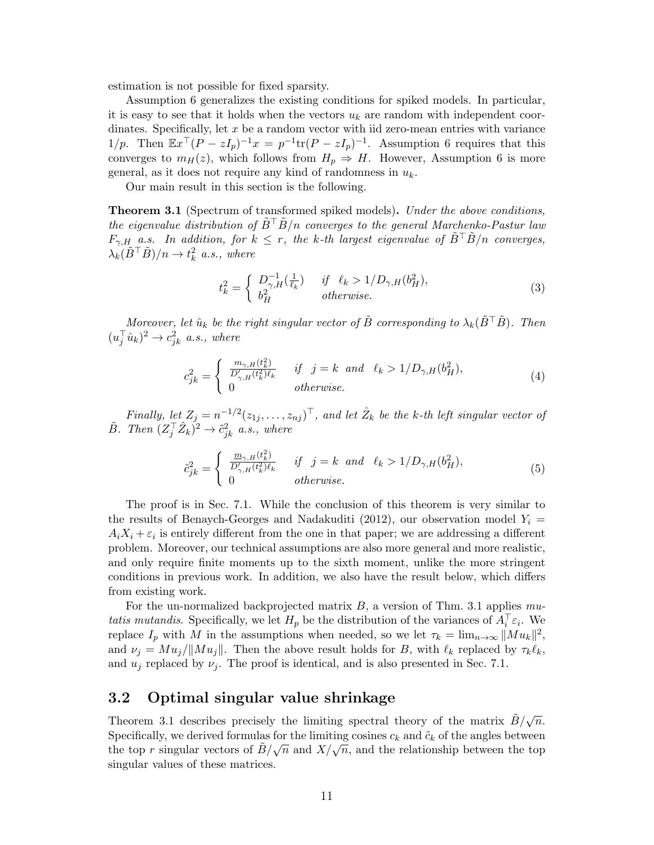estimation is not possible for fixed sparsity.

Assumption [6](#page-8-3) generalizes the existing conditions for spiked models. In particular, it is easy to see that it holds when the vectors  $u_k$  are random with independent coordinates. Specifically, let  $x$  be a random vector with iid zero-mean entries with variance 1/p. Then  $\mathbb{E}x^{\top}(P - zI_p)^{-1}x = p^{-1}\text{tr}(P - zI_p)^{-1}$ . Assumption [6](#page-8-3) requires that this converges to  $m_H(z)$ , which follows from  $H_p \Rightarrow H$ . However, Assumption [6](#page-8-3) is more general, as it does not require any kind of randomness in  $u_k$ .

Our main result in this section is the following.

<span id="page-10-0"></span>**Theorem 3.1** (Spectrum of transformed spiked models). Under the above conditions, the eigenvalue distribution of  $B^{\top}B/n$  converges to the general Marchenko-Pastur law  $F_{\gamma,H}$  a.s. In addition, for  $k \leq r$ , the k-th largest eigenvalue of  $\tilde{B}^{\dagger} \tilde{B}/n$  converges,  $\lambda_k(\tilde{B}^\top \tilde{B})/n \to t_k^2$  a.s., where

<span id="page-10-1"></span>
$$
t_k^2 = \begin{cases} D_{\gamma,H}^{-1}(\frac{1}{\ell_k}) & \text{if } \ell_k > 1/D_{\gamma,H}(b_H^2), \\ b_H^2 & \text{otherwise.} \end{cases} \tag{3}
$$

Moreover, let  $\hat{u}_k$  be the right singular vector of  $\tilde{B}$  corresponding to  $\lambda_k(\tilde{B}^\top \tilde{B})$ . Then  $(u_j^{\top} \hat{u}_k)^2 \rightarrow c_{jk}^2$  a.s., where

<span id="page-10-2"></span>
$$
c_{jk}^2 = \begin{cases} \frac{m_{\gamma,H}(t_k^2)}{D'_{\gamma,H}(t_k^2)\ell_k} & \text{if } j = k \text{ and } \ell_k > 1/D_{\gamma,H}(b_H^2),\\ 0 & \text{otherwise.} \end{cases} \tag{4}
$$

Finally, let  $Z_j = n^{-1/2} (z_{1j}, \ldots, z_{nj})^\top$ , and let  $\hat{Z}_k$  be the k-th left singular vector of  $\tilde{B}$ . Then  $(Z_j^\top \hat{Z}_k)^2 \to \tilde{c}_{jk}^2$  a.s., where

<span id="page-10-3"></span>
$$
\tilde{c}_{jk}^2 = \begin{cases}\n\frac{m_{\gamma,H}(t_k^2)}{D'_{\gamma,H}(t_k^2)\ell_k} & \text{if } j = k \text{ and } \ell_k > 1/D_{\gamma,H}(b_H^2), \\
0 & \text{otherwise.}\n\end{cases} \tag{5}
$$

The proof is in Sec. [7.1.](#page-23-0) While the conclusion of this theorem is very similar to the results of [Benaych-Georges and Nadakuditi](#page-35-5) [\(2012\)](#page-35-5), our observation model  $Y_i =$  $A_i X_i + \varepsilon_i$  is entirely different from the one in that paper; we are addressing a different problem. Moreover, our technical assumptions are also more general and more realistic, and only require finite moments up to the sixth moment, unlike the more stringent conditions in previous work. In addition, we also have the result below, which differs from existing work.

For the un-normalized backprojected matrix  $B$ , a version of Thm. [3.1](#page-10-0) applies mutatis mutandis. Specifically, we let  $H_p$  be the distribution of the variances of  $A_i^{\top} \varepsilon_i$ . We replace  $I_p$  with M in the assumptions when needed, so we let  $\tau_k = \lim_{n \to \infty} ||Mu_k||^2$ , and  $\nu_j = M u_j / ||M u_j||$ . Then the above result holds for B, with  $\ell_k$  replaced by  $\tau_k \ell_k$ , and  $u_i$  replaced by  $\nu_i$ . The proof is identical, and is also presented in Sec. [7.1.](#page-23-0)

### <span id="page-10-4"></span>3.2 Optimal singular value shrinkage

Theorem [3.1](#page-10-0) describes precisely the limiting spectral theory of the matrix  $\tilde{B}/\sqrt{n}$ . Specifically, we derived formulas for the limiting cosines  $c_k$  and  $\tilde{c}_k$  of the angles between specifically, we derived formulas for the infiniting cosines  $c_k$  and  $c_k$  or the angles between the top r singular vectors of  $\tilde{B}/\sqrt{n}$  and  $X/\sqrt{n}$ , and the relationship between the top singular values of these matrices.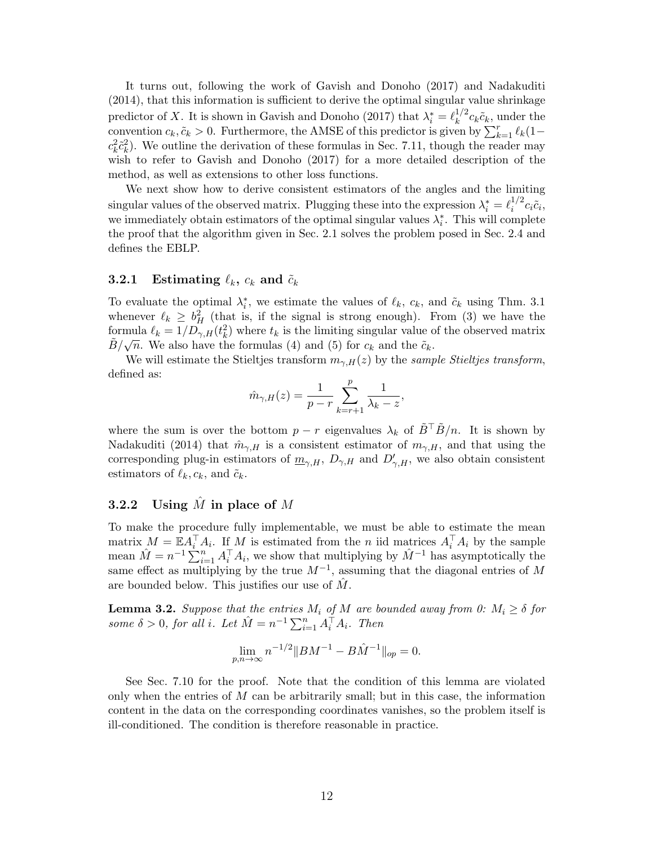It turns out, following the work of [Gavish and Donoho](#page-36-13) [\(2017\)](#page-36-13) and [Nadakuditi](#page-37-6) [\(2014\)](#page-37-6), that this information is sufficient to derive the optimal singular value shrinkage predictor of X. It is shown in [Gavish and Donoho](#page-36-13) [\(2017\)](#page-36-13) that  $\lambda_i^* = \ell_k^{1/2}$  $\int_k^{1/2} c_k \tilde{c}_k$ , under the convention  $c_k, \tilde{c}_k > 0$ . Furthermore, the AMSE of this predictor is given by  $\sum_{k=1}^r \ell_k(1-\ell_k)$  $c_k^2 \tilde{c}_k^2$ ). We outline the derivation of these formulas in Sec. [7.11,](#page-34-0) though the reader may wish to refer to [Gavish and Donoho](#page-36-13) [\(2017\)](#page-36-13) for a more detailed description of the method, as well as extensions to other loss functions.

We next show how to derive consistent estimators of the angles and the limiting singular values of the observed matrix. Plugging these into the expression  $\lambda_i^* = \ell_i^{1/2}$  $i^{\frac{1}{2}}c_i\tilde{c}_i,$ we immediately obtain estimators of the optimal singular values  $\lambda_i^*$ . This will complete the proof that the algorithm given in Sec. [2.1](#page-4-2) solves the problem posed in Sec. [2.4](#page-6-0) and defines the EBLP.

## <span id="page-11-0"></span>**3.2.1** Estimating  $\ell_k$ ,  $c_k$  and  $\tilde{c}_k$

To evaluate the optimal  $\lambda_i^*$ , we estimate the values of  $\ell_k$ ,  $c_k$ , and  $\tilde{c}_k$  using Thm. [3.1](#page-10-0) whenever  $\ell_k \geq b_H^2$  (that is, if the signal is strong enough). From [\(3\)](#page-10-1) we have the formula  $\ell_k = 1/D_{\gamma,H}(t_k^2)$  where  $t_k$  is the limiting singular value of the observed matrix  $\tilde{B}/\sqrt{n}$ . We also have the formulas [\(4\)](#page-10-2) and [\(5\)](#page-10-3) for  $c_k$  and the  $\tilde{c}_k$ .

We will estimate the Stieltjes transform  $m_{\gamma,H}(z)$  by the sample Stieltjes transform, defined as:

$$
\hat{m}_{\gamma,H}(z) = \frac{1}{p-r} \sum_{k=r+1}^{p} \frac{1}{\lambda_k - z},
$$

where the sum is over the bottom  $p - r$  eigenvalues  $\lambda_k$  of  $\tilde{B}^\top \tilde{B}/n$ . It is shown by [Nadakuditi](#page-37-6) [\(2014\)](#page-37-6) that  $\hat{m}_{\gamma,H}$  is a consistent estimator of  $m_{\gamma,H}$ , and that using the corresponding plug-in estimators of  $\underline{m}_{\gamma,H}$ ,  $D_{\gamma,H}$  and  $D'_{\gamma,H}$ , we also obtain consistent estimators of  $\ell_k, c_k$ , and  $\tilde{c}_k$ .

### 3.2.2 Using  $\hat{M}$  in place of M

To make the procedure fully implementable, we must be able to estimate the mean matrix  $M = \mathbb{E} A_i^{\top} A_i$ . If M is estimated from the n iid matrices  $A_i^{\top} A_i$  by the sample mean  $\hat{M} = n^{-1} \sum_{i=1}^{n} A_i^{\top} A_i$ , we show that multiplying by  $\hat{M}^{-1}$  has asymptotically the same effect as multiplying by the true  $M^{-1}$ , assuming that the diagonal entries of M are bounded below. This justifies our use of  $M$ .

<span id="page-11-1"></span>**Lemma 3.2.** Suppose that the entries  $M_i$  of M are bounded away from 0:  $M_i \geq \delta$  for some  $\delta > 0$ , for all i. Let  $\hat{M} = n^{-1} \sum_{i=1}^{n} A_i^{\dagger} A_i$ . Then

$$
\lim_{p,n \to \infty} n^{-1/2} \|BM^{-1} - B\hat{M}^{-1}\|_{op} = 0.
$$

See Sec. [7.10](#page-33-0) for the proof. Note that the condition of this lemma are violated only when the entries of  $M$  can be arbitrarily small; but in this case, the information content in the data on the corresponding coordinates vanishes, so the problem itself is ill-conditioned. The condition is therefore reasonable in practice.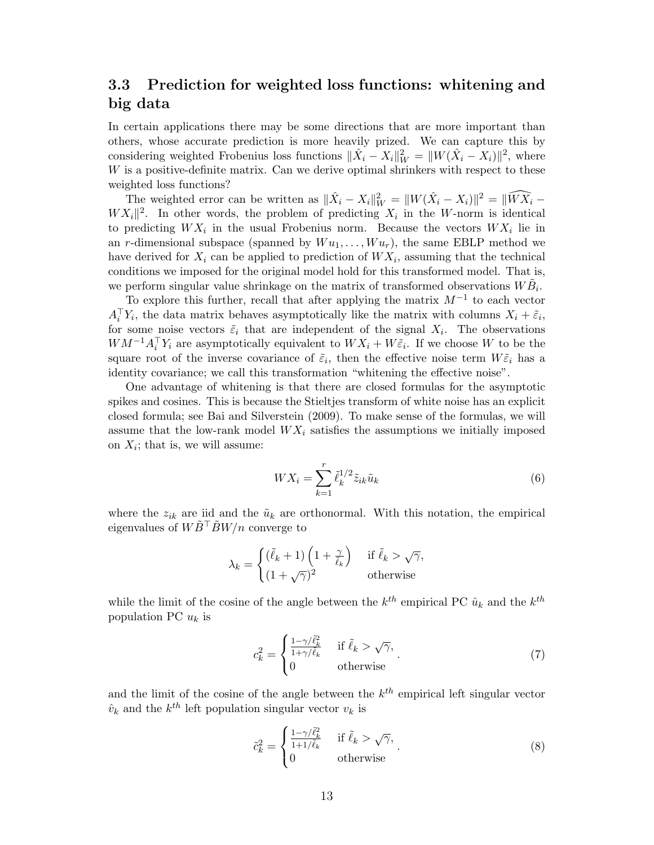## <span id="page-12-0"></span>3.3 Prediction for weighted loss functions: whitening and big data

In certain applications there may be some directions that are more important than others, whose accurate prediction is more heavily prized. We can capture this by considering weighted Frobenius loss functions  $\|\hat{X}_i - X_i\|_W^2 = \|W(\hat{X}_i - X_i)\|^2$ , where W is a positive-definite matrix. Can we derive optimal shrinkers with respect to these weighted loss functions?

The weighted error can be written as  $\|\hat{X}_i - X_i\|_W^2 = \|W(\hat{X}_i - X_i)\|^2 = \|\widehat{WX}_i - X_i\|^2$  $W X_i$ <sup>2</sup>. In other words, the problem of predicting  $X_i$  in the W-norm is identical to predicting  $WX_i$  in the usual Frobenius norm. Because the vectors  $WX_i$  lie in an r-dimensional subspace (spanned by  $W u_1, \ldots, W u_r$ ), the same EBLP method we have derived for  $X_i$  can be applied to prediction of  $WX_i$ , assuming that the technical conditions we imposed for the original model hold for this transformed model. That is, we perform singular value shrinkage on the matrix of transformed observations  $W \tilde{B}_i$ .

To explore this further, recall that after applying the matrix  $M^{-1}$  to each vector  $A_i^{\top} Y_i$ , the data matrix behaves asymptotically like the matrix with columns  $X_i + \tilde{\varepsilon}_i$ , for some noise vectors  $\tilde{\varepsilon}_i$  that are independent of the signal  $X_i$ . The observations  $WM^{-1}A_i^{\top}Y_i$  are asymptotically equivalent to  $WX_i + W\tilde{\varepsilon}_i$ . If we choose W to be the square root of the inverse covariance of  $\tilde{\varepsilon}_i$ , then the effective noise term  $W\tilde{\varepsilon}_i$  has a identity covariance; we call this transformation "whitening the effective noise".

One advantage of whitening is that there are closed formulas for the asymptotic spikes and cosines. This is because the Stieltjes transform of white noise has an explicit closed formula; see [Bai and Silverstein](#page-35-0) [\(2009\)](#page-35-0). To make sense of the formulas, we will assume that the low-rank model  $WX_i$  satisfies the assumptions we initially imposed on  $X_i$ ; that is, we will assume:

<span id="page-12-1"></span>
$$
WX_i = \sum_{k=1}^r \tilde{\ell}_k^{1/2} \tilde{z}_{ik} \tilde{u}_k
$$
\n
$$
(6)
$$

where the  $z_{ik}$  are iid and the  $\tilde{u}_k$  are orthonormal. With this notation, the empirical eigenvalues of  $W\tilde{B}^{\dagger}$   $\tilde{B}W/n$  converge to

$$
\lambda_k = \begin{cases} (\tilde{\ell}_k + 1) \left( 1 + \frac{\gamma}{\tilde{\ell}_k} \right) & \text{if } \tilde{\ell}_k > \sqrt{\gamma}, \\ (1 + \sqrt{\gamma})^2 & \text{otherwise} \end{cases}
$$

while the limit of the cosine of the angle between the  $k^{th}$  empirical PC  $\hat{u}_k$  and the  $k^{th}$ population PC  $u_k$  is

<span id="page-12-2"></span>
$$
c_k^2 = \begin{cases} \frac{1 - \gamma / \tilde{\ell}_k^2}{1 + \gamma / \tilde{\ell}_k} & \text{if } \tilde{\ell}_k > \sqrt{\gamma}, \\ 0 & \text{otherwise} \end{cases}
$$
 (7)

and the limit of the cosine of the angle between the  $k^{th}$  empirical left singular vector  $\hat{v}_k$  and the  $k^{th}$  left population singular vector  $v_k$  is

<span id="page-12-3"></span>
$$
\tilde{c}_k^2 = \begin{cases} \frac{1 - \gamma/\tilde{\ell}_k^2}{1 + 1/\tilde{\ell}_k} & \text{if } \tilde{\ell}_k > \sqrt{\gamma}, \\ 0 & \text{otherwise} \end{cases} (8)
$$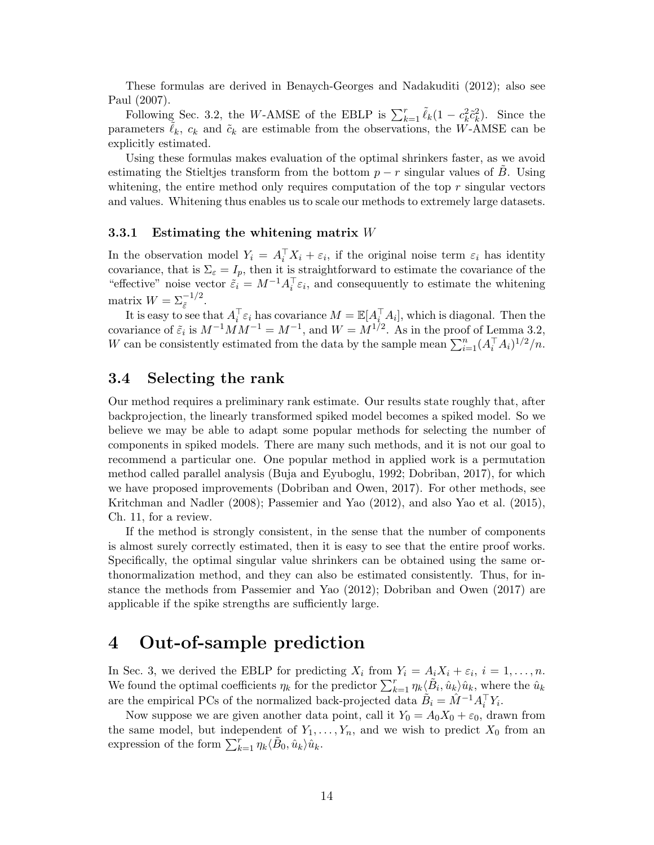These formulas are derived in [Benaych-Georges and Nadakuditi](#page-35-5) [\(2012\)](#page-35-5); also see [Paul](#page-37-0) [\(2007\)](#page-37-0).

Following Sec. [3.2,](#page-10-4) the W-AMSE of the EBLP is  $\sum_{k=1}^{r} \tilde{\ell}_k (1 - c_k^2 \tilde{c}_k^2)$ . Since the parameters  $\ell_k$ ,  $c_k$  and  $\tilde{c}_k$  are estimable from the observations, the W-AMSE can be explicitly estimated.

Using these formulas makes evaluation of the optimal shrinkers faster, as we avoid estimating the Stieltjes transform from the bottom  $p - r$  singular values of  $\tilde{B}$ . Using whitening, the entire method only requires computation of the top  $r$  singular vectors and values. Whitening thus enables us to scale our methods to extremely large datasets.

#### <span id="page-13-2"></span>3.3.1 Estimating the whitening matrix W

In the observation model  $Y_i = A_i^{\top} X_i + \varepsilon_i$ , if the original noise term  $\varepsilon_i$  has identity covariance, that is  $\Sigma_{\varepsilon} = I_p$ , then it is straightforward to estimate the covariance of the "effective" noise vector  $\tilde{\varepsilon}_i = M^{-1} A_i^{\top} \varepsilon_i$ , and consequuently to estimate the whitening matrix  $W = \sum_{\tilde{\varepsilon}}^{-1/2}$ .

It is easy to see that  $A_i^{\top} \varepsilon_i$  has covariance  $M = \mathbb{E}[A_i^{\top} A_i]$ , which is diagonal. Then the covariance of  $\tilde{\varepsilon}_i$  is  $M^{-1}MM^{-1}=M^{-1}$ , and  $W=M^{1/2}$ . As in the proof of Lemma [3.2,](#page-11-1) W can be consistently estimated from the data by the sample mean  $\sum_{i=1}^{n} (A_i^{\top} A_i)^{1/2}/n$ .

### <span id="page-13-0"></span>3.4 Selecting the rank

Our method requires a preliminary rank estimate. Our results state roughly that, after backprojection, the linearly transformed spiked model becomes a spiked model. So we believe we may be able to adapt some popular methods for selecting the number of components in spiked models. There are many such methods, and it is not our goal to recommend a particular one. One popular method in applied work is a permutation method called parallel analysis [\(Buja and Eyuboglu,](#page-36-14) [1992;](#page-36-14) [Dobriban,](#page-36-15) [2017\)](#page-36-15), for which we have proposed improvements [\(Dobriban and Owen,](#page-36-16) [2017\)](#page-36-16). For other methods, see [Kritchman and Nadler](#page-37-15) [\(2008\)](#page-37-15); [Passemier and Yao](#page-37-16) [\(2012\)](#page-37-16), and also [Yao et al.](#page-38-1) [\(2015\)](#page-38-1), Ch. 11, for a review.

If the method is strongly consistent, in the sense that the number of components is almost surely correctly estimated, then it is easy to see that the entire proof works. Specifically, the optimal singular value shrinkers can be obtained using the same orthonormalization method, and they can also be estimated consistently. Thus, for instance the methods from [Passemier and Yao](#page-37-16) [\(2012\)](#page-37-16); [Dobriban and Owen](#page-36-16) [\(2017\)](#page-36-16) are applicable if the spike strengths are sufficiently large.

## <span id="page-13-1"></span>4 Out-of-sample prediction

In Sec. [3,](#page-7-0) we derived the EBLP for predicting  $X_i$  from  $Y_i = A_i X_i + \varepsilon_i$ ,  $i = 1, ..., n$ . We found the optimal coefficients  $\eta_k$  for the predictor  $\sum_{k=1}^r \eta_k \langle \tilde{B}_i, \hat{u}_k \rangle \hat{u}_k$ , where the  $\hat{u}_k$ are the empirical PCs of the normalized back-projected data  $\tilde{B}_i = \hat{M}^{-1} A_i^{\top} Y_i$ .

Now suppose we are given another data point, call it  $Y_0 = A_0 X_0 + \varepsilon_0$ , drawn from the same model, but independent of  $Y_1, \ldots, Y_n$ , and we wish to predict  $X_0$  from an expression of the form  $\sum_{k=1}^{r} \eta_k \langle \tilde{B}_0, \hat{u}_k \rangle \hat{u}_k$ .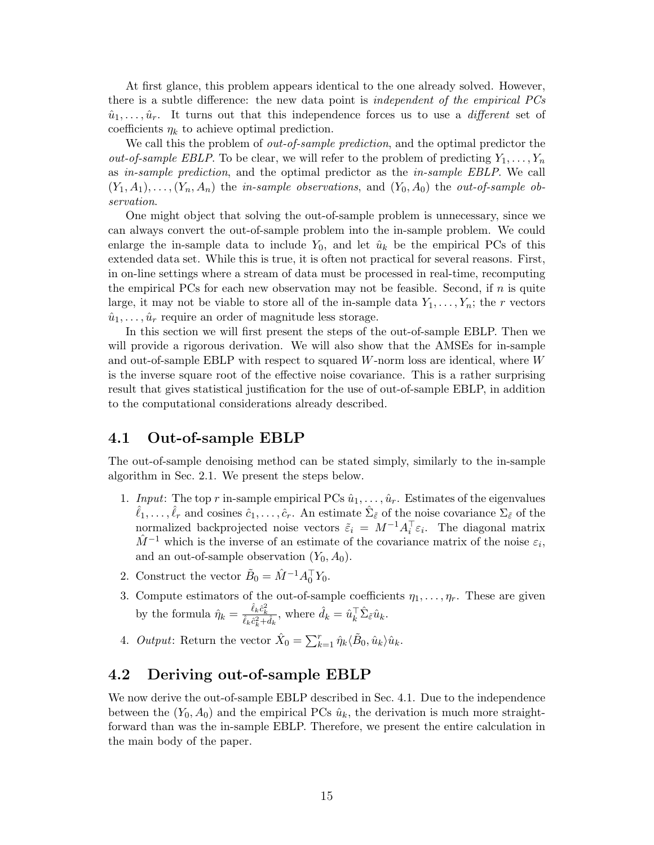At first glance, this problem appears identical to the one already solved. However, there is a subtle difference: the new data point is independent of the empirical PCs  $\hat{u}_1, \ldots, \hat{u}_r$ . It turns out that this independence forces us to use a *different* set of coefficients  $\eta_k$  to achieve optimal prediction.

We call this the problem of *out-of-sample prediction*, and the optimal predictor the *out-of-sample EBLP*. To be clear, we will refer to the problem of predicting  $Y_1, \ldots, Y_n$ as in-sample prediction, and the optimal predictor as the in-sample EBLP. We call  $(Y_1, A_1), \ldots, (Y_n, A_n)$  the *in-sample observations*, and  $(Y_0, A_0)$  the *out-of-sample ob*servation.

One might object that solving the out-of-sample problem is unnecessary, since we can always convert the out-of-sample problem into the in-sample problem. We could enlarge the in-sample data to include  $Y_0$ , and let  $\hat{u}_k$  be the empirical PCs of this extended data set. While this is true, it is often not practical for several reasons. First, in on-line settings where a stream of data must be processed in real-time, recomputing the empirical PCs for each new observation may not be feasible. Second, if  $n$  is quite large, it may not be viable to store all of the in-sample data  $Y_1, \ldots, Y_n$ ; the r vectors  $\hat{u}_1, \ldots, \hat{u}_r$  require an order of magnitude less storage.

In this section we will first present the steps of the out-of-sample EBLP. Then we will provide a rigorous derivation. We will also show that the AMSEs for in-sample and out-of-sample EBLP with respect to squared W-norm loss are identical, where W is the inverse square root of the effective noise covariance. This is a rather surprising result that gives statistical justification for the use of out-of-sample EBLP, in addition to the computational considerations already described.

### <span id="page-14-0"></span>4.1 Out-of-sample EBLP

The out-of-sample denoising method can be stated simply, similarly to the in-sample algorithm in Sec. [2.1.](#page-4-2) We present the steps below.

- 1. Input: The top r in-sample empirical PCs  $\hat{u}_1, \ldots, \hat{u}_r$ . Estimates of the eigenvalues  $\hat{\ell}_1,\ldots,\hat{\ell}_r$  and cosines  $\hat{c}_1,\ldots,\hat{c}_r$ . An estimate  $\hat{\Sigma}_{\tilde{\varepsilon}}$  of the noise covariance  $\Sigma_{\tilde{\varepsilon}}$  of the normalized backprojected noise vectors  $\tilde{\varepsilon}_i = M^{-1} A_i^{\top} \varepsilon_i$ . The diagonal matrix  $\hat{M}^{-1}$  which is the inverse of an estimate of the covariance matrix of the noise  $\varepsilon_i$ , and an out-of-sample observation  $(Y_0, A_0)$ .
- 2. Construct the vector  $\tilde{B}_0 = \hat{M}^{-1} A_0^{\top} Y_0$ .
- 3. Compute estimators of the out-of-sample coefficients  $\eta_1, \ldots, \eta_r$ . These are given by the formula  $\hat{\eta}_k = \frac{\hat{\ell}_k \hat{c}_k^2}{\hat{\ell}_k \hat{c}_k^2 + \hat{d}_k}$ , where  $\hat{d}_k = \hat{u}_k^{\top} \hat{\Sigma}_{\tilde{\varepsilon}} \hat{u}_k$ .
- 4. *Output*: Return the vector  $\hat{X}_0 = \sum_{k=1}^r \hat{\eta}_k \langle \tilde{B}_0, \hat{u}_k \rangle \hat{u}_k$ .

## 4.2 Deriving out-of-sample EBLP

We now derive the out-of-sample EBLP described in Sec. [4.1.](#page-14-0) Due to the independence between the  $(Y_0, A_0)$  and the empirical PCs  $\hat{u}_k$ , the derivation is much more straightforward than was the in-sample EBLP. Therefore, we present the entire calculation in the main body of the paper.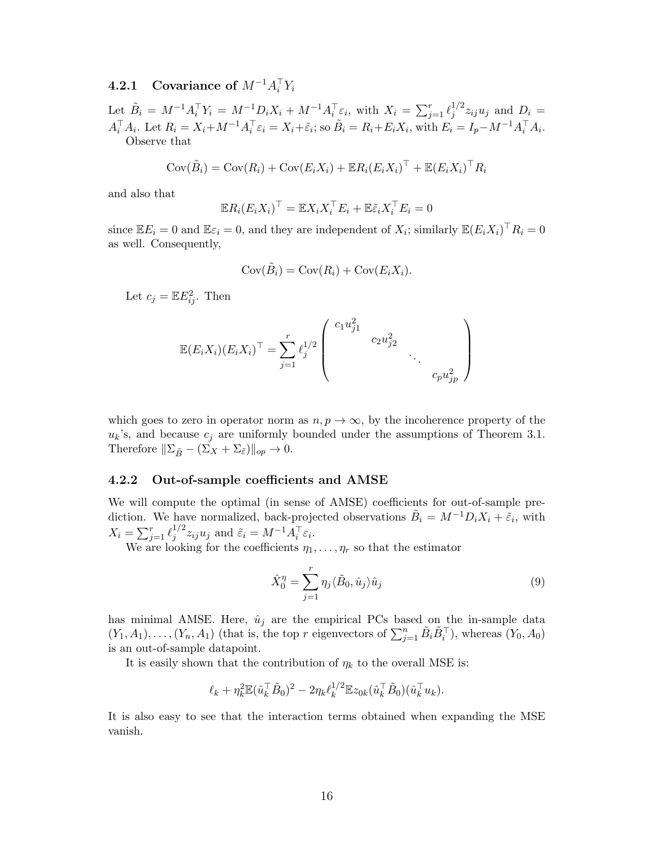## $\textbf{4.2.1} \quad \textbf{Covariance of} \,\, M^{-1} A_i^\top Y_i$

Let  $\tilde{B}_i = M^{-1} A_i^{\top} Y_i = M^{-1} D_i X_i + M^{-1} A_i^{\top} \varepsilon_i$ , with  $X_i = \sum_{j=1}^r \ell_j^{1/2}$  $j^{1/2}z_{ij}u_j$  and  $D_i =$  $A_i^{\top} A_i$ . Let  $R_i = X_i + M^{-1} A_i^{\top} \varepsilon_i = X_i + \tilde{\varepsilon}_i$ ; so  $\tilde{B}_i = R_i + E_i X_i$ , with  $E_i = I_p - M^{-1} A_i^{\top} A_i$ . Observe that

$$
Cov(\tilde{B}_i) = Cov(R_i) + Cov(E_i X_i) + \mathbb{E}R_i (E_i X_i)^\top + \mathbb{E}(E_i X_i)^\top R_i
$$

and also that

$$
\mathbb{E}R_i(E_iX_i)^\top = \mathbb{E}X_iX_i^\top E_i + \mathbb{E}\tilde{\varepsilon}_iX_i^\top E_i = 0
$$

since  $\mathbb{E}E_i = 0$  and  $\mathbb{E}\varepsilon_i = 0$ , and they are independent of  $X_i$ ; similarly  $\mathbb{E}(E_i X_i)^\top R_i = 0$ as well. Consequently,

$$
Cov(\tilde{B}_i) = Cov(R_i) + Cov(E_i X_i).
$$

Let  $c_j = \mathbb{E}E_{ij}^2$ . Then

$$
\mathbb{E}(E_i X_i)(E_i X_i)^\top = \sum_{j=1}^r \ell_j^{1/2} \begin{pmatrix} c_1 u_{j1}^2 & & & \\ & c_2 u_{j2}^2 & & \\ & & \ddots & \\ & & & c_p u_{jp}^2 \end{pmatrix}
$$

which goes to zero in operator norm as  $n, p \to \infty$ , by the incoherence property of the  $u_k$ 's, and because  $c_j$  are uniformly bounded under the assumptions of Theorem [3.1.](#page-10-0) Therefore  $\|\Sigma_{\tilde{B}} - (\Sigma_X + \Sigma_{\tilde{\varepsilon}})\|_{op} \to 0.$ 

#### 4.2.2 Out-of-sample coefficients and AMSE

We will compute the optimal (in sense of AMSE) coefficients for out-of-sample prediction. We have normalized, back-projected observations  $\tilde{B}_i = M^{-1}D_iX_i + \tilde{\varepsilon}_i$ , with  $X_i = \sum_{j=1}^r \ell_j^{1/2}$  $j^{1/2}z_{ij}u_j$  and  $\tilde{\varepsilon}_i = M^{-1}A_i^{\top} \varepsilon_i$ .

We are looking for the coefficients  $\eta_1, \ldots, \eta_r$  so that the estimator

<span id="page-15-0"></span>
$$
\hat{X}_0^{\eta} = \sum_{j=1}^r \eta_j \langle \tilde{B}_0, \hat{u}_j \rangle \hat{u}_j \tag{9}
$$

has minimal AMSE. Here,  $\hat{u}_j$  are the empirical PCs based on the in-sample data  $(Y_1, A_1), \ldots, (Y_n, A_1)$  (that is, the top r eigenvectors of  $\sum_{j=1}^n \tilde{B}_i \tilde{B}_i^{\top}$ ), whereas  $(Y_0, A_0)$ is an out-of-sample datapoint.

It is easily shown that the contribution of  $\eta_k$  to the overall MSE is:

$$
\ell_k + \eta_k^2 \mathbb{E}(\hat{u}_k^\top \tilde{B}_0)^2 - 2\eta_k \ell_k^{1/2} \mathbb{E}z_{0k}(\hat{u}_k^\top \tilde{B}_0)(\hat{u}_k^\top u_k).
$$

It is also easy to see that the interaction terms obtained when expanding the MSE vanish.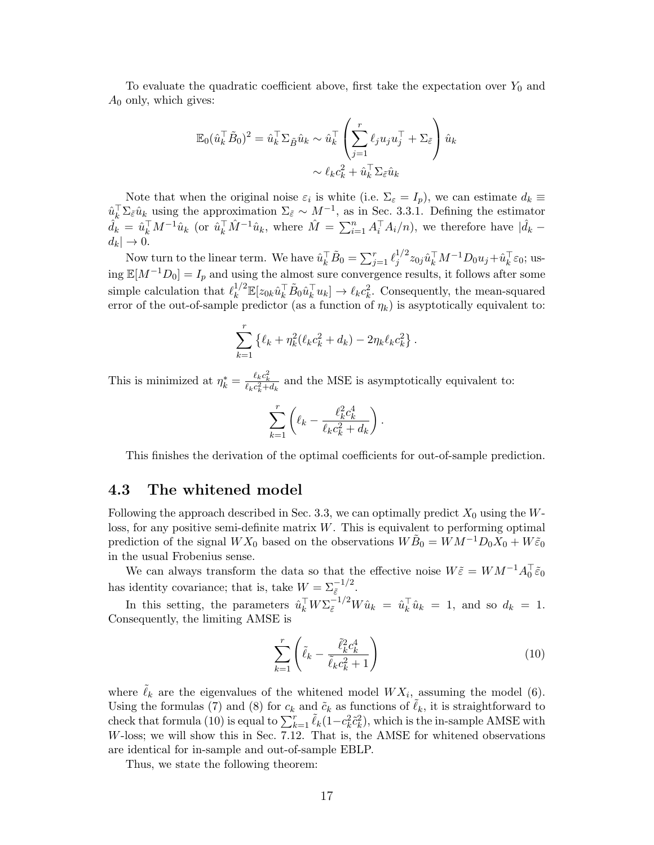To evaluate the quadratic coefficient above, first take the expectation over  $Y_0$  and  $A_0$  only, which gives:

$$
\mathbb{E}_0(\hat{u}_k^\top \tilde{B}_0)^2 = \hat{u}_k^\top \Sigma_{\tilde{B}} \hat{u}_k \sim \hat{u}_k^\top \left( \sum_{j=1}^r \ell_j u_j u_j^\top + \Sigma_{\tilde{\varepsilon}} \right) \hat{u}_k
$$

$$
\sim \ell_k c_k^2 + \hat{u}_k^\top \Sigma_{\tilde{\varepsilon}} \hat{u}_k
$$

Note that when the original noise  $\varepsilon_i$  is white (i.e.  $\Sigma_{\varepsilon} = I_p$ ), we can estimate  $d_k \equiv$  $\hat{u}_k^{\top} \Sigma_{\tilde{\varepsilon}} \hat{u}_k$  using the approximation  $\Sigma_{\tilde{\varepsilon}} \sim M^{-1}$ , as in Sec. [3.3.1.](#page-13-2) Defining the estimator  $\hat{d}_k = \hat{u}_k^{\top} M^{-1} \hat{u}_k$  (or  $\hat{u}_k^{\top} \hat{M}^{-1} \hat{u}_k$ , where  $\hat{M} = \sum_{i=1}^n A_i^{\top} A_i/n$ ), we therefore have  $|\hat{d}_k$  $d_k| \to 0.$ 

Now turn to the linear term. We have  $\hat{u}_k^{\top} \tilde{B}_0 = \sum_{j=1}^r \ell_j^{1/2}$  $j^{1/2} z_{0j} \hat{u}_k^\top M^{-1} D_0 u_j \!+\! \hat{u}_k^\top \varepsilon_0;$  using  $\mathbb{E}[M^{-1}D_0] = I_p$  and using the almost sure convergence results, it follows after some simple calculation that  $\ell_k^{1/2} \mathbb{E}[z_{0k}\hat{u}_k^{\top} \tilde{B}_0 \hat{u}_k^{\top} u_k] \to \ell_k c_k^2$ . Consequently, the mean-squared error of the out-of-sample predictor (as a function of  $\eta_k$ ) is asyptotically equivalent to:

$$
\sum_{k=1}^r \left\{ \ell_k + \eta_k^2 (\ell_k c_k^2 + d_k) - 2 \eta_k \ell_k c_k^2 \right\}.
$$

This is minimized at  $\eta_k^* = \frac{\ell_k c_k^2}{\ell_k c_k^2 + d_k}$  and the MSE is asymptotically equivalent to:

$$
\sum_{k=1}^r \left(\ell_k - \frac{\ell_k^2 c_k^4}{\ell_k c_k^2 + d_k}\right)
$$

This finishes the derivation of the optimal coefficients for out-of-sample prediction.

.

#### 4.3 The whitened model

Following the approach described in Sec. [3.3,](#page-12-0) we can optimally predict  $X_0$  using the Wloss, for any positive semi-definite matrix  $W$ . This is equivalent to performing optimal prediction of the signal  $WX_0$  based on the observations  $W\tilde{B}_0 = WM^{-1}D_0\overline{X}_0 + W\tilde{\varepsilon}_0$ in the usual Frobenius sense.

We can always transform the data so that the effective noise  $W\tilde{\varepsilon} = WM^{-1}A_0^{\top}\tilde{\varepsilon}_0$ has identity covariance; that is, take  $W = \sum_{\tilde{\varepsilon}}^{-1/2}$ .

In this setting, the parameters  $\hat{u}_k^{\top} W \Sigma_{\tilde{\varepsilon}}^{-1/2} W \hat{u}_k = \hat{u}_k^{\top} \hat{u}_k = 1$ , and so  $d_k = 1$ . Consequently, the limiting AMSE is

<span id="page-16-0"></span>
$$
\sum_{k=1}^{r} \left( \tilde{\ell}_k - \frac{\tilde{\ell}_k^2 c_k^4}{\tilde{\ell}_k c_k^2 + 1} \right) \tag{10}
$$

where  $\tilde{\ell}_k$  are the eigenvalues of the whitened model  $WX_i$ , assuming the model [\(6\)](#page-12-1). Using the formulas [\(7\)](#page-12-2) and [\(8\)](#page-12-3) for  $c_k$  and  $\tilde{c}_k$  as functions of  $\ell_k$ , it is straightforward to check that formula [\(10\)](#page-16-0) is equal to  $\sum_{k=1}^{r} \tilde{\ell}_k(1-c_k^2 \tilde{c}_k^2)$ , which is the in-sample AMSE with  $W$ -loss; we will show this in Sec. [7.12.](#page-35-11) That is, the AMSE for whitened observations are identical for in-sample and out-of-sample EBLP.

Thus, we state the following theorem: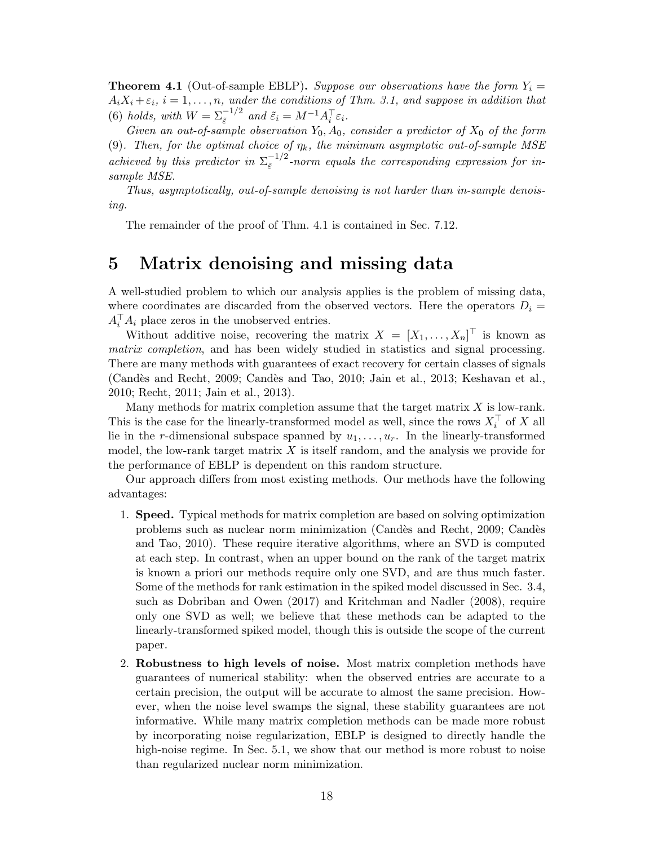<span id="page-17-1"></span>**Theorem 4.1** (Out-of-sample EBLP). Suppose our observations have the form  $Y_i =$  $A_iX_i + \varepsilon_i$ ,  $i = 1, \ldots, n$ , under the conditions of Thm. [3.1,](#page-10-0) and suppose in addition that [\(6\)](#page-12-1) holds, with  $W = \sum_{\tilde{\varepsilon}}^{-1/2}$  and  $\tilde{\varepsilon}_i = M^{-1} A_i^{\top} \varepsilon_i$ .

Given an out-of-sample observation  $Y_0$ ,  $A_0$ , consider a predictor of  $X_0$  of the form [\(9\)](#page-15-0). Then, for the optimal choice of  $\eta_k$ , the minimum asymptotic out-of-sample MSE achieved by this predictor in  $\Sigma_{\tilde{\varepsilon}}^{-1/2}$  $\bar{\epsilon}$ <sup>-1/2</sup>-norm equals the corresponding expression for insample MSE.

Thus, asymptotically, out-of-sample denoising is not harder than in-sample denoising.

The remainder of the proof of Thm. [4.1](#page-17-1) is contained in Sec. [7.12.](#page-35-11)

## <span id="page-17-0"></span>5 Matrix denoising and missing data

A well-studied problem to which our analysis applies is the problem of missing data, where coordinates are discarded from the observed vectors. Here the operators  $D_i =$  $A_i^{\top} A_i$  place zeros in the unobserved entries.

Without additive noise, recovering the matrix  $X = [X_1, \ldots, X_n]^\top$  is known as matrix completion, and has been widely studied in statistics and signal processing. There are many methods with guarantees of exact recovery for certain classes of signals (Candès and Recht, [2009;](#page-36-8) Candès and Tao, [2010;](#page-36-9) [Jain et al.,](#page-36-10) [2013;](#page-36-10) [Keshavan et al.,](#page-37-11) [2010;](#page-37-11) [Recht,](#page-38-3) [2011;](#page-38-3) [Jain et al.,](#page-36-10) [2013\)](#page-36-10).

Many methods for matrix completion assume that the target matrix  $X$  is low-rank. This is the case for the linearly-transformed model as well, since the rows  $X_i^{\top}$  of X all lie in the r-dimensional subspace spanned by  $u_1, \ldots, u_r$ . In the linearly-transformed model, the low-rank target matrix  $X$  is itself random, and the analysis we provide for the performance of EBLP is dependent on this random structure.

Our approach differs from most existing methods. Our methods have the following advantages:

- 1. Speed. Typical methods for matrix completion are based on solving optimization problems such as nuclear norm minimization [\(Cand`es and Recht,](#page-36-8) [2009;](#page-36-8) [Cand`es](#page-36-9) [and Tao,](#page-36-9) [2010\)](#page-36-9). These require iterative algorithms, where an SVD is computed at each step. In contrast, when an upper bound on the rank of the target matrix is known a priori our methods require only one SVD, and are thus much faster. Some of the methods for rank estimation in the spiked model discussed in Sec. [3.4,](#page-13-0) such as [Dobriban and Owen](#page-36-16) [\(2017\)](#page-36-16) and [Kritchman and Nadler](#page-37-15) [\(2008\)](#page-37-15), require only one SVD as well; we believe that these methods can be adapted to the linearly-transformed spiked model, though this is outside the scope of the current paper.
- 2. Robustness to high levels of noise. Most matrix completion methods have guarantees of numerical stability: when the observed entries are accurate to a certain precision, the output will be accurate to almost the same precision. However, when the noise level swamps the signal, these stability guarantees are not informative. While many matrix completion methods can be made more robust by incorporating noise regularization, EBLP is designed to directly handle the high-noise regime. In Sec. [5.1,](#page-18-0) we show that our method is more robust to noise than regularized nuclear norm minimization.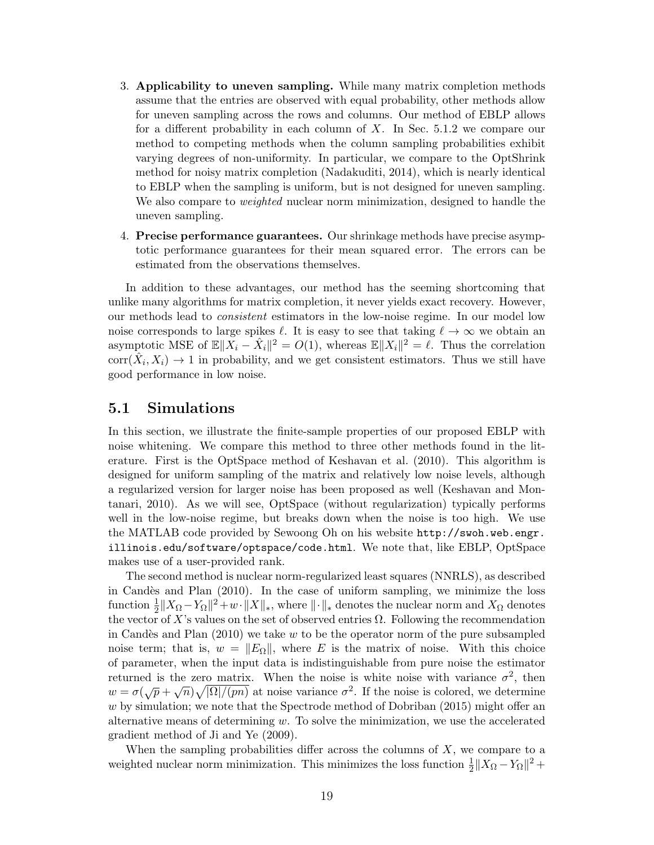- 3. Applicability to uneven sampling. While many matrix completion methods assume that the entries are observed with equal probability, other methods allow for uneven sampling across the rows and columns. Our method of EBLP allows for a different probability in each column of X. In Sec. [5.1.2](#page-19-0) we compare our method to competing methods when the column sampling probabilities exhibit varying degrees of non-uniformity. In particular, we compare to the OptShrink method for noisy matrix completion [\(Nadakuditi,](#page-37-6) [2014\)](#page-37-6), which is nearly identical to EBLP when the sampling is uniform, but is not designed for uneven sampling. We also compare to *weighted* nuclear norm minimization, designed to handle the uneven sampling.
- 4. Precise performance guarantees. Our shrinkage methods have precise asymptotic performance guarantees for their mean squared error. The errors can be estimated from the observations themselves.

In addition to these advantages, our method has the seeming shortcoming that unlike many algorithms for matrix completion, it never yields exact recovery. However, our methods lead to consistent estimators in the low-noise regime. In our model low noise corresponds to large spikes  $\ell$ . It is easy to see that taking  $\ell \to \infty$  we obtain an asymptotic MSE of  $\mathbb{E} \|\bar{X}_i - \hat{X}_i\|^2 = O(1)$ , whereas  $\mathbb{E} \|X_i\|^2 = \ell$ . Thus the correlation corr $(X_i, X_i) \to 1$  in probability, and we get consistent estimators. Thus we still have good performance in low noise.

#### <span id="page-18-0"></span>5.1 Simulations

In this section, we illustrate the finite-sample properties of our proposed EBLP with noise whitening. We compare this method to three other methods found in the literature. First is the OptSpace method of [Keshavan et al.](#page-37-11) [\(2010\)](#page-37-11). This algorithm is designed for uniform sampling of the matrix and relatively low noise levels, although a regularized version for larger noise has been proposed as well [\(Keshavan and Mon](#page-37-17)[tanari,](#page-37-17) [2010\)](#page-37-17). As we will see, OptSpace (without regularization) typically performs well in the low-noise regime, but breaks down when the noise is too high. We use the MATLAB code provided by Sewoong Oh on his website [http://swoh.web.engr.](http://swoh.web.engr.illinois.edu/software/optspace/code.html) [illinois.edu/software/optspace/code.html](http://swoh.web.engr.illinois.edu/software/optspace/code.html). We note that, like EBLP, OptSpace makes use of a user-provided rank.

The second method is nuclear norm-regularized least squares (NNRLS), as described in Candès and Plan  $(2010)$ . In the case of uniform sampling, we minimize the loss function  $\frac{1}{2}||X_{\Omega} - Y_{\Omega}||^2 + w \cdot ||X||_*$ , where  $|| \cdot ||_*$  denotes the nuclear norm and  $X_{\Omega}$  denotes the vector of X's values on the set of observed entries  $\Omega$ . Following the recommendation in Candès and Plan  $(2010)$  we take w to be the operator norm of the pure subsampled noise term; that is,  $w = ||E_{\Omega}||$ , where E is the matrix of noise. With this choice of parameter, when the input data is indistinguishable from pure noise the estimator returned is the zero matrix. When the noise is white noise with variance  $\sigma^2$ , then Feturied is the zero matrix. When the holder is while holder with variance  $\sigma$ , then  $w = \sigma(\sqrt{p} + \sqrt{n})\sqrt{|\Omega|/(pn)}$  at noise variance  $\sigma^2$ . If the noise is colored, we determine  $w$  by simulation; we note that the Spectrode method of [Dobriban](#page-36-18)  $(2015)$  might offer an alternative means of determining  $w$ . To solve the minimization, we use the accelerated gradient method of [Ji and Ye](#page-36-19) [\(2009\)](#page-36-19).

When the sampling probabilities differ across the columns of  $X$ , we compare to a weighted nuclear norm minimization. This minimizes the loss function  $\frac{1}{2}||X_{\Omega} - Y_{\Omega}||^2$  +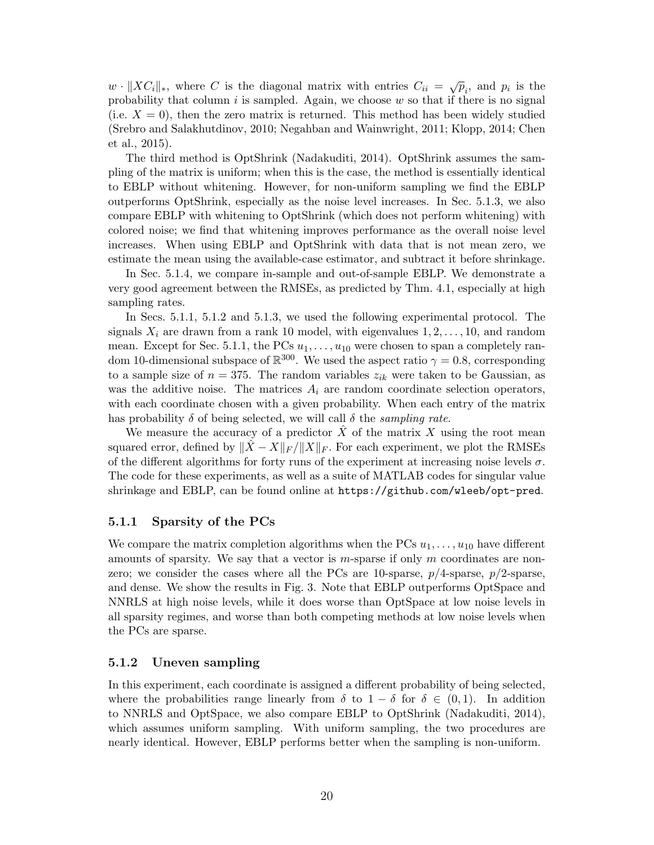$w \cdot ||XC_i||_*$ , where C is the diagonal matrix with entries  $C_{ii} = \sqrt{p_i}$ , and  $p_i$  is the probability that column  $i$  is sampled. Again, we choose  $w$  so that if there is no signal (i.e.  $X = 0$ ), then the zero matrix is returned. This method has been widely studied [\(Srebro and Salakhutdinov,](#page-38-8) [2010;](#page-38-8) [Negahban and Wainwright,](#page-37-13) [2011;](#page-37-13) [Klopp,](#page-37-18) [2014;](#page-37-18) [Chen](#page-36-20) [et al.,](#page-36-20) [2015\)](#page-36-20).

The third method is OptShrink [\(Nadakuditi,](#page-37-6) [2014\)](#page-37-6). OptShrink assumes the sampling of the matrix is uniform; when this is the case, the method is essentially identical to EBLP without whitening. However, for non-uniform sampling we find the EBLP outperforms OptShrink, especially as the noise level increases. In Sec. [5.1.3,](#page-20-0) we also compare EBLP with whitening to OptShrink (which does not perform whitening) with colored noise; we find that whitening improves performance as the overall noise level increases. When using EBLP and OptShrink with data that is not mean zero, we estimate the mean using the available-case estimator, and subtract it before shrinkage.

In Sec. [5.1.4,](#page-21-0) we compare in-sample and out-of-sample EBLP. We demonstrate a very good agreement between the RMSEs, as predicted by Thm. [4.1,](#page-17-1) especially at high sampling rates.

In Secs. [5.1.1,](#page-19-1) [5.1.2](#page-19-0) and [5.1.3,](#page-20-0) we used the following experimental protocol. The signals  $X_i$  are drawn from a rank 10 model, with eigenvalues  $1, 2, \ldots, 10$ , and random mean. Except for Sec. [5.1.1,](#page-19-1) the PCs  $u_1, \ldots, u_{10}$  were chosen to span a completely random 10-dimensional subspace of  $\mathbb{R}^{300}$ . We used the aspect ratio  $\gamma = 0.8$ , corresponding to a sample size of  $n = 375$ . The random variables  $z_{ik}$  were taken to be Gaussian, as was the additive noise. The matrices  $A_i$  are random coordinate selection operators, with each coordinate chosen with a given probability. When each entry of the matrix has probability  $\delta$  of being selected, we will call  $\delta$  the sampling rate.

We measure the accuracy of a predictor  $\hat{X}$  of the matrix X using the root mean squared error, defined by  $||X - X||_F / ||X||_F$ . For each experiment, we plot the RMSEs of the different algorithms for forty runs of the experiment at increasing noise levels  $\sigma$ . The code for these experiments, as well as a suite of MATLAB codes for singular value shrinkage and EBLP, can be found online at <https://github.com/wleeb/opt-pred>.

#### <span id="page-19-1"></span>5.1.1 Sparsity of the PCs

We compare the matrix completion algorithms when the PCs  $u_1, \ldots, u_{10}$  have different amounts of sparsity. We say that a vector is  $m$ -sparse if only  $m$  coordinates are nonzero; we consider the cases where all the PCs are 10-sparse,  $p/4$ -sparse,  $p/2$ -sparse, and dense. We show the results in Fig. [3.](#page-20-1) Note that EBLP outperforms OptSpace and NNRLS at high noise levels, while it does worse than OptSpace at low noise levels in all sparsity regimes, and worse than both competing methods at low noise levels when the PCs are sparse.

#### <span id="page-19-0"></span>5.1.2 Uneven sampling

In this experiment, each coordinate is assigned a different probability of being selected, where the probabilities range linearly from  $\delta$  to  $1 - \delta$  for  $\delta \in (0,1)$ . In addition to NNRLS and OptSpace, we also compare EBLP to OptShrink [\(Nadakuditi,](#page-37-6) [2014\)](#page-37-6), which assumes uniform sampling. With uniform sampling, the two procedures are nearly identical. However, EBLP performs better when the sampling is non-uniform.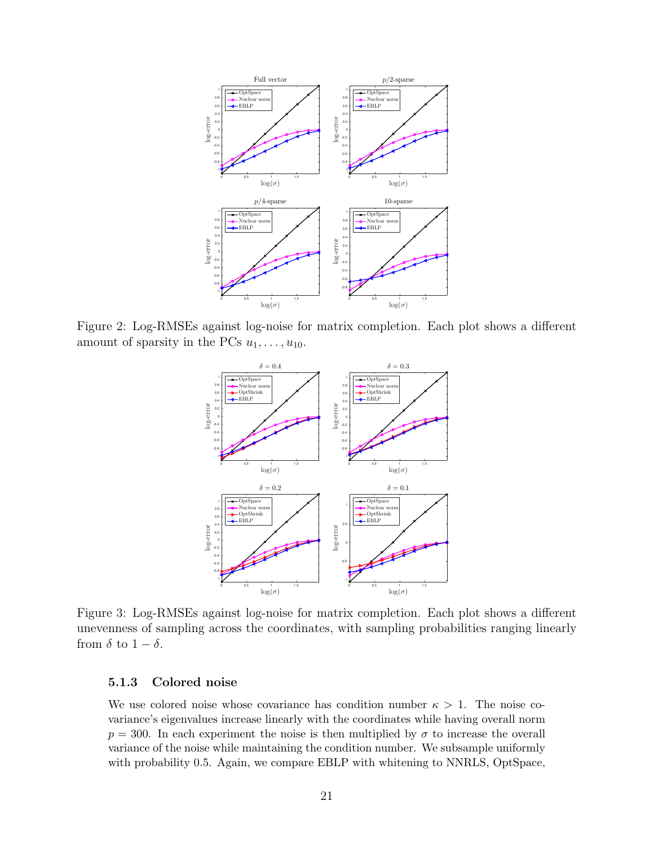

<span id="page-20-1"></span>Figure 2: Log-RMSEs against log-noise for matrix completion. Each plot shows a different amount of sparsity in the PCs  $u_1, \ldots, u_{10}$ .



Figure 3: Log-RMSEs against log-noise for matrix completion. Each plot shows a different unevenness of sampling across the coordinates, with sampling probabilities ranging linearly from  $\delta$  to  $1 - \delta$ .

#### <span id="page-20-0"></span>5.1.3 Colored noise

We use colored noise whose covariance has condition number  $\kappa > 1$ . The noise covariance's eigenvalues increase linearly with the coordinates while having overall norm  $p = 300$ . In each experiment the noise is then multiplied by  $\sigma$  to increase the overall variance of the noise while maintaining the condition number. We subsample uniformly with probability 0.5. Again, we compare EBLP with whitening to NNRLS, OptSpace,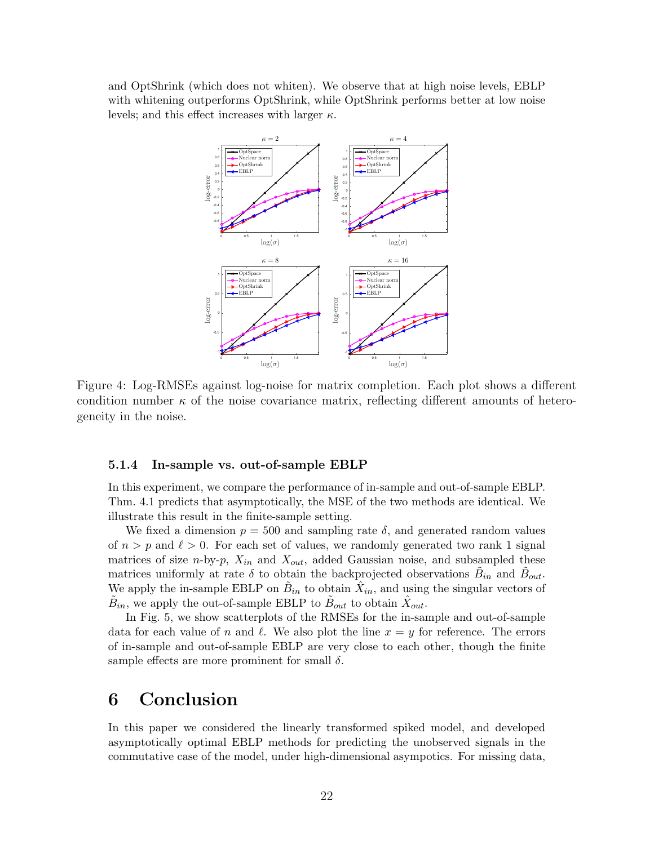and OptShrink (which does not whiten). We observe that at high noise levels, EBLP with whitening outperforms OptShrink, while OptShrink performs better at low noise levels; and this effect increases with larger  $\kappa$ .



Figure 4: Log-RMSEs against log-noise for matrix completion. Each plot shows a different condition number  $\kappa$  of the noise covariance matrix, reflecting different amounts of heterogeneity in the noise.

#### <span id="page-21-0"></span>5.1.4 In-sample vs. out-of-sample EBLP

In this experiment, we compare the performance of in-sample and out-of-sample EBLP. Thm. [4.1](#page-17-1) predicts that asymptotically, the MSE of the two methods are identical. We illustrate this result in the finite-sample setting.

We fixed a dimension  $p = 500$  and sampling rate  $\delta$ , and generated random values of  $n > p$  and  $\ell > 0$ . For each set of values, we randomly generated two rank 1 signal matrices of size *n*-by-*p*,  $X_{in}$  and  $X_{out}$ , added Gaussian noise, and subsampled these matrices uniformly at rate  $\delta$  to obtain the backprojected observations  $\tilde{B}_{in}$  and  $\tilde{B}_{out}$ . We apply the in-sample EBLP on  $\tilde{B}_{in}$  to obtain  $\hat{X}_{in}$ , and using the singular vectors of  $\tilde{B}_{in}$ , we apply the out-of-sample EBLP to  $\tilde{B}_{out}$  to obtain  $\hat{X}_{out}$ .

In Fig. [5,](#page-22-0) we show scatterplots of the RMSEs for the in-sample and out-of-sample data for each value of n and  $\ell$ . We also plot the line  $x = y$  for reference. The errors of in-sample and out-of-sample EBLP are very close to each other, though the finite sample effects are more prominent for small  $\delta$ .

## 6 Conclusion

In this paper we considered the linearly transformed spiked model, and developed asymptotically optimal EBLP methods for predicting the unobserved signals in the commutative case of the model, under high-dimensional asympotics. For missing data,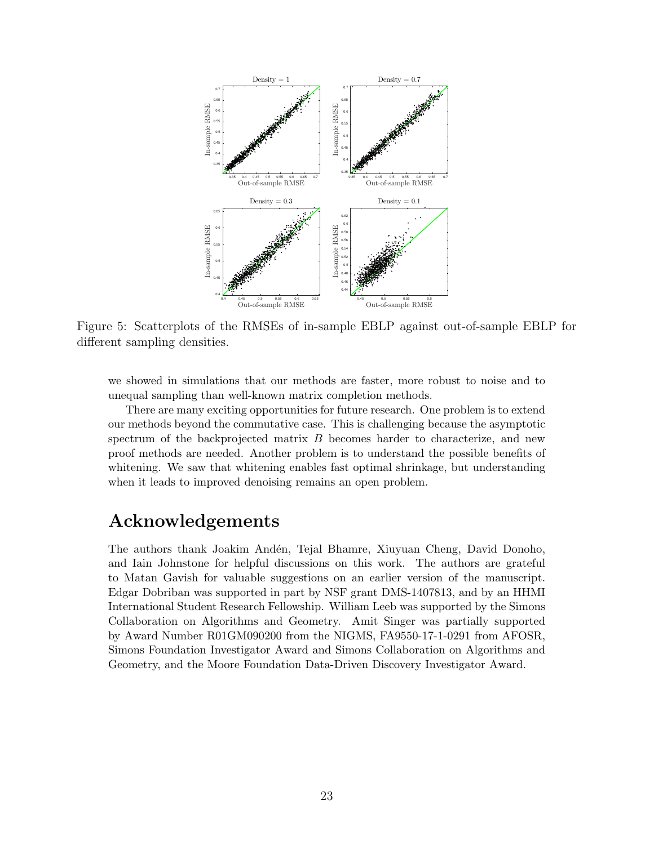<span id="page-22-0"></span>

Figure 5: Scatterplots of the RMSEs of in-sample EBLP against out-of-sample EBLP for different sampling densities.

we showed in simulations that our methods are faster, more robust to noise and to unequal sampling than well-known matrix completion methods.

There are many exciting opportunities for future research. One problem is to extend our methods beyond the commutative case. This is challenging because the asymptotic spectrum of the backprojected matrix B becomes harder to characterize, and new proof methods are needed. Another problem is to understand the possible benefits of whitening. We saw that whitening enables fast optimal shrinkage, but understanding when it leads to improved denoising remains an open problem.

## Acknowledgements

The authors thank Joakim Andén, Tejal Bhamre, Xiuyuan Cheng, David Donoho, and Iain Johnstone for helpful discussions on this work. The authors are grateful to Matan Gavish for valuable suggestions on an earlier version of the manuscript. Edgar Dobriban was supported in part by NSF grant DMS-1407813, and by an HHMI International Student Research Fellowship. William Leeb was supported by the Simons Collaboration on Algorithms and Geometry. Amit Singer was partially supported by Award Number R01GM090200 from the NIGMS, FA9550-17-1-0291 from AFOSR, Simons Foundation Investigator Award and Simons Collaboration on Algorithms and Geometry, and the Moore Foundation Data-Driven Discovery Investigator Award.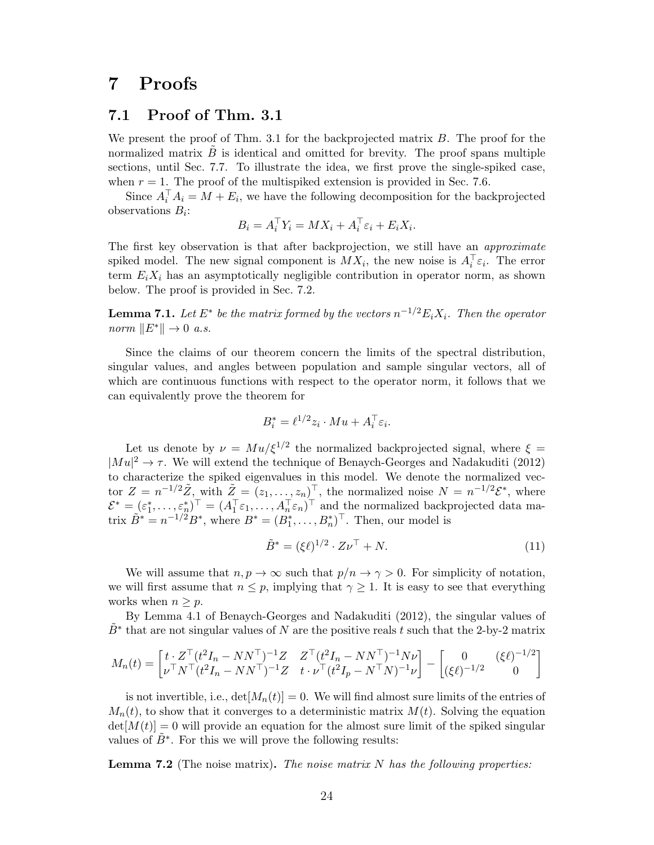## 7 Proofs

### <span id="page-23-0"></span>7.1 Proof of Thm. [3.1](#page-10-0)

We present the proof of Thm. [3.1](#page-10-0) for the backprojected matrix B. The proof for the normalized matrix  $B$  is identical and omitted for brevity. The proof spans multiple sections, until Sec. [7.7.](#page-31-0) To illustrate the idea, we first prove the single-spiked case, when  $r = 1$ . The proof of the multispiked extension is provided in Sec. [7.6.](#page-30-0)

Since  $A_i^\top A_i = M + E_i$ , we have the following decomposition for the backprojected observations  $B_i$ :

$$
B_i = A_i^{\top} Y_i = M X_i + A_i^{\top} \varepsilon_i + E_i X_i.
$$

The first key observation is that after backprojection, we still have an *approximate* spiked model. The new signal component is  $MX_i$ , the new noise is  $A_i^{\top} \varepsilon_i$ . The error term  $E_i X_i$  has an asymptotically negligible contribution in operator norm, as shown below. The proof is provided in Sec. [7.2.](#page-26-0)

<span id="page-23-2"></span>**Lemma 7.1.** Let  $E^*$  be the matrix formed by the vectors  $n^{-1/2}E_iX_i$ . Then the operator norm  $||E^*|| \to 0$  a.s.

Since the claims of our theorem concern the limits of the spectral distribution, singular values, and angles between population and sample singular vectors, all of which are continuous functions with respect to the operator norm, it follows that we can equivalently prove the theorem for

$$
B_i^* = \ell^{1/2} z_i \cdot Mu + A_i^{\top} \varepsilon_i.
$$

Let us denote by  $\nu = M u/\xi^{1/2}$  the normalized backprojected signal, where  $\xi =$  $|Mu|^2 \to \tau$ . We will extend the technique of [Benaych-Georges and Nadakuditi](#page-35-5) [\(2012\)](#page-35-5) to characterize the spiked eigenvalues in this model. We denote the normalized vector  $Z = n^{-1/2}\tilde{Z}$ , with  $\tilde{Z} = (z_1, \ldots, z_n)^\top$ , the normalized noise  $N = n^{-1/2}\mathcal{E}^*$ , where  $\mathcal{E}^* = (\varepsilon_1^*, \ldots, \varepsilon_n^*)^\top = (A_1^\top \varepsilon_1, \ldots, A_n^\top \varepsilon_n)^\top$  and the normalized backprojected data matrix  $\tilde{B}^* = n^{-1/2} B^*$ , where  $B^* = (B_1^*, \ldots, B_n^*)^\top$ . Then, our model is

$$
\tilde{B}^* = (\xi \ell)^{1/2} \cdot Z \nu^\top + N. \tag{11}
$$

We will assume that  $n, p \to \infty$  such that  $p/n \to \gamma > 0$ . For simplicity of notation, we will first assume that  $n \leq p$ , implying that  $\gamma \geq 1$ . It is easy to see that everything works when  $n \geq p$ .

By Lemma 4.1 of [Benaych-Georges and Nadakuditi](#page-35-5) [\(2012\)](#page-35-5), the singular values of  $\tilde{B}^*$  that are not singular values of N are the positive reals t such that the 2-by-2 matrix

$$
M_n(t) = \begin{bmatrix} t \cdot Z^\top (t^2 I_n - N N^\top)^{-1} Z & Z^\top (t^2 I_n - N N^\top)^{-1} N \nu \\ \nu^\top N^\top (t^2 I_n - N N^\top)^{-1} Z & t \cdot \nu^\top (t^2 I_p - N^\top N)^{-1} \nu \end{bmatrix} - \begin{bmatrix} 0 & (\xi \ell)^{-1/2} \\ (\xi \ell)^{-1/2} & 0 \end{bmatrix}
$$

is not invertible, i.e.,  $det[M_n(t)] = 0$ . We will find almost sure limits of the entries of  $M_n(t)$ , to show that it converges to a deterministic matrix  $M(t)$ . Solving the equation  $det[M(t)] = 0$  will provide an equation for the almost sure limit of the spiked singular values of  $\tilde{B}^*$ . For this we will prove the following results:

<span id="page-23-1"></span>**Lemma 7.2** (The noise matrix). The noise matrix  $N$  has the following properties: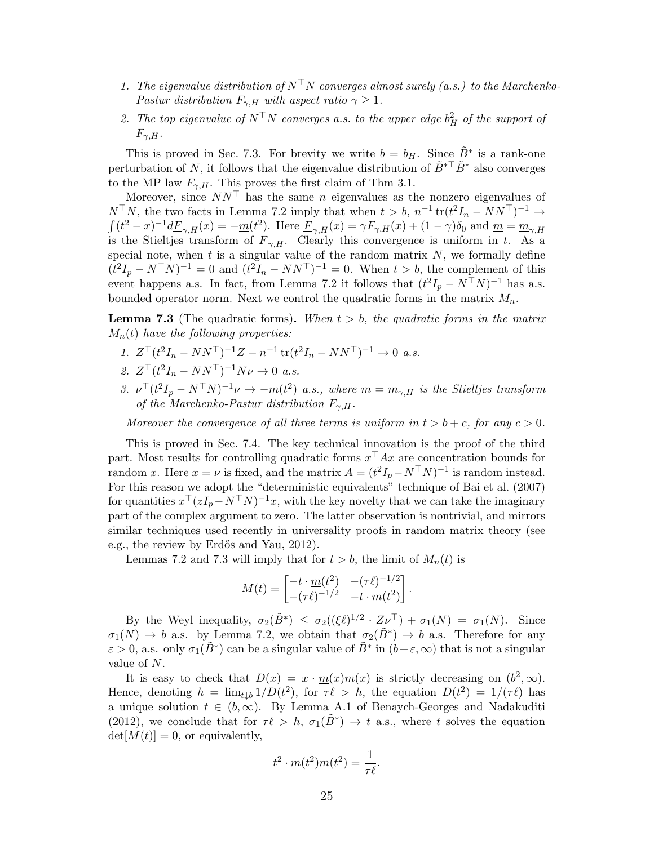- 1. The eigenvalue distribution of  $N^{\top}N$  converges almost surely (a.s.) to the Marchenko-Pastur distribution  $F_{\gamma,H}$  with aspect ratio  $\gamma \geq 1$ .
- 2. The top eigenvalue of  $N^{\top}N$  converges a.s. to the upper edge  $b_H^2$  of the support of  $F_{\gamma,H}.$

This is proved in Sec. [7.3.](#page-27-0) For brevity we write  $b = b_H$ . Since  $\tilde{B}^*$  is a rank-one perturbation of N, it follows that the eigenvalue distribution of  $\tilde{B}^{*T} \tilde{B}^*$  also converges to the MP law  $F_{\gamma,H}$ . This proves the first claim of Thm [3.1.](#page-10-0)

Moreover, since  $NN^{\top}$  has the same n eigenvalues as the nonzero eigenvalues of  $N^{\top}N$ , the two facts in Lemma [7.2](#page-23-1) imply that when  $t > b$ ,  $n^{-1} \text{tr}(t^2 I_n - NN^{\top})^{-1} \rightarrow$  $\int (t^2 - x)^{-1} d\underline{F}_{\gamma,H}(x) = -\underline{m}(t^2)$ . Here  $\underline{F}_{\gamma,H}(x) = \gamma F_{\gamma,H}(x) + (1 - \gamma)\delta_0$  and  $\underline{m} = \underline{m}_{\gamma,H}(x)$ is the Stieltjes transform of  $\underline{F}_{\gamma,H}$ . Clearly this convergence is uniform in t. As a special note, when  $t$  is a singular value of the random matrix  $N$ , we formally define  $(t^2I_p - N^TN)^{-1} = 0$  and  $(t^2I_n - NN^T)^{-1} = 0$ . When  $t > b$ , the complement of this event happens a.s. In fact, from Lemma [7.2](#page-23-1) it follows that  $(t^2I_p - N^TN)^{-1}$  has a.s. bounded operator norm. Next we control the quadratic forms in the matrix  $M_n$ .

<span id="page-24-0"></span>**Lemma 7.3** (The quadratic forms). When  $t > b$ , the quadratic forms in the matrix  $M_n(t)$  have the following properties:

- 1.  $Z^{\top} (t^2 I_n NN^{\top})^{-1} Z n^{-1} \operatorname{tr} (t^2 I_n NN^{\top})^{-1} \to 0$  a.s.
- 2.  $Z^{\top}(t^2 I_n NN^{\top})^{-1} N \nu \to 0$  a.s.
- 3.  $\nu^{\top}(t^2I_p N^{\top}N)^{-1}\nu \to -m(t^2)$  a.s., where  $m = m_{\gamma,H}$  is the Stieltjes transform of the Marchenko-Pastur distribution  $F_{\gamma,H}$ .

Moreover the convergence of all three terms is uniform in  $t > b + c$ , for any  $c > 0$ .

This is proved in Sec. [7.4.](#page-28-0) The key technical innovation is the proof of the third part. Most results for controlling quadratic forms  $x^{\top}Ax$  are concentration bounds for random x. Here  $x = \nu$  is fixed, and the matrix  $A = (t^2I_p - N^TN)^{-1}$  is random instead. For this reason we adopt the "deterministic equivalents" technique of [Bai et al.](#page-35-12) [\(2007\)](#page-35-12) for quantities  $x^{\top} (zI_p - N^{\top}N)^{-1}x$ , with the key novelty that we can take the imaginary part of the complex argument to zero. The latter observation is nontrivial, and mirrors similar techniques used recently in universality proofs in random matrix theory (see e.g., the review by Erdős and Yau, [2012\)](#page-36-21).

Lemmas [7.2](#page-23-1) and [7.3](#page-24-0) will imply that for  $t > b$ , the limit of  $M_n(t)$  is

$$
M(t) = \begin{bmatrix} -t \cdot \underline{m}(t^2) & -(\tau \ell)^{-1/2} \\ -(\tau \ell)^{-1/2} & -t \cdot m(t^2) \end{bmatrix}.
$$

By the Weyl inequality,  $\sigma_2(\tilde{B}^*) \leq \sigma_2((\xi \ell)^{1/2} \cdot Z \nu^{\top}) + \sigma_1(N) = \sigma_1(N)$ . Since  $\sigma_1(N) \to b$  a.s. by Lemma [7.2,](#page-23-1) we obtain that  $\sigma_2(\tilde{B}^*) \to b$  a.s. Therefore for any  $\varepsilon > 0$ , a.s. only  $\sigma_1(\tilde{B}^*)$  can be a singular value of  $\tilde{B}^*$  in  $(b+\varepsilon,\infty)$  that is not a singular value of N.

It is easy to check that  $D(x) = x \cdot \underline{m}(x) m(x)$  is strictly decreasing on  $(b^2, \infty)$ . Hence, denoting  $h = \lim_{t \downarrow b} 1/D(t^2)$ , for  $\tau \ell > h$ , the equation  $D(t^2) = 1/(\tau \ell)$  has a unique solution  $t \in (b, \infty)$ . By Lemma A.1 of [Benaych-Georges and Nadakuditi](#page-35-5) [\(2012\)](#page-35-5), we conclude that for  $\tau \ell > h$ ,  $\sigma_1(\tilde{B}^*) \to t$  a.s., where t solves the equation  $det[M(t)] = 0$ , or equivalently,

$$
t^2 \cdot \underline{m}(t^2)m(t^2) = \frac{1}{\tau \ell}.
$$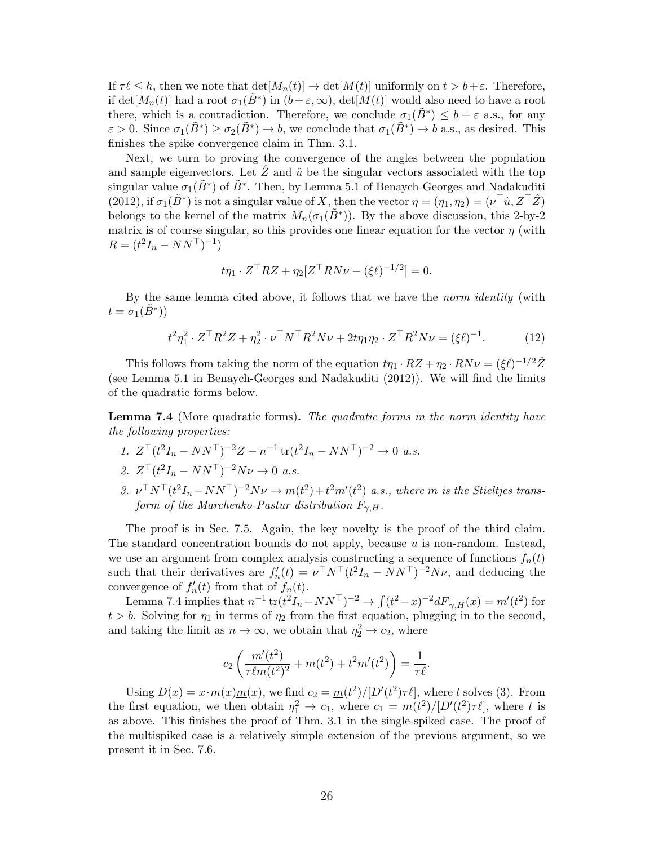If  $\tau \ell \leq h$ , then we note that  $\det[M_n(t)] \to \det[M(t)]$  uniformly on  $t > b + \varepsilon$ . Therefore, if det $[M_n(t)]$  had a root  $\sigma_1(\tilde{B}^*)$  in  $(b+\varepsilon,\infty)$ , det $[M(t)]$  would also need to have a root there, which is a contradiction. Therefore, we conclude  $\sigma_1(\tilde{B}^*) \leq b + \varepsilon$  a.s., for any  $\varepsilon > 0$ . Since  $\sigma_1(\tilde{B}^*) \geq \sigma_2(\tilde{B}^*) \to b$ , we conclude that  $\sigma_1(\tilde{B}^*) \to b$  a.s., as desired. This finishes the spike convergence claim in Thm. [3.1.](#page-10-0)

Next, we turn to proving the convergence of the angles between the population and sample eigenvectors. Let  $\tilde{Z}$  and  $\hat{u}$  be the singular vectors associated with the top singular value  $\sigma_1(\tilde{B}^*)$  of  $\tilde{B}^*$ . Then, by Lemma 5.1 of [Benaych-Georges and Nadakuditi](#page-35-5) [\(2012\)](#page-35-5), if  $\sigma_1(\tilde{B}^*)$  is not a singular value of X, then the vector  $\eta = (\eta_1, \eta_2) = (\nu^\top \hat{u}, Z^\top \hat{Z})$ belongs to the kernel of the matrix  $M_n(\sigma_1(\tilde{B}^*))$ . By the above discussion, this 2-by-2 matrix is of course singular, so this provides one linear equation for the vector  $\eta$  (with  $R = (t^2 I_n - NN^{\top})^{-1})$ 

$$
t\eta_1 \cdot Z^{\top} R Z + \eta_2 [Z^{\top} R N \nu - (\xi \ell)^{-1/2}] = 0.
$$

By the same lemma cited above, it follows that we have the *norm identity* (with  $t = \sigma_1(\tilde{B}^*))$ 

$$
t^2 \eta_1^2 \cdot Z^\top R^2 Z + \eta_2^2 \cdot \nu^\top N^\top R^2 N \nu + 2t \eta_1 \eta_2 \cdot Z^\top R^2 N \nu = (\xi \ell)^{-1}.
$$
 (12)

This follows from taking the norm of the equation  $t\eta_1 \cdot RZ + \eta_2 \cdot RN\nu = (\xi \ell)^{-1/2}\hat{Z}$ (see Lemma 5.1 in [Benaych-Georges and Nadakuditi](#page-35-5) [\(2012\)](#page-35-5)). We will find the limits of the quadratic forms below.

<span id="page-25-0"></span>**Lemma 7.4** (More quadratic forms). The quadratic forms in the norm identity have the following properties:

- 1.  $Z^{\top} (t^2 I_n NN^{\top})^{-2} Z n^{-1} \operatorname{tr} (t^2 I_n NN^{\top})^{-2} \to 0$  a.s.
- 2.  $Z^{\top}(t^2 I_n NN^{\top})^{-2} N \nu \to 0$  a.s.
- 3.  $\nu^{\top} N^{\top} (t^2 I_n N N^{\top})^{-2} N \nu \rightarrow m(t^2) + t^2 m'(t^2)$  a.s., where m is the Stieltjes transform of the Marchenko-Pastur distribution  $F_{\gamma,H}$ .

The proof is in Sec. [7.5.](#page-29-0) Again, the key novelty is the proof of the third claim. The standard concentration bounds do not apply, because  $u$  is non-random. Instead, we use an argument from complex analysis constructing a sequence of functions  $f_n(t)$ such that their derivatives are  $f'_n(t) = \nu^\top N^\top (t^2 I_n - NN^\top)^{-2} N \nu$ , and deducing the convergence of  $f'_n(t)$  from that of  $f_n(t)$ .

Lemma [7.4](#page-25-0) implies that  $n^{-1} \text{tr}(t^2 I_n - NN^\top)^{-2} \to \int (t^2 - x)^{-2} d\underline{F}_{\gamma,H}(x) = \underline{m}'(t^2)$  for  $t > b$ . Solving for  $\eta_1$  in terms of  $\eta_2$  from the first equation, plugging in to the second, and taking the limit as  $n \to \infty$ , we obtain that  $\eta_2^2 \to c_2$ , where

$$
c_2\left(\frac{m'(t^2)}{\tau\ell\underline{m}(t^2)^2} + m(t^2) + t^2m'(t^2)\right) = \frac{1}{\tau\ell}.
$$

Using  $D(x) = x \cdot m(x) \underline{m}(x)$ , we find  $c_2 = \underline{m}(t^2) / [D'(t^2) \tau \ell]$ , where t solves [\(3\)](#page-10-1). From the first equation, we then obtain  $\eta_1^2 \to c_1$ , where  $c_1 = m(t^2)/[D'(t^2)\tau \ell]$ , where t is as above. This finishes the proof of Thm. [3.1](#page-10-0) in the single-spiked case. The proof of the multispiked case is a relatively simple extension of the previous argument, so we present it in Sec. [7.6.](#page-30-0)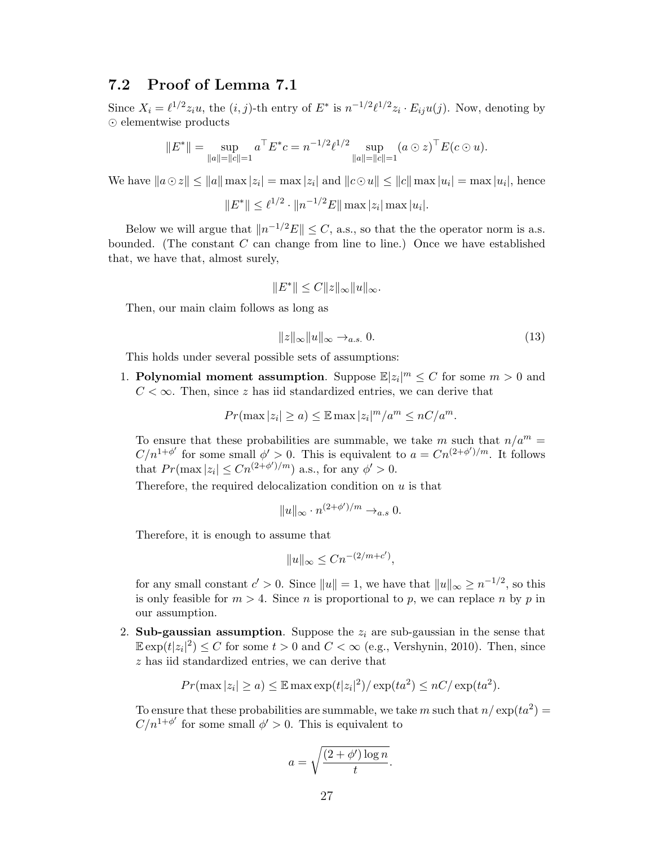## <span id="page-26-0"></span>7.2 Proof of Lemma [7.1](#page-23-2)

Since  $X_i = \ell^{1/2} z_i u$ , the  $(i, j)$ -th entry of  $E^*$  is  $n^{-1/2} \ell^{1/2} z_i \cdot E_{ij} u(j)$ . Now, denoting by  $\odot$  elementwise products

$$
||E^*|| = \sup_{||a||=||c||=1} a^{\top} E^* c = n^{-1/2} \ell^{1/2} \sup_{||a||=||c||=1} (a \odot z)^{\top} E(c \odot u).
$$

We have  $||a \odot z|| \le ||a|| \max |z_i| = \max |z_i|$  and  $||c \odot u|| \le ||c|| \max |u_i| = \max |u_i|$ , hence

 $||E^*|| \leq \ell^{1/2} \cdot ||n^{-1/2}E|| \max |z_i| \max |u_i|.$ 

Below we will argue that  $||n^{-1/2}E|| \leq C$ , a.s., so that the the operator norm is a.s. bounded. (The constant  $C$  can change from line to line.) Once we have established that, we have that, almost surely,

$$
||E^*|| \leq C||z||_{\infty}||u||_{\infty}.
$$

Then, our main claim follows as long as

$$
||z||_{\infty}||u||_{\infty} \to_{a.s.} 0. \tag{13}
$$

This holds under several possible sets of assumptions:

1. Polynomial moment assumption. Suppose  $\mathbb{E}|z_i|^m \leq C$  for some  $m > 0$  and  $C < \infty$ . Then, since z has iid standardized entries, we can derive that

$$
Pr(\max |z_i| \ge a) \le \mathbb{E} \max |z_i|^m / a^m \le nC/a^m.
$$

To ensure that these probabilities are summable, we take m such that  $n/a^m$  =  $C/n^{1+\phi'}$  for some small  $\phi' > 0$ . This is equivalent to  $a = Cn^{(2+\phi')/m}$ . It follows that  $Pr(\max |z_i| \leq Cn^{(2+\phi')/m})$  a.s., for any  $\phi' > 0$ .

Therefore, the required delocalization condition on  $u$  is that

$$
||u||_{\infty} \cdot n^{(2+\phi')/m} \to_{a.s} 0.
$$

Therefore, it is enough to assume that

$$
||u||_{\infty} \leq Cn^{-(2/m+c')},
$$

for any small constant  $c' > 0$ . Since  $||u|| = 1$ , we have that  $||u||_{\infty} \geq n^{-1/2}$ , so this is only feasible for  $m > 4$ . Since *n* is proportional to *p*, we can replace *n* by *p* in our assumption.

2. Sub-gaussian assumption. Suppose the  $z_i$  are sub-gaussian in the sense that  $\mathbb{E} \exp(t|z_i|^2) \leq C$  for some  $t > 0$  and  $C < \infty$  (e.g., [Vershynin,](#page-38-9) [2010\)](#page-38-9). Then, since z has iid standardized entries, we can derive that

$$
Pr(\max |z_i| \ge a) \le \mathbb{E} \max \exp(t|z_i|^2) / \exp(ta^2) \le nC/\exp(ta^2).
$$

To ensure that these probabilities are summable, we take m such that  $n / \exp(t a^2) =$  $C/n^{1+\phi'}$  for some small  $\phi' > 0$ . This is equivalent to

$$
a = \sqrt{\frac{(2 + \phi') \log n}{t}}.
$$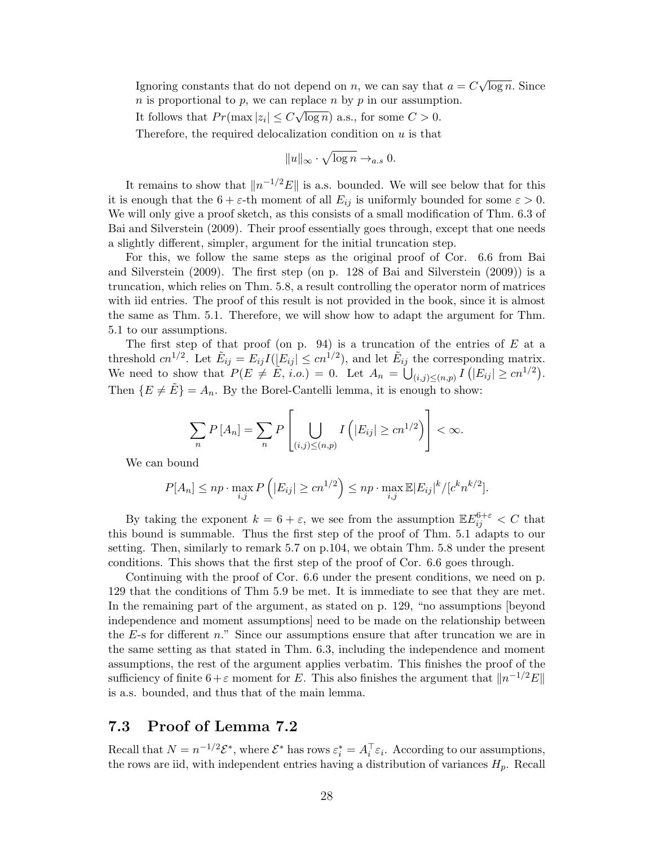Ignoring constants that do not depend on n, we can say that  $a = C$ √  $\overline{\log n}$ . Since  $n$  is proportional to  $p$ , we can replace  $n$  by  $p$  in our assumption. √

It follows that  $Pr(\max |z_i| \leq C)$  $\overline{\log n}$  a.s., for some  $C > 0$ .

Therefore, the required delocalization condition on  $u$  is that

$$
||u||_{\infty} \cdot \sqrt{\log n} \to_{a.s} 0.
$$

It remains to show that  $||n^{-1/2}E||$  is a.s. bounded. We will see below that for this it is enough that the  $6 + \varepsilon$ -th moment of all  $E_{ij}$  is uniformly bounded for some  $\varepsilon > 0$ . We will only give a proof sketch, as this consists of a small modification of Thm. 6.3 of [Bai and Silverstein](#page-35-0) [\(2009\)](#page-35-0). Their proof essentially goes through, except that one needs a slightly different, simpler, argument for the initial truncation step.

For this, we follow the same steps as the original proof of Cor. 6.6 from [Bai](#page-35-0) [and Silverstein](#page-35-0) [\(2009\)](#page-35-0). The first step (on p. 128 of [Bai and Silverstein](#page-35-0) [\(2009\)](#page-35-0)) is a truncation, which relies on Thm. 5.8, a result controlling the operator norm of matrices with iid entries. The proof of this result is not provided in the book, since it is almost the same as Thm. 5.1. Therefore, we will show how to adapt the argument for Thm. 5.1 to our assumptions.

The first step of that proof (on p. 94) is a truncation of the entries of  $E$  at a threshold  $cn^{1/2}$ . Let  $\tilde{E}_{ij} = E_{ij}I(|E_{ij}| \le cn^{1/2})$ , and let  $\tilde{E}_{ij}$  the corresponding matrix. We need to show that  $P(E \neq \tilde{E}, i.o.) = 0$ . Let  $A_n = \bigcup_{(i,j)\leq (n,p)} I(|E_{ij}| \geq cn^{1/2})$ . Then  $\{E \neq \tilde{E}\} = A_n$ . By the Borel-Cantelli lemma, it is enough to show:

$$
\sum_{n} P\left[A_{n}\right] = \sum_{n} P\left[\bigcup_{(i,j)\leq(n,p)} I\left(|E_{ij}| \geq cn^{1/2}\right)\right] < \infty.
$$

We can bound

$$
P[A_n] \le np \cdot \max_{i,j} P\left(|E_{ij}| \ge cn^{1/2}\right) \le np \cdot \max_{i,j} \mathbb{E}|E_{ij}|^k / [c^k n^{k/2}].
$$

By taking the exponent  $k = 6 + \varepsilon$ , we see from the assumption  $\mathbb{E} E_{ij}^{6+\varepsilon} < C$  that this bound is summable. Thus the first step of the proof of Thm. 5.1 adapts to our setting. Then, similarly to remark 5.7 on p.104, we obtain Thm. 5.8 under the present conditions. This shows that the first step of the proof of Cor. 6.6 goes through.

Continuing with the proof of Cor. 6.6 under the present conditions, we need on p. 129 that the conditions of Thm 5.9 be met. It is immediate to see that they are met. In the remaining part of the argument, as stated on p. 129, "no assumptions [beyond independence and moment assumptions] need to be made on the relationship between the  $E$ -s for different n." Since our assumptions ensure that after truncation we are in the same setting as that stated in Thm. 6.3, including the independence and moment assumptions, the rest of the argument applies verbatim. This finishes the proof of the sufficiency of finite  $6+\varepsilon$  moment for E. This also finishes the argument that  $||n^{-1/2}E||$ is a.s. bounded, and thus that of the main lemma.

## <span id="page-27-0"></span>7.3 Proof of Lemma [7.2](#page-23-1)

Recall that  $N = n^{-1/2} \mathcal{E}^*$ , where  $\mathcal{E}^*$  has rows  $\varepsilon_i^* = A_i^\top \varepsilon_i$ . According to our assumptions, the rows are iid, with independent entries having a distribution of variances  $H_p$ . Recall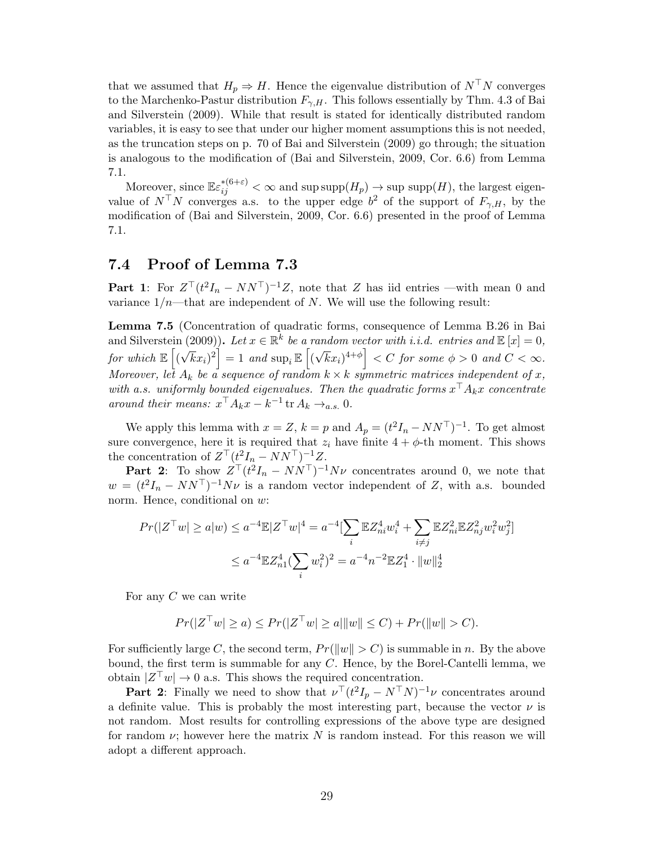that we assumed that  $H_p \Rightarrow H$ . Hence the eigenvalue distribution of  $N^{\top}N$  converges to the Marchenko-Pastur distribution  $F_{\gamma,H}$ . This follows essentially by Thm. 4.3 of [Bai](#page-35-0) [and Silverstein](#page-35-0) [\(2009\)](#page-35-0). While that result is stated for identically distributed random variables, it is easy to see that under our higher moment assumptions this is not needed, as the truncation steps on p. 70 of [Bai and Silverstein](#page-35-0) [\(2009\)](#page-35-0) go through; the situation is analogous to the modification of [\(Bai and Silverstein,](#page-35-0) [2009,](#page-35-0) Cor. 6.6) from Lemma [7.1.](#page-23-2)

Moreover, since  $\mathbb{E} \varepsilon_{ij}^{*(6+\varepsilon)} < \infty$  and sup supp $(H_p) \to \sup \sup(H)$ , the largest eigenvalue of  $N^{\top}N$  converges a.s. to the upper edge  $b^2$  of the support of  $F_{\gamma,H}$ , by the modification of [\(Bai and Silverstein,](#page-35-0) [2009,](#page-35-0) Cor. 6.6) presented in the proof of Lemma [7.1.](#page-23-2)

## <span id="page-28-0"></span>7.4 Proof of Lemma [7.3](#page-24-0)

**Part 1**: For  $Z^{\top}(t^2I_n - NN^{\top})^{-1}Z$ , note that Z has iid entries —with mean 0 and variance  $1/n$ —that are independent of N. We will use the following result:

Lemma 7.5 (Concentration of quadratic forms, consequence of Lemma B.26 in [Bai](#page-35-0) [and Silverstein](#page-35-0) [\(2009\)](#page-35-0)). Let  $x \in \mathbb{R}^k$  be a random vector with i.i.d. entries and  $\mathbb{E}[x] = 0$ , for which  $\mathbb{E}\left[ \left( \right.$ √  $[\overline{k}x_i)^2]=1$  and  $\sup_i \mathbb{E}\left[(\overline{k}x_i)^2\right]$ √  $\left.\overline{k}x_{i}\right)^{4+\phi}\right]0\,\,and\,\,C<\infty.$ Moreover, let  $A_k$  be a sequence of random  $k \times k$  symmetric matrices independent of x, with a.s. uniformly bounded eigenvalues. Then the quadratic forms  $x^{\top} A_k x$  concentrate around their means:  $x^\top A_k x - k^{-1}$  tr  $A_k \to_{a.s.} 0$ .

We apply this lemma with  $x = Z$ ,  $k = p$  and  $A_p = (t^2 I_n - NN^\top)^{-1}$ . To get almost sure convergence, here it is required that  $z_i$  have finite  $4 + \phi$ -th moment. This shows the concentration of  $Z^{\top} (t^2 I_n - NN^{\top})^{-1} Z$ .

**Part 2**: To show  $Z^{\top}(t^2I_n - NN^{\top})^{-1}N\nu$  concentrates around 0, we note that  $w = (t^2 I_n - N N^{\top})^{-1} N \nu$  is a random vector independent of Z, with a.s. bounded norm. Hence, conditional on  $w$ :

$$
Pr(|Z^{\top}w| \ge a|w) \le a^{-4} \mathbb{E}|Z^{\top}w|^4 = a^{-4} \left[\sum_{i} \mathbb{E}Z_{ni}^4 w_i^4 + \sum_{i \ne j} \mathbb{E}Z_{ni}^2 \mathbb{E}Z_{nj}^2 w_i^2 w_j^2\right]
$$
  

$$
\le a^{-4} \mathbb{E}Z_{n1}^4 (\sum_i w_i^2)^2 = a^{-4} n^{-2} \mathbb{E}Z_1^4 \cdot \|w\|_2^4
$$

For any C we can write

$$
Pr(|Z^{\top}w| \ge a) \le Pr(|Z^{\top}w| \ge a| ||w|| \le C) + Pr(||w|| > C).
$$

For sufficiently large C, the second term,  $Pr(||w|| > C)$  is summable in n. By the above bound, the first term is summable for any C. Hence, by the Borel-Cantelli lemma, we obtain  $|Z^{\top}w| \to 0$  a.s. This shows the required concentration.

**Part 2:** Finally we need to show that  $\nu$ <sup>T</sup> $(t^2 I_p - N^T N)^{-1} \nu$  concentrates around a definite value. This is probably the most interesting part, because the vector  $\nu$  is not random. Most results for controlling expressions of the above type are designed for random  $\nu$ ; however here the matrix N is random instead. For this reason we will adopt a different approach.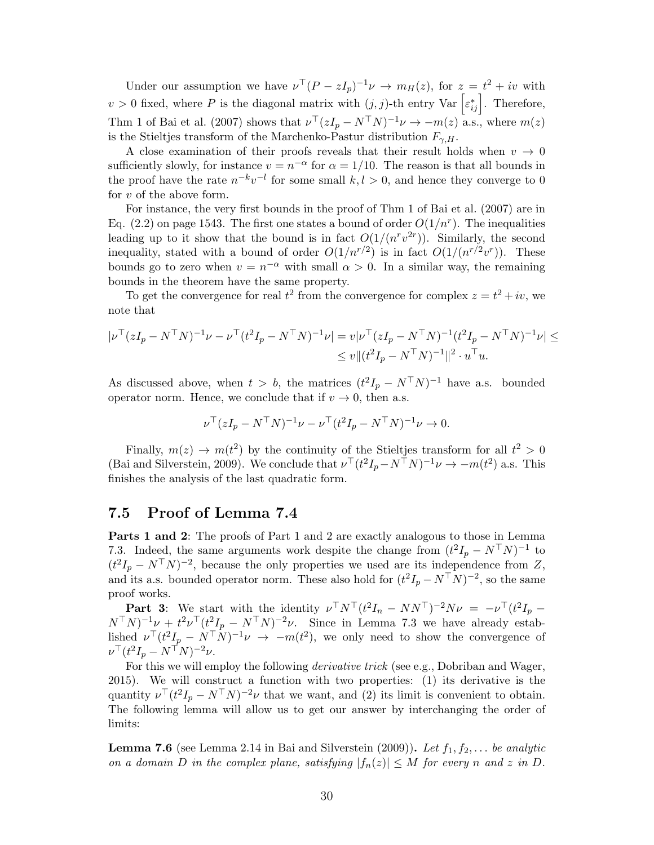Under our assumption we have  $\nu^{\top}(P - zI_p)^{-1}\nu \rightarrow m_H(z)$ , for  $z = t^2 + iv$  with  $v > 0$  fixed, where P is the diagonal matrix with  $(j, j)$ -th entry Var  $\left[\varepsilon_{ij}^*\right]$ . Therefore, Thm 1 of [Bai et al.](#page-35-12) [\(2007\)](#page-35-12) shows that  $\nu^{\top}(zI_p - N^{\top}N)^{-1}\nu \to -m(z)$  a.s., where  $m(z)$ is the Stieltjes transform of the Marchenko-Pastur distribution  $F_{\gamma,H}$ .

A close examination of their proofs reveals that their result holds when  $v \rightarrow 0$ sufficiently slowly, for instance  $v = n^{-\alpha}$  for  $\alpha = 1/10$ . The reason is that all bounds in the proof have the rate  $n^{-k}v^{-l}$  for some small  $k, l > 0$ , and hence they converge to 0 for  $v$  of the above form.

For instance, the very first bounds in the proof of Thm 1 of [Bai et al.](#page-35-12) [\(2007\)](#page-35-12) are in Eq. (2.2) on page 1543. The first one states a bound of order  $O(1/n<sup>r</sup>)$ . The inequalities leading up to it show that the bound is in fact  $O(1/(n^r v^{2r}))$ . Similarly, the second inequality, stated with a bound of order  $O(1/n^{r/2})$  is in fact  $O(1/(n^{r/2}v^r))$ . These bounds go to zero when  $v = n^{-\alpha}$  with small  $\alpha > 0$ . In a similar way, the remaining bounds in the theorem have the same property.

To get the convergence for real  $t^2$  from the convergence for complex  $z = t^2 + iv$ , we note that

$$
\begin{aligned} |\nu^\top (zI_p - N^\top N)^{-1} \nu - \nu^\top (t^2 I_p - N^\top N)^{-1} \nu| &= v |\nu^\top (zI_p - N^\top N)^{-1} (t^2 I_p - N^\top N)^{-1} \nu| \le \\ &\le v \| (t^2 I_p - N^\top N)^{-1} \|^2 \cdot u^\top u. \end{aligned}
$$

As discussed above, when  $t > b$ , the matrices  $(t^2I_p - N^TN)^{-1}$  have a.s. bounded operator norm. Hence, we conclude that if  $v \to 0$ , then a.s.

$$
\nu^{\top} (zI_p - N^{\top} N)^{-1} \nu - \nu^{\top} (t^2 I_p - N^{\top} N)^{-1} \nu \to 0.
$$

Finally,  $m(z) \to m(t^2)$  by the continuity of the Stieltjes transform for all  $t^2 > 0$ [\(Bai and Silverstein,](#page-35-0) [2009\)](#page-35-0). We conclude that  $\nu^{\top}(t^2I_p - N^{\top}N)^{-1}\nu \to -m(t^2)$  a.s. This finishes the analysis of the last quadratic form.

### <span id="page-29-0"></span>7.5 Proof of Lemma [7.4](#page-25-0)

Parts 1 and 2: The proofs of Part 1 and 2 are exactly analogous to those in Lemma [7.3.](#page-24-0) Indeed, the same arguments work despite the change from  $(t^2I_p - N^TN)^{-1}$  to  $(t^2 I_p - N^{\top} N)^{-2}$ , because the only properties we used are its independence from Z, and its a.s. bounded operator norm. These also hold for  $(t^2I_p - N^TN)^{-2}$ , so the same proof works.

**Part 3:** We start with the identity  $\nu^{\top} N^{\top} (t^2 I_n - N N^{\top})^{-2} N \nu = -\nu^{\top} (t^2 I_p (N^{\top}N)^{-1}\nu + t^2\nu^{\top}(t^2I_p - N^{\top}N)^{-2}\nu$ . Since in Lemma [7.3](#page-24-0) we have already established  $\nu^{\top}(t^2I_p - N^{\top}N)^{-1}\nu \rightarrow -m(t^2)$ , we only need to show the convergence of  $\nu^\top (t^2 I_p - N^\top N)^{-2} \nu.$ 

For this we will employ the following derivative trick (see e.g., [Dobriban and Wager,](#page-36-22) [2015\)](#page-36-22). We will construct a function with two properties: (1) its derivative is the quantity  $\nu^{\top}(t^2I_p - N^{\top}N)^{-2}\nu$  that we want, and (2) its limit is convenient to obtain. The following lemma will allow us to get our answer by interchanging the order of limits:

<span id="page-29-1"></span>**Lemma 7.6** (see Lemma 2.14 in [Bai and Silverstein](#page-35-0) [\(2009\)](#page-35-0)). Let  $f_1, f_2, \ldots$  be analytic on a domain D in the complex plane, satisfying  $|f_n(z)| \leq M$  for every n and z in D.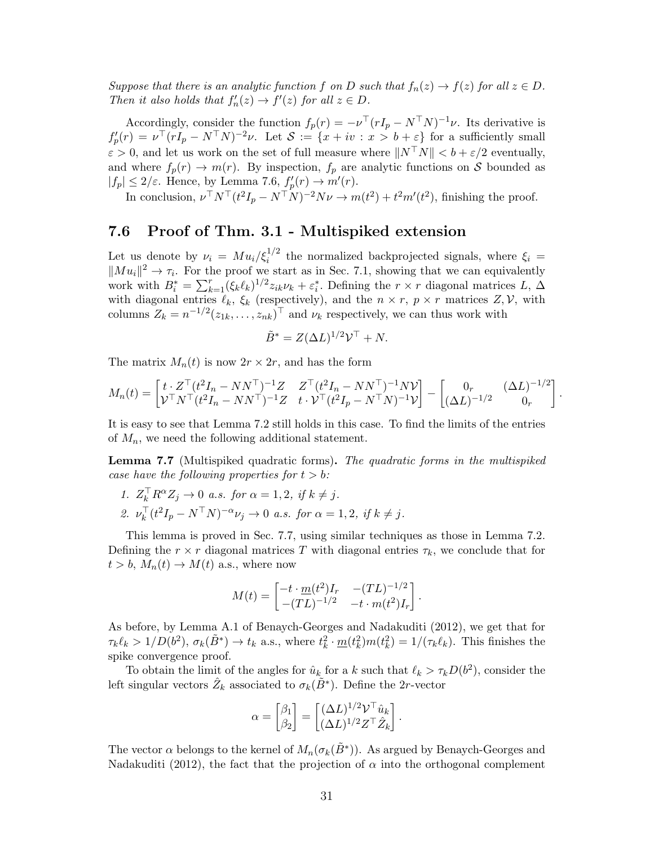Suppose that there is an analytic function f on D such that  $f_n(z) \to f(z)$  for all  $z \in D$ . Then it also holds that  $f'_n(z) \to f'(z)$  for all  $z \in D$ .

Accordingly, consider the function  $f_p(r) = -\nu^\top (rI_p - N^\top N)^{-1}\nu$ . Its derivative is  $f'_p(r) = \nu^\top (rI_p - N^\top N)^{-2} \nu$ . Let  $\mathcal{S} := \{x + iv : x > b + \varepsilon\}$  for a sufficiently small  $\varepsilon > 0$ , and let us work on the set of full measure where  $||N^{\top}N|| < b + \varepsilon/2$  eventually, and where  $f_p(r) \to m(r)$ . By inspection,  $f_p$  are analytic functions on S bounded as  $|f_p| \leq 2/\varepsilon$ . Hence, by Lemma [7.6,](#page-29-1)  $f_p'(r) \to m'(r)$ .

In conclusion,  $\nu^{\top} N^{\top} (t^2 I_p - N^{\top} N)^{-2} N \nu \to m(t^2) + t^2 m'(t^2)$ , finishing the proof.

### <span id="page-30-0"></span>7.6 Proof of Thm. [3.1](#page-10-0) - Multispiked extension

Let us denote by  $\nu_i = M u_i / \xi_i^{1/2}$  the normalized backprojected signals, where  $\xi_i =$  $\|Mu_i\|^2 \to \tau_i$ . For the proof we start as in Sec. [7.1,](#page-23-0) showing that we can equivalently work with  $B_i^* = \sum_{k=1}^r (\xi_k \ell_k)^{1/2} z_{ik} \nu_k + \varepsilon_i^*$ . Defining the  $r \times r$  diagonal matrices  $L, \Delta$ with diagonal entries  $\ell_k$ ,  $\xi_k$  (respectively), and the  $n \times r$ ,  $p \times r$  matrices  $Z$ ,  $V$ , with columns  $Z_k = n^{-1/2} (z_{1k}, \ldots, z_{nk})^\top$  and  $\nu_k$  respectively, we can thus work with

$$
\tilde{B}^* = Z(\Delta L)^{1/2} \mathcal{V}^\top + N.
$$

The matrix  $M_n(t)$  is now  $2r \times 2r$ , and has the form

$$
M_n(t) = \begin{bmatrix} t \cdot Z^\top (t^2 I_n - N N^\top)^{-1} Z & Z^\top (t^2 I_n - N N^\top)^{-1} N \mathcal{V} \\ \mathcal{V}^\top N^\top (t^2 I_n - N N^\top)^{-1} Z & t \cdot \mathcal{V}^\top (t^2 I_p - N^\top N)^{-1} \mathcal{V} \end{bmatrix} - \begin{bmatrix} 0_r & (\Delta L)^{-1/2} \\ (\Delta L)^{-1/2} & 0_r \end{bmatrix}
$$

.

It is easy to see that Lemma [7.2](#page-23-1) still holds in this case. To find the limits of the entries of  $M_n$ , we need the following additional statement.

<span id="page-30-1"></span>Lemma 7.7 (Multispiked quadratic forms). The quadratic forms in the multispiked case have the following properties for  $t > b$ :

- 1.  $Z_k^{\top} R^{\alpha} Z_j \to 0$  a.s. for  $\alpha = 1, 2$ , if  $k \neq j$ .
- 2.  $\nu_k^{\top} (t^2 I_p N^{\top} N)^{-\alpha} \nu_j \to 0$  a.s. for  $\alpha = 1, 2$ , if  $k \neq j$ .

This lemma is proved in Sec. [7.7,](#page-31-0) using similar techniques as those in Lemma [7.2.](#page-23-1) Defining the  $r \times r$  diagonal matrices T with diagonal entries  $\tau_k$ , we conclude that for  $t > b$ ,  $M_n(t) \rightarrow M(t)$  a.s., where now

$$
M(t) = \begin{bmatrix} -t \cdot \underline{m}(t^2)I_r & -(TL)^{-1/2} \\ -(TL)^{-1/2} & -t \cdot m(t^2)I_r \end{bmatrix}.
$$

As before, by Lemma A.1 of [Benaych-Georges and Nadakuditi](#page-35-5) [\(2012\)](#page-35-5), we get that for  $\tau_k \ell_k > 1/D(b^2), \sigma_k(\tilde{B}^*) \to t_k \text{ a.s., where } t_k^2 \cdot \underline{m}(t_k^2)m(t_k^2) = 1/(\tau_k \ell_k)$ . This finishes the spike convergence proof.

To obtain the limit of the angles for  $\hat{u}_k$  for a k such that  $\ell_k > \tau_kD(b^2)$ , consider the left singular vectors  $\hat{Z}_k$  associated to  $\sigma_k(\tilde{B}^*)$ . Define the 2r-vector

$$
\alpha = \begin{bmatrix} \beta_1 \\ \beta_2 \end{bmatrix} = \begin{bmatrix} (\Delta L)^{1/2} \mathcal{V}^\top \hat{u}_k \\ (\Delta L)^{1/2} Z^\top \hat{Z}_k \end{bmatrix}.
$$

The vector  $\alpha$  belongs to the kernel of  $M_n(\sigma_k(\tilde{B}^*))$ . As argued by [Benaych-Georges and](#page-35-5) [Nadakuditi](#page-35-5) [\(2012\)](#page-35-5), the fact that the projection of  $\alpha$  into the orthogonal complement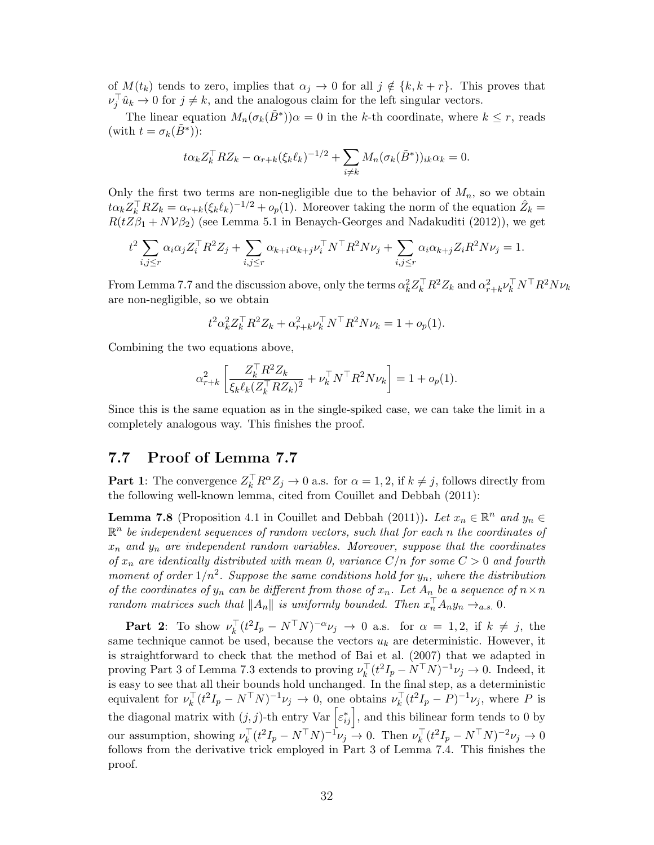of  $M(t_k)$  tends to zero, implies that  $\alpha_j \to 0$  for all  $j \notin \{k, k+r\}$ . This proves that  $\nu_j^{\top} \hat{u}_k \to 0$  for  $j \neq k$ , and the analogous claim for the left singular vectors.

The linear equation  $M_n(\sigma_k(\tilde{B}^*))\alpha = 0$  in the k-th coordinate, where  $k \leq r$ , reads (with  $t = \sigma_k(\tilde{B}^*)$ ):

$$
t\alpha_k Z_k^{\top} R Z_k - \alpha_{r+k} (\xi_k \ell_k)^{-1/2} + \sum_{i \neq k} M_n (\sigma_k(\tilde{B}^*))_{ik} \alpha_k = 0.
$$

Only the first two terms are non-negligible due to the behavior of  $M_n$ , so we obtain  $\alpha_k Z_k^{\top} R Z_k = \alpha_{r+k} (\xi_k \ell_k)^{-1/2} + o_p(1)$ . Moreover taking the norm of the equation  $\hat{Z}_k =$  $R(tZ\beta_1 + N\mathcal{V}\beta_2)$  (see Lemma 5.1 in [Benaych-Georges and Nadakuditi](#page-35-5) [\(2012\)](#page-35-5)), we get

$$
t^2 \sum_{i,j \le r} \alpha_i \alpha_j Z_i^{\top} R^2 Z_j + \sum_{i,j \le r} \alpha_{k+i} \alpha_{k+j} \nu_i^{\top} N^{\top} R^2 N \nu_j + \sum_{i,j \le r} \alpha_i \alpha_{k+j} Z_i R^2 N \nu_j = 1.
$$

From Lemma [7.7](#page-30-1) and the discussion above, only the terms  $\alpha_k^2 Z_k^{\top} R^2 Z_k$  and  $\alpha_{r+k}^2 \nu_k^{\top} N^{\top} R^2 N \nu_k$ are non-negligible, so we obtain

$$
t^2 \alpha_k^2 Z_k^{\top} R^2 Z_k + \alpha_{r+k}^2 \nu_k^{\top} N^{\top} R^2 N \nu_k = 1 + o_p(1).
$$

Combining the two equations above,

$$
\alpha_{r+k}^2 \left[ \frac{Z_k^\top R^2 Z_k}{\xi_k \ell_k (Z_k^\top R Z_k)^2} + \nu_k^\top N^\top R^2 N \nu_k \right] = 1 + o_p(1).
$$

Since this is the same equation as in the single-spiked case, we can take the limit in a completely analogous way. This finishes the proof.

## <span id="page-31-0"></span>7.7 Proof of Lemma [7.7](#page-30-1)

**Part 1**: The convergence  $Z_k^{\top} R^{\alpha} Z_j \to 0$  a.s. for  $\alpha = 1, 2$ , if  $k \neq j$ , follows directly from the following well-known lemma, cited from [Couillet and Debbah](#page-36-23) [\(2011\)](#page-36-23):

**Lemma 7.8** (Proposition 4.1 in [Couillet and Debbah](#page-36-23) [\(2011\)](#page-36-23)). Let  $x_n \in \mathbb{R}^n$  and  $y_n \in$  $\mathbb{R}^n$  be independent sequences of random vectors, such that for each n the coordinates of  $x_n$  and  $y_n$  are independent random variables. Moreover, suppose that the coordinates of  $x_n$  are identically distributed with mean 0, variance  $C/n$  for some  $C > 0$  and fourth moment of order  $1/n^2$ . Suppose the same conditions hold for  $y_n$ , where the distribution of the coordinates of  $y_n$  can be different from those of  $x_n$ . Let  $A_n$  be a sequence of  $n \times n$ random matrices such that  $||A_n||$  is uniformly bounded. Then  $x_n^{\top}A_ny_n \rightarrow_{a.s.} 0$ .

**Part 2**: To show  $\nu_k^{\top} (t^2 I_p - N^{\top} N)^{-\alpha} \nu_j \rightarrow 0$  a.s. for  $\alpha = 1, 2$ , if  $k \neq j$ , the same technique cannot be used, because the vectors  $u_k$  are deterministic. However, it is straightforward to check that the method of [Bai et al.](#page-35-12) [\(2007\)](#page-35-12) that we adapted in proving Part 3 of Lemma [7.3](#page-24-0) extends to proving  $\nu_k^{\top}(t^2I_p - N^{\top}N)^{-1}\nu_j \to 0$ . Indeed, it is easy to see that all their bounds hold unchanged. In the final step, as a deterministic equivalent for  $\nu_k^{\top}(t^2I_p - N^{\top}N)^{-1}\nu_j \to 0$ , one obtains  $\nu_k^{\top}(t^2I_p - P)^{-1}\nu_j$ , where P is the diagonal matrix with  $(j, j)$ -th entry Var  $\left[\varepsilon_{ij}^*\right]$ , and this bilinear form tends to 0 by our assumption, showing  $\nu_k^{\top} (t^2 I_p - N^{\top} N)^{-1} \nu_j \to 0$ . Then  $\nu_k^{\top} (t^2 I_p - N^{\top} N)^{-2} \nu_j \to 0$ follows from the derivative trick employed in Part 3 of Lemma [7.4.](#page-25-0) This finishes the proof.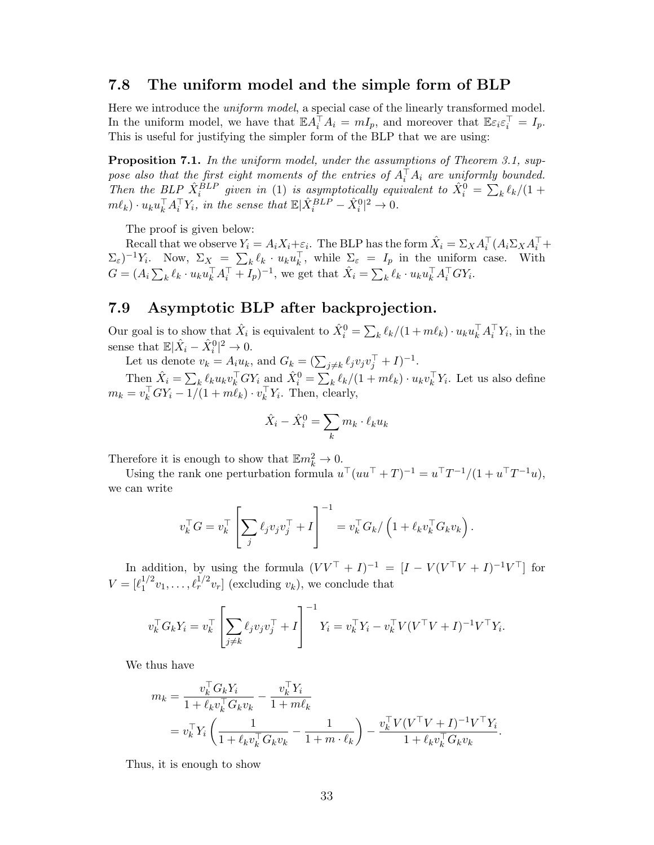### <span id="page-32-0"></span>7.8 The uniform model and the simple form of BLP

Here we introduce the *uniform model*, a special case of the linearly transformed model. In the uniform model, we have that  $\mathbb{E} A_i^\top A_i = mI_p$ , and moreover that  $\mathbb{E} \varepsilon_i \varepsilon_i^\top = I_p$ . This is useful for justifying the simpler form of the BLP that we are using:

Proposition 7.1. In the uniform model, under the assumptions of Theorem [3.1,](#page-10-0) suppose also that the first eight moments of the entries of  $A_i^{\top} A_i$  are uniformly bounded. Then the BLP  $\hat{X}_i^{BLP}$  given in [\(1\)](#page-4-3) is asymptotically equivalent to  $\hat{X}_i^0 = \sum_k \ell_k/(1 +$  $m\ell_k) \cdot u_k u_k^{\top} A_i^{\top} Y_i$ , in the sense that  $\mathbb{E}|\hat{X}_i^{BLP} - \hat{X}_i^0|^2 \to 0$ .

The proof is given below:

Recall that we observe  $Y_i = A_i X_i + \varepsilon_i$ . The BLP has the form  $\hat{X}_i = \Sigma_X A_i^{\top} (A_i \Sigma_X A_i^{\top} +$  $(\Sigma_{\varepsilon})^{-1}Y_i$ . Now,  $\Sigma_X = \sum_k \ell_k \cdot u_k u_k^{\top}$ , while  $\Sigma_{\varepsilon} = I_p$  in the uniform case. With  $G = (A_i \sum_k \ell_k \cdot u_k u_k^\top A_i^\top + I_p)^{-1}$ , we get that  $\hat{X}_i = \sum_k \ell_k \cdot u_k u_k^\top A_i^\top G Y_i$ .

## 7.9 Asymptotic BLP after backprojection.

Our goal is to show that  $\hat{X}_i$  is equivalent to  $\hat{X}_i^0 = \sum_k \ell_k/(1 + m\ell_k) \cdot u_k u_k^{\top} A_i^{\top} Y_i$ , in the sense that  $\mathbb{E}|\hat{X}_i - \hat{X}_i^0|^2 \to 0.$ 

Se that  $\mathbb{E}[X_i - X_i] \to 0$ .<br>Let us denote  $v_k = A_i u_k$ , and  $G_k = (\sum_{j \neq k} \ell_j v_j v_j^{\top} + I)^{-1}$ .

Then  $\hat{X}_i = \sum_k \ell_k u_k v_k^{\top} G Y_i$  and  $\hat{X}_i^0 = \sum_k \ell_k / (1 + m\ell_k) \cdot u_k v_k^{\top} Y_i$ . Let us also define  $m_k = v_k^{\top} G Y_i - 1/(1 + m \ell_k) \cdot v_k^{\top} Y_i$ . Then, clearly,

$$
\hat{X}_i - \hat{X}_i^0 = \sum_k m_k \cdot \ell_k u_k
$$

Therefore it is enough to show that  $\mathbb{E} m_k^2 \to 0$ .

Using the rank one perturbation formula  $u^{T}(uu^{T} + T)^{-1} = u^{T}T^{-1}/(1 + u^{T}T^{-1}u)$ , we can write

$$
v_k^{\top} G = v_k^{\top} \left[ \sum_j \ell_j v_j v_j^{\top} + I \right]^{-1} = v_k^{\top} G_k / \left( 1 + \ell_k v_k^{\top} G_k v_k \right).
$$

In addition, by using the formula  $(VV^{\top} + I)^{-1} = [I - V(V^{\top}V + I)^{-1}V^{\top}]$  for  $V = [\ell_1^{1/2}]$  $i_1^{1/2}v_1,\ldots,\ell_r^{1/2}v_r]$  (excluding  $v_k$ ), we conclude that

$$
v_k^\top G_k Y_i = v_k^\top \left[ \sum_{j \neq k} \ell_j v_j v_j^\top + I \right]^{-1} Y_i = v_k^\top Y_i - v_k^\top V (V^\top V + I)^{-1} V^\top Y_i.
$$

We thus have

$$
m_k = \frac{v_k^\top G_k Y_i}{1 + \ell_k v_k^\top G_k v_k} - \frac{v_k^\top Y_i}{1 + m\ell_k}
$$
  
=  $v_k^\top Y_i \left( \frac{1}{1 + \ell_k v_k^\top G_k v_k} - \frac{1}{1 + m \cdot \ell_k} \right) - \frac{v_k^\top V (V^\top V + I)^{-1} V^\top Y_i}{1 + \ell_k v_k^\top G_k v_k}.$ 

Thus, it is enough to show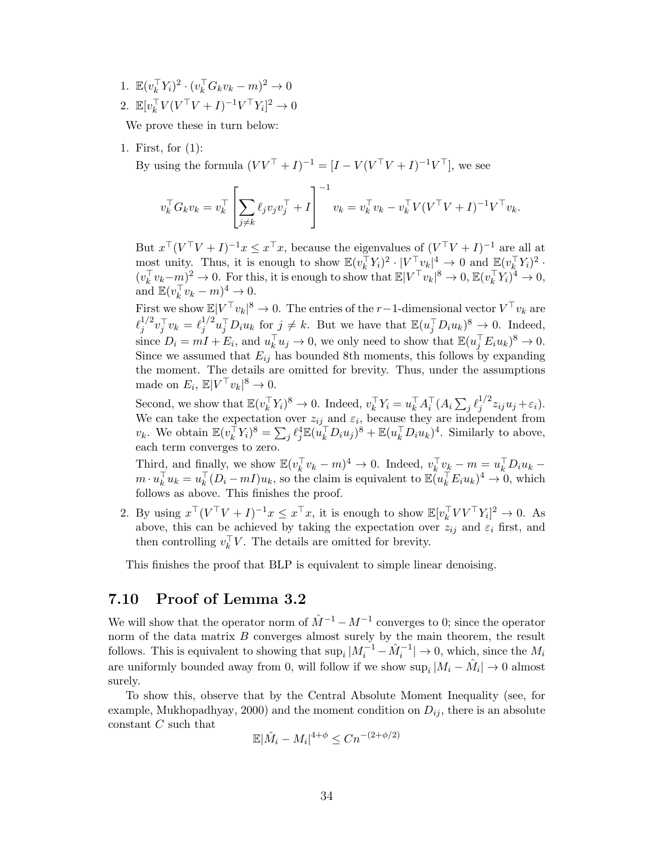1.  $\mathbb{E}(v_k^{\top} Y_i)^2 \cdot (v_k^{\top} G_k v_k - m)^2 \to 0$ 2.  $\mathbb{E}[v_k^{\top} V (V^{\top} V + I)^{-1} V^{\top} Y_i]^2 \to 0$ 

We prove these in turn below:

1. First, for (1):

By using the formula  $(VV^{\top} + I)^{-1} = [I - V(V^{\top}V + I)^{-1}V^{\top}]$ , we see

$$
v_k^\top G_k v_k = v_k^\top \left[ \sum_{j \neq k} \ell_j v_j v_j^\top + I \right]^{-1} v_k = v_k^\top v_k - v_k^\top V (V^\top V + I)^{-1} V^\top v_k.
$$

But  $x^{\top}(V^{\top}V+I)^{-1}x \leq x^{\top}x$ , because the eigenvalues of  $(V^{\top}V+I)^{-1}$  are all at most unity. Thus, it is enough to show  $\mathbb{E}(v_k^{\top} Y_i)^2 \cdot |V^{\top} v_k|^4 \to 0$  and  $\mathbb{E}(v_k^{\top} Y_i)^2 \cdot$  $(v_k^{\top} v_k - m)^2 \to 0$ . For this, it is enough to show that  $\mathbb{E}|V^{\top} v_k|^8 \to 0$ ,  $\mathbb{E}(v_k^{\top} V_i)^4 \to 0$ , and  $\mathbb{E}(v_k^\top v_k - m)^4 \to 0$ .

First we show  $\mathbb{E}|V^{\top}v_k|^8 \to 0$ . The entries of the r-1-dimensional vector  $V^{\top}v_k$  are  $\ell_i^{1/2}$  $j^{1/2} v_j^\top v_k = \ell_j^{1/2}$  $j^{1/2}u_j^{\top}D_iu_k$  for  $j \neq k$ . But we have that  $\mathbb{E}(u_j^{\top}D_iu_k)^8 \to 0$ . Indeed, since  $D_i = mI + E_i$ , and  $u_k^{\top} u_j \to 0$ , we only need to show that  $\mathbb{E}(u_j^{\top} E_i u_k)^8 \to 0$ . Since we assumed that  $E_{ij}$  has bounded 8th moments, this follows by expanding the moment. The details are omitted for brevity. Thus, under the assumptions made on  $E_i$ ,  $\mathbb{E}|V^{\top}v_k|^8 \to 0$ .

Second, we show that  $\mathbb{E}(v_k^{\top} Y_i)^8 \to 0$ . Indeed,  $v_k^{\top} Y_i = u_k^{\top} A_i^{\top} (A_i \sum_j \ell_j^{1/2})$  $j^{1/2}z_{ij}u_j+\varepsilon_i$ ). We can take the expectation over  $z_{ij}$  and  $\varepsilon_i$ , because they are independent from  $v_k$ . We obtain  $\mathbb{E}(v_k^{\top} Y_i)^8 = \sum_j \ell_j^4 \mathbb{E}(u_k^{\top} D_i u_j)^8 + \mathbb{E}(u_k^{\top} D_i u_k)^4$ . Similarly to above, each term converges to zero.

Third, and finally, we show  $\mathbb{E}(v_k^{\top} v_k - m)^4 \to 0$ . Indeed,  $v_k^{\top} v_k - m = u_k^{\top} D_i u_k$  $m \cdot u_k^{\top} u_k = u_k^{\top} (D_i - mI) u_k$ , so the claim is equivalent to  $\mathbb{E}(u_k^{\top} E_i u_k)^4 \to 0$ , which follows as above. This finishes the proof.

2. By using  $x^{\top}(V^{\top}V+I)^{-1}x \leq x^{\top}x$ , it is enough to show  $\mathbb{E}[v_k^{\top}VV^{\top}Y_i]^2 \to 0$ . As above, this can be achieved by taking the expectation over  $z_{ij}$  and  $\varepsilon_i$  first, and then controlling  $v_k^{\top}V$ . The details are omitted for brevity.

This finishes the proof that BLP is equivalent to simple linear denoising.

### <span id="page-33-0"></span>7.10 Proof of Lemma [3.2](#page-11-1)

We will show that the operator norm of  $\hat{M}^{-1} - M^{-1}$  converges to 0; since the operator norm of the data matrix  $B$  converges almost surely by the main theorem, the result follows. This is equivalent to showing that  $\sup_i |M_i^{-1} - \hat{M}_i^{-1}| \to 0$ , which, since the  $M_i$ are uniformly bounded away from 0, will follow if we show  $\sup_i |M_i - \hat{M}_i| \to 0$  almost surely.

To show this, observe that by the Central Absolute Moment Inequality (see, for example, [Mukhopadhyay,](#page-37-19) [2000\)](#page-37-19) and the moment condition on  $D_{ij}$ , there is an absolute constant C such that

$$
\mathbb{E}|\hat{M}_i - M_i|^{4+\phi} \le Cn^{-(2+\phi/2)}
$$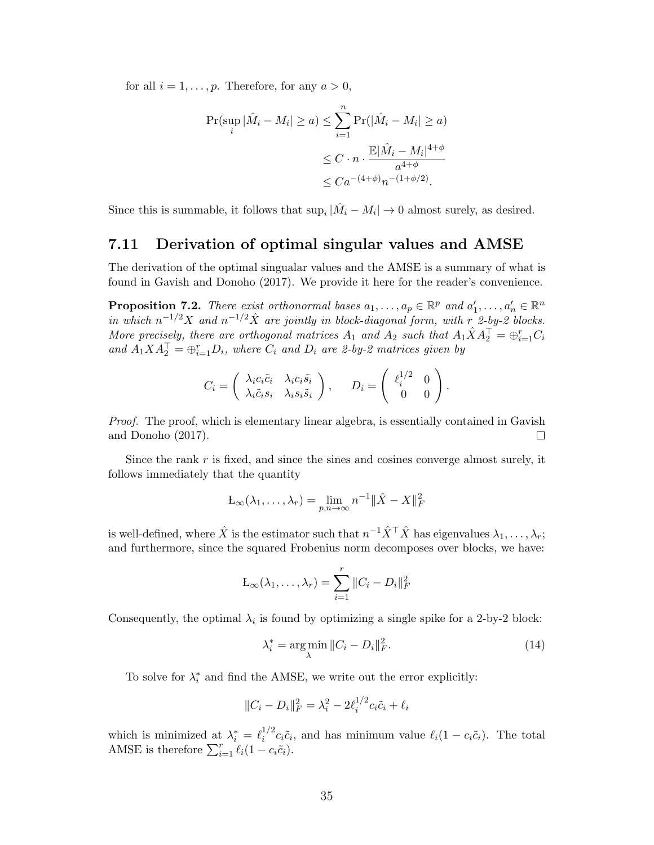for all  $i = 1, \ldots, p$ . Therefore, for any  $a > 0$ ,

$$
\Pr(\sup_{i} |\hat{M}_i - M_i| \ge a) \le \sum_{i=1}^n \Pr(|\hat{M}_i - M_i| \ge a)
$$
  

$$
\le C \cdot n \cdot \frac{\mathbb{E}|\hat{M}_i - M_i|^{4+\phi}}{a^{4+\phi}}
$$
  

$$
\le C a^{-(4+\phi)} n^{-(1+\phi/2)}.
$$

Since this is summable, it follows that  $\sup_i |\hat{M}_i - M_i| \to 0$  almost surely, as desired.

### <span id="page-34-0"></span>7.11 Derivation of optimal singular values and AMSE

The derivation of the optimal singualar values and the AMSE is a summary of what is found in [Gavish and Donoho](#page-36-13) [\(2017\)](#page-36-13). We provide it here for the reader's convenience.

**Proposition 7.2.** There exist orthonormal bases  $a_1, \ldots, a_p \in \mathbb{R}^p$  and  $a'_1, \ldots, a'_n \in \mathbb{R}^n$ in which  $n^{-1/2}X$  and  $n^{-1/2}\hat{X}$  are jointly in block-diagonal form, with r 2-by-2 blocks. More precisely, there are orthogonal matrices  $A_1$  and  $A_2$  such that  $A_1\hat{X}A_2^{\top} = \bigoplus_{i=1}^r C_i$ and  $A_1 X A_2^{\top} = \bigoplus_{i=1}^r D_i$ , where  $C_i$  and  $D_i$  are 2-by-2 matrices given by

$$
C_i = \begin{pmatrix} \lambda_i c_i \tilde{c}_i & \lambda_i c_i \tilde{s}_i \\ \lambda_i \tilde{c}_i s_i & \lambda_i s_i \tilde{s}_i \end{pmatrix}, \qquad D_i = \begin{pmatrix} \ell_i^{1/2} & 0 \\ 0 & 0 \end{pmatrix}
$$

Proof. The proof, which is elementary linear algebra, is essentially contained in [Gavish](#page-36-13) [and Donoho](#page-36-13) [\(2017\)](#page-36-13).  $\Box$ 

Since the rank  $r$  is fixed, and since the sines and cosines converge almost surely, it follows immediately that the quantity

$$
\mathcal{L}_{\infty}(\lambda_1,\ldots,\lambda_r)=\lim_{p,n\to\infty}n^{-1}\|\hat{X}-X\|_F^2
$$

is well-defined, where  $\hat{X}$  is the estimator such that  $n^{-1}\hat{X}^\top\hat{X}$  has eigenvalues  $\lambda_1,\ldots,\lambda_r;$ and furthermore, since the squared Frobenius norm decomposes over blocks, we have:

$$
L_{\infty}(\lambda_1,\ldots,\lambda_r)=\sum_{i=1}^r\|C_i-D_i\|_F^2
$$

Consequently, the optimal  $\lambda_i$  is found by optimizing a single spike for a 2-by-2 block:

$$
\lambda_i^* = \underset{\lambda}{\arg\min} \, \|C_i - D_i\|_F^2. \tag{14}
$$

.

To solve for  $\lambda_i^*$  and find the AMSE, we write out the error explicitly:

$$
||C_i - D_i||_F^2 = \lambda_i^2 - 2\ell_i^{1/2} c_i \tilde{c}_i + \ell_i
$$

which is minimized at  $\lambda_i^* = \ell_i^{1/2}$  $i^{1/2}c_i\tilde{c}_i$ , and has minimum value  $\ell_i(1 - c_i\tilde{c}_i)$ . The total AMSE is therefore  $\sum_{i=1}^r \ell_i(1 - c_i \tilde{c}_i)$ .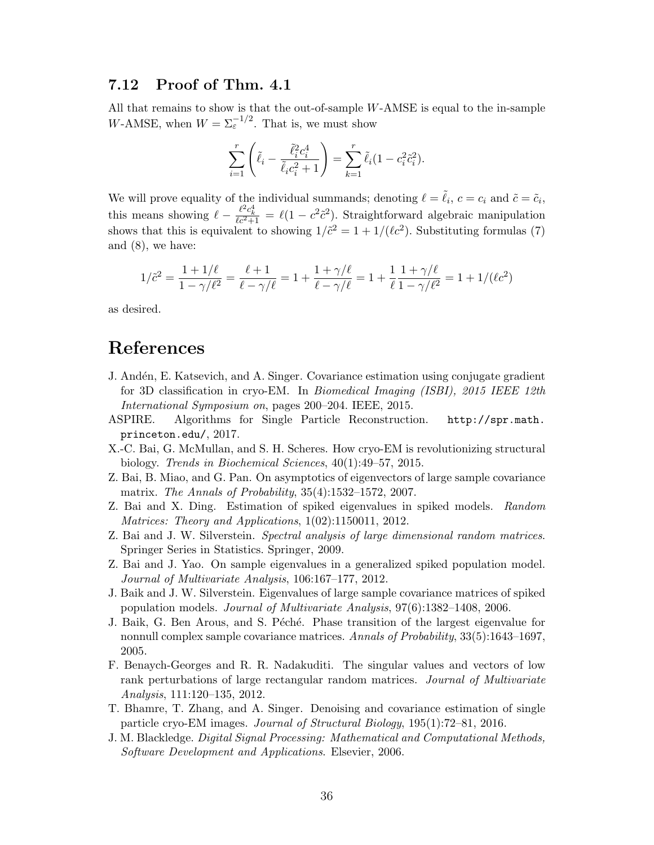## <span id="page-35-11"></span>7.12 Proof of Thm. [4.1](#page-17-1)

All that remains to show is that the out-of-sample W-AMSE is equal to the in-sample W-AMSE, when  $W = \sum_{\varepsilon}^{-1/2}$ . That is, we must show

$$
\sum_{i=1}^r \left( \tilde{\ell}_i - \frac{\tilde{\ell}_i^2 c_i^4}{\tilde{\ell}_i c_i^2 + 1} \right) = \sum_{k=1}^r \tilde{\ell}_i (1 - c_i^2 \tilde{c}_i^2).
$$

We will prove equality of the individual summands; denoting  $\ell = \tilde{\ell}_i$ ,  $c = c_i$  and  $\tilde{c} = \tilde{c}_i$ , this means showing  $\ell - \frac{\ell^2 c_k^4}{\ell c^2 + 1} = \ell(1 - c^2 \tilde{c}^2)$ . Straightforward algebraic manipulation shows that this is equivalent to showing  $1/\tilde{c}^2 = 1 + 1/(\ell c^2)$ . Substituting formulas [\(7\)](#page-12-2) and [\(8\)](#page-12-3), we have:

$$
1/\tilde{c}^2 = \frac{1+1/\ell}{1-\gamma/\ell^2} = \frac{\ell+1}{\ell-\gamma/\ell} = 1 + \frac{1+\gamma/\ell}{\ell-\gamma/\ell} = 1 + \frac{1}{\ell} \frac{1+\gamma/\ell}{1-\gamma/\ell^2} = 1 + 1/(\ell c^2)
$$

as desired.

## References

- <span id="page-35-8"></span>J. Andén, E. Katsevich, and A. Singer. Covariance estimation using conjugate gradient for 3D classification in cryo-EM. In Biomedical Imaging (ISBI), 2015 IEEE 12th International Symposium on, pages 200–204. IEEE, 2015.
- <span id="page-35-10"></span>ASPIRE. Algorithms for Single Particle Reconstruction. [http://spr.math.](http://spr.math.princeton.edu/) [princeton.edu/](http://spr.math.princeton.edu/), 2017.
- <span id="page-35-7"></span>X.-C. Bai, G. McMullan, and S. H. Scheres. How cryo-EM is revolutionizing structural biology. Trends in Biochemical Sciences, 40(1):49–57, 2015.
- <span id="page-35-12"></span>Z. Bai, B. Miao, and G. Pan. On asymptotics of eigenvectors of large sample covariance matrix. The Annals of Probability, 35(4):1532–1572, 2007.
- <span id="page-35-3"></span>Z. Bai and X. Ding. Estimation of spiked eigenvalues in spiked models. Random Matrices: Theory and Applications, 1(02):1150011, 2012.
- <span id="page-35-0"></span>Z. Bai and J. W. Silverstein. Spectral analysis of large dimensional random matrices. Springer Series in Statistics. Springer, 2009.
- <span id="page-35-4"></span>Z. Bai and J. Yao. On sample eigenvalues in a generalized spiked population model. Journal of Multivariate Analysis, 106:167–177, 2012.
- <span id="page-35-2"></span>J. Baik and J. W. Silverstein. Eigenvalues of large sample covariance matrices of spiked population models. Journal of Multivariate Analysis, 97(6):1382–1408, 2006.
- <span id="page-35-1"></span>J. Baik, G. Ben Arous, and S. Péché. Phase transition of the largest eigenvalue for nonnull complex sample covariance matrices. Annals of Probability, 33(5):1643–1697, 2005.
- <span id="page-35-5"></span>F. Benaych-Georges and R. R. Nadakuditi. The singular values and vectors of low rank perturbations of large rectangular random matrices. Journal of Multivariate Analysis, 111:120–135, 2012.
- <span id="page-35-9"></span>T. Bhamre, T. Zhang, and A. Singer. Denoising and covariance estimation of single particle cryo-EM images. Journal of Structural Biology, 195(1):72–81, 2016.
- <span id="page-35-6"></span>J. M. Blackledge. Digital Signal Processing: Mathematical and Computational Methods, Software Development and Applications. Elsevier, 2006.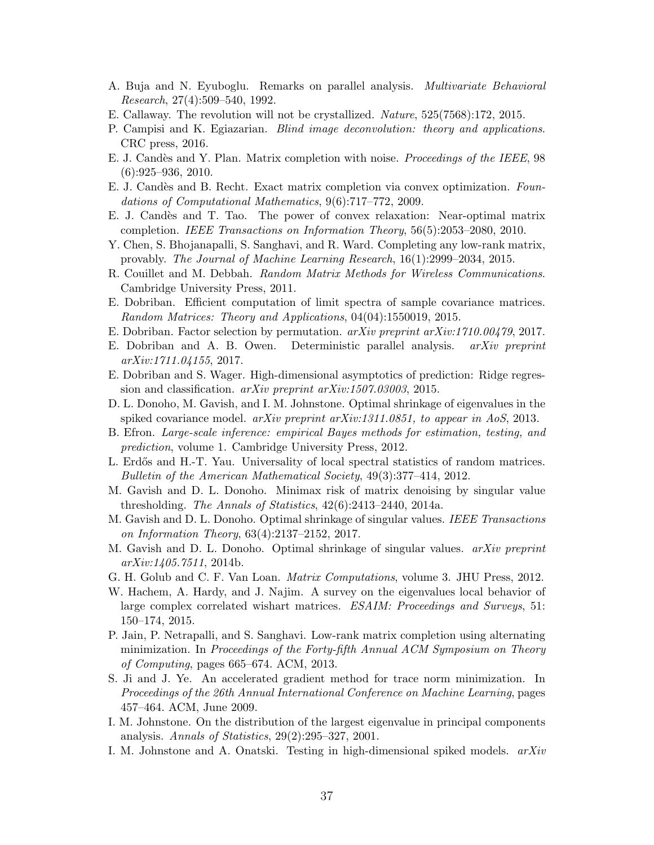- <span id="page-36-14"></span>A. Buja and N. Eyuboglu. Remarks on parallel analysis. Multivariate Behavioral Research, 27(4):509–540, 1992.
- <span id="page-36-7"></span>E. Callaway. The revolution will not be crystallized. Nature, 525(7568):172, 2015.
- <span id="page-36-6"></span>P. Campisi and K. Egiazarian. Blind image deconvolution: theory and applications. CRC press, 2016.
- <span id="page-36-17"></span>E. J. Cand`es and Y. Plan. Matrix completion with noise. Proceedings of the IEEE, 98 (6):925–936, 2010.
- <span id="page-36-8"></span>E. J. Cand`es and B. Recht. Exact matrix completion via convex optimization. Foundations of Computational Mathematics, 9(6):717–772, 2009.
- <span id="page-36-9"></span>E. J. Cand`es and T. Tao. The power of convex relaxation: Near-optimal matrix completion. IEEE Transactions on Information Theory, 56(5):2053–2080, 2010.
- <span id="page-36-20"></span>Y. Chen, S. Bhojanapalli, S. Sanghavi, and R. Ward. Completing any low-rank matrix, provably. The Journal of Machine Learning Research, 16(1):2999–2034, 2015.
- <span id="page-36-23"></span>R. Couillet and M. Debbah. Random Matrix Methods for Wireless Communications. Cambridge University Press, 2011.
- <span id="page-36-18"></span>E. Dobriban. Efficient computation of limit spectra of sample covariance matrices. Random Matrices: Theory and Applications, 04(04):1550019, 2015.
- <span id="page-36-15"></span>E. Dobriban. Factor selection by permutation. arXiv preprint arXiv:1710.00479, 2017.
- <span id="page-36-16"></span>E. Dobriban and A. B. Owen. Deterministic parallel analysis. arXiv preprint arXiv:1711.04155, 2017.
- <span id="page-36-22"></span>E. Dobriban and S. Wager. High-dimensional asymptotics of prediction: Ridge regression and classification. arXiv preprint arXiv:1507.03003, 2015.
- <span id="page-36-2"></span>D. L. Donoho, M. Gavish, and I. M. Johnstone. Optimal shrinkage of eigenvalues in the spiked covariance model.  $arXiv$  preprint  $arXiv:1311.0851$ , to appear in AoS, 2013.
- <span id="page-36-1"></span>B. Efron. Large-scale inference: empirical Bayes methods for estimation, testing, and prediction, volume 1. Cambridge University Press, 2012.
- <span id="page-36-21"></span>L. Erdős and H.-T. Yau. Universality of local spectral statistics of random matrices. Bulletin of the American Mathematical Society, 49(3):377–414, 2012.
- <span id="page-36-12"></span>M. Gavish and D. L. Donoho. Minimax risk of matrix denoising by singular value thresholding. The Annals of Statistics, 42(6):2413–2440, 2014a.
- <span id="page-36-13"></span>M. Gavish and D. L. Donoho. Optimal shrinkage of singular values. IEEE Transactions on Information Theory, 63(4):2137–2152, 2017.
- <span id="page-36-3"></span>M. Gavish and D. L. Donoho. Optimal shrinkage of singular values. arXiv preprint arXiv:1405.7511, 2014b.
- <span id="page-36-11"></span>G. H. Golub and C. F. Van Loan. Matrix Computations, volume 3. JHU Press, 2012.
- <span id="page-36-5"></span>W. Hachem, A. Hardy, and J. Najim. A survey on the eigenvalues local behavior of large complex correlated wishart matrices. ESAIM: Proceedings and Surveys, 51: 150–174, 2015.
- <span id="page-36-10"></span>P. Jain, P. Netrapalli, and S. Sanghavi. Low-rank matrix completion using alternating minimization. In Proceedings of the Forty-fifth Annual ACM Symposium on Theory of Computing, pages 665–674. ACM, 2013.
- <span id="page-36-19"></span>S. Ji and J. Ye. An accelerated gradient method for trace norm minimization. In Proceedings of the 26th Annual International Conference on Machine Learning, pages 457–464. ACM, June 2009.
- <span id="page-36-0"></span>I. M. Johnstone. On the distribution of the largest eigenvalue in principal components analysis. Annals of Statistics, 29(2):295–327, 2001.
- <span id="page-36-4"></span>I. M. Johnstone and A. Onatski. Testing in high-dimensional spiked models. arXiv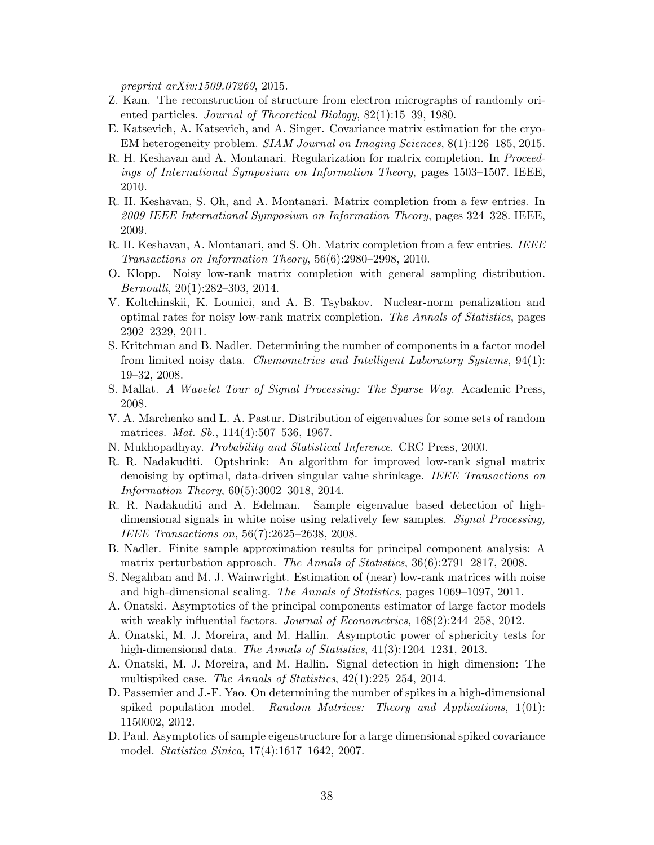preprint arXiv:1509.07269, 2015.

- <span id="page-37-9"></span>Z. Kam. The reconstruction of structure from electron micrographs of randomly oriented particles. Journal of Theoretical Biology, 82(1):15–39, 1980.
- <span id="page-37-8"></span>E. Katsevich, A. Katsevich, and A. Singer. Covariance matrix estimation for the cryo-EM heterogeneity problem. SIAM Journal on Imaging Sciences, 8(1):126–185, 2015.
- <span id="page-37-17"></span>R. H. Keshavan and A. Montanari. Regularization for matrix completion. In Proceedings of International Symposium on Information Theory, pages 1503–1507. IEEE, 2010.
- <span id="page-37-10"></span>R. H. Keshavan, S. Oh, and A. Montanari. Matrix completion from a few entries. In 2009 IEEE International Symposium on Information Theory, pages 324–328. IEEE, 2009.
- <span id="page-37-11"></span>R. H. Keshavan, A. Montanari, and S. Oh. Matrix completion from a few entries. IEEE Transactions on Information Theory, 56(6):2980–2998, 2010.
- <span id="page-37-18"></span>O. Klopp. Noisy low-rank matrix completion with general sampling distribution. Bernoulli, 20(1):282–303, 2014.
- <span id="page-37-12"></span>V. Koltchinskii, K. Lounici, and A. B. Tsybakov. Nuclear-norm penalization and optimal rates for noisy low-rank matrix completion. The Annals of Statistics, pages 2302–2329, 2011.
- <span id="page-37-15"></span>S. Kritchman and B. Nadler. Determining the number of components in a factor model from limited noisy data. Chemometrics and Intelligent Laboratory Systems, 94(1): 19–32, 2008.
- <span id="page-37-7"></span>S. Mallat. A Wavelet Tour of Signal Processing: The Sparse Way. Academic Press, 2008.
- <span id="page-37-14"></span>V. A. Marchenko and L. A. Pastur. Distribution of eigenvalues for some sets of random matrices. Mat. Sb., 114(4):507–536, 1967.
- <span id="page-37-19"></span>N. Mukhopadhyay. Probability and Statistical Inference. CRC Press, 2000.
- <span id="page-37-6"></span>R. R. Nadakuditi. Optshrink: An algorithm for improved low-rank signal matrix denoising by optimal, data-driven singular value shrinkage. IEEE Transactions on Information Theory, 60(5):3002–3018, 2014.
- <span id="page-37-1"></span>R. R. Nadakuditi and A. Edelman. Sample eigenvalue based detection of highdimensional signals in white noise using relatively few samples. Signal Processing, IEEE Transactions on, 56(7):2625–2638, 2008.
- <span id="page-37-2"></span>B. Nadler. Finite sample approximation results for principal component analysis: A matrix perturbation approach. The Annals of Statistics, 36(6):2791–2817, 2008.
- <span id="page-37-13"></span>S. Negahban and M. J. Wainwright. Estimation of (near) low-rank matrices with noise and high-dimensional scaling. The Annals of Statistics, pages 1069–1097, 2011.
- <span id="page-37-3"></span>A. Onatski. Asymptotics of the principal components estimator of large factor models with weakly influential factors. *Journal of Econometrics*,  $168(2):244-258$ , 2012.
- <span id="page-37-4"></span>A. Onatski, M. J. Moreira, and M. Hallin. Asymptotic power of sphericity tests for high-dimensional data. The Annals of Statistics, 41(3):1204–1231, 2013.
- <span id="page-37-5"></span>A. Onatski, M. J. Moreira, and M. Hallin. Signal detection in high dimension: The multispiked case. The Annals of Statistics, 42(1):225–254, 2014.
- <span id="page-37-16"></span>D. Passemier and J.-F. Yao. On determining the number of spikes in a high-dimensional spiked population model. Random Matrices: Theory and Applications, 1(01): 1150002, 2012.
- <span id="page-37-0"></span>D. Paul. Asymptotics of sample eigenstructure for a large dimensional spiked covariance model. Statistica Sinica, 17(4):1617–1642, 2007.